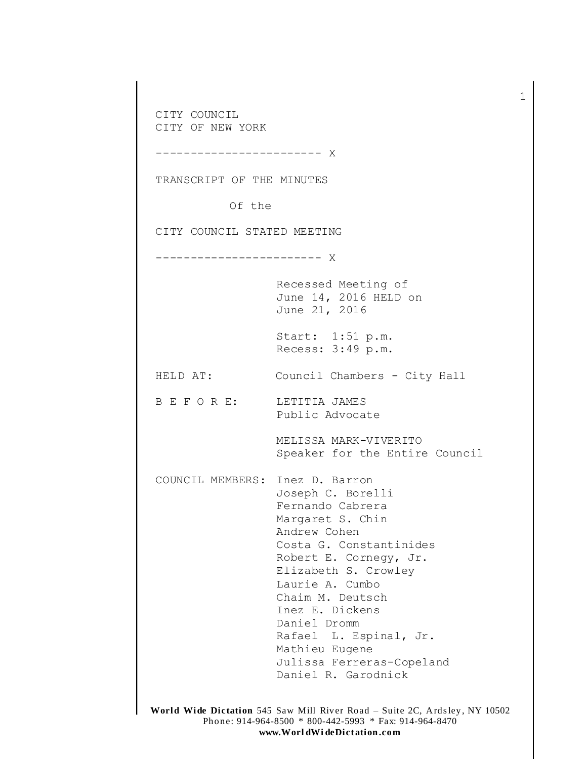CITY COUNCIL CITY OF NEW YORK -------------------- X TRANSCRIPT OF THE MINUTES Of the CITY COUNCIL STATED MEETING ------------------------ X Recessed Meeting of June 14, 2016 HELD on June 21, 2016 Start: 1:51 p.m. Recess: 3:49 p.m. HELD AT: Council Chambers - City Hall B E F O R E: LETITIA JAMES Public Advocate MELISSA MARK-VIVERITO Speaker for the Entire Council COUNCIL MEMBERS: Inez D. Barron Joseph C. Borelli Fernando Cabrera Margaret S. Chin Andrew Cohen Costa G. Constantinides Robert E. Cornegy, Jr. Elizabeth S. Crowley Laurie A. Cumbo Chaim M. Deutsch Inez E. Dickens Daniel Dromm Rafael L. Espinal, Jr. Mathieu Eugene Julissa Ferreras-Copeland Daniel R. Garodnick

1

**World Wide Dictation** 545 Saw Mill River Road – Suite 2C, Ards ley , NY 10502 Phone: 914-964-8500 \* 800-442-5993 \* Fax: 914-964-8470 **www.Worl dWi deDict ation .com**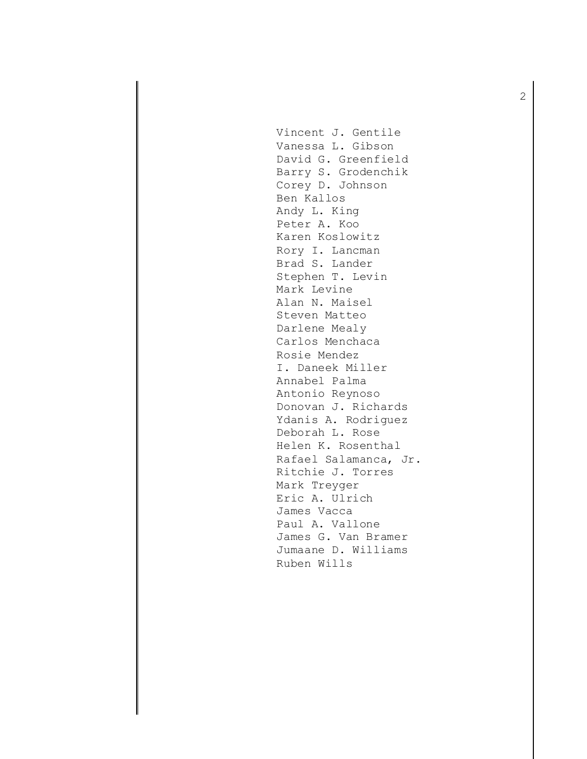Vincent J. Gentile Vanessa L. Gibson David G. Greenfield Barry S. Grodenchik Corey D. Johnson Ben Kallos Andy L. King Peter A. Koo Karen Koslowitz Rory I. Lancman Brad S. Lander Stephen T. Levin Mark Levine Alan N. Maisel Steven Matteo Darlene Mealy Carlos Menchaca Rosie Mendez I. Daneek Miller Annabel Palma Antonio Reynoso Donovan J. Richards Ydanis A. Rodriguez Deborah L. Rose Helen K. Rosenthal Rafael Salamanca, Jr. Ritchie J. Torres Mark Treyger Eric A. Ulrich James Vacca Paul A. Vallone James G. Van Bramer Jumaane D. Williams Ruben Wills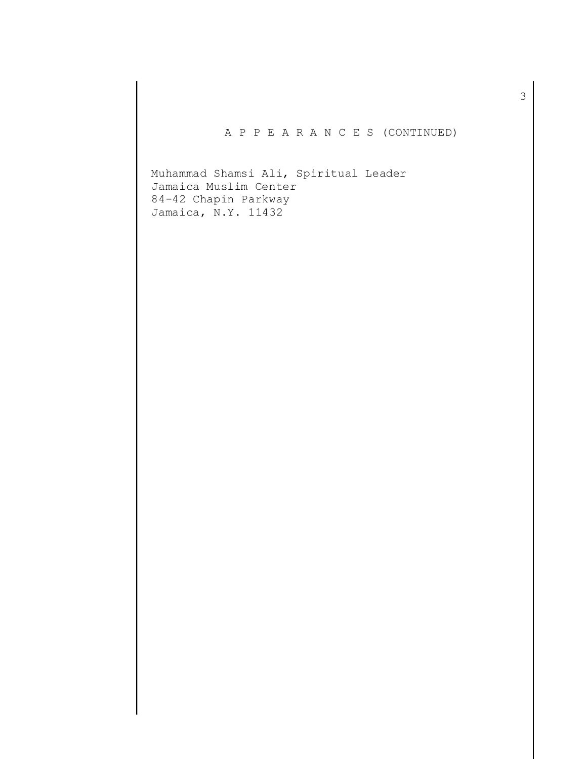A P P E A R A N C E S (CONTINUED)

Muhammad Shamsi Ali, Spiritual Leader Jamaica Muslim Center 84-42 Chapin Parkway Jamaica, N.Y. 11432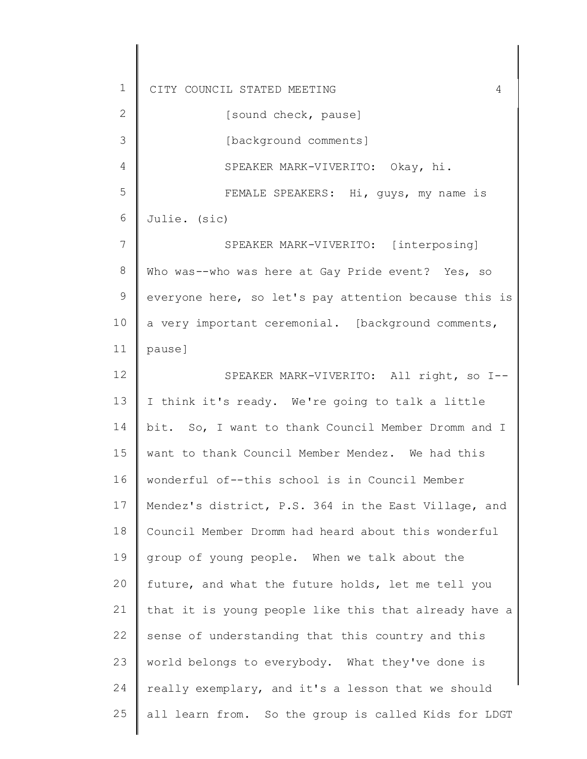2 3 4 5 6 7 8 9 10 11 12 13 14 15 16 17 18 19 20 21 22 23 24 25 [sound check, pause] [background comments] SPEAKER MARK-VIVERITO: Okay, hi. FEMALE SPEAKERS: Hi, guys, my name is Julie. (sic) SPEAKER MARK-VIVERITO: [interposing] Who was--who was here at Gay Pride event? Yes, so everyone here, so let's pay attention because this is a very important ceremonial. [background comments, pause] SPEAKER MARK-VIVERITO: All right, so I-- I think it's ready. We're going to talk a little bit. So, I want to thank Council Member Dromm and I want to thank Council Member Mendez. We had this wonderful of--this school is in Council Member Mendez's district, P.S. 364 in the East Village, and Council Member Dromm had heard about this wonderful group of young people. When we talk about the future, and what the future holds, let me tell you that it is young people like this that already have a sense of understanding that this country and this world belongs to everybody. What they've done is really exemplary, and it's a lesson that we should all learn from. So the group is called Kids for LDGT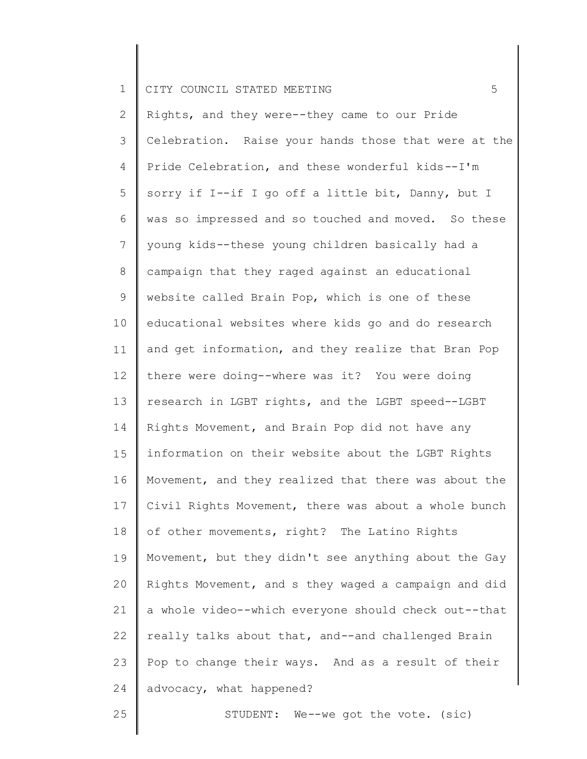2 3 4 5 6 7 8 9 10 11 12 13 14 15 16 17 18 19 20 21 22 23 24 Rights, and they were--they came to our Pride Celebration. Raise your hands those that were at the Pride Celebration, and these wonderful kids--I'm sorry if I--if I go off a little bit, Danny, but I was so impressed and so touched and moved. So these young kids--these young children basically had a campaign that they raged against an educational website called Brain Pop, which is one of these educational websites where kids go and do research and get information, and they realize that Bran Pop there were doing--where was it? You were doing research in LGBT rights, and the LGBT speed--LGBT Rights Movement, and Brain Pop did not have any information on their website about the LGBT Rights Movement, and they realized that there was about the Civil Rights Movement, there was about a whole bunch of other movements, right? The Latino Rights Movement, but they didn't see anything about the Gay Rights Movement, and s they waged a campaign and did a whole video--which everyone should check out--that really talks about that, and--and challenged Brain Pop to change their ways. And as a result of their advocacy, what happened?

25

STUDENT: We--we got the vote. (sic)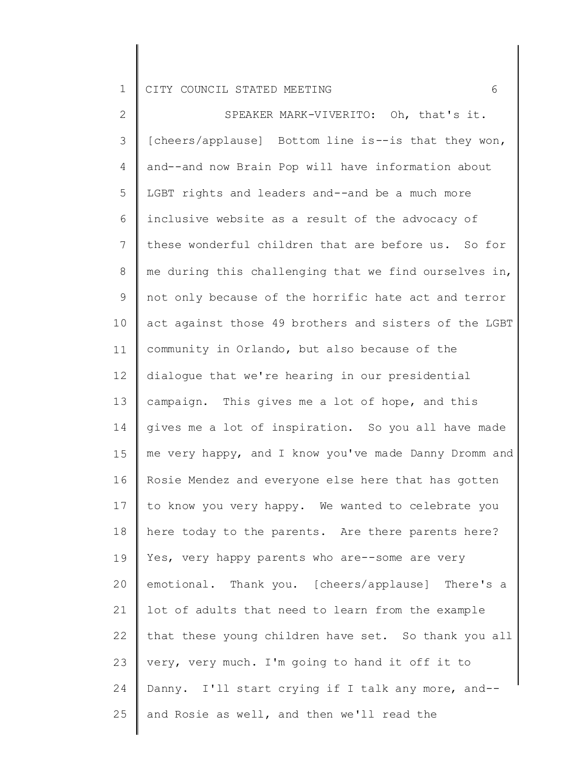2 3 4 5 6 7 8 9 10 11 12 13 14 15 16 17 18 19 20 21 22 23 24 25 SPEAKER MARK-VIVERITO: Oh, that's it. [cheers/applause] Bottom line is--is that they won, and--and now Brain Pop will have information about LGBT rights and leaders and--and be a much more inclusive website as a result of the advocacy of these wonderful children that are before us. So for me during this challenging that we find ourselves in, not only because of the horrific hate act and terror act against those 49 brothers and sisters of the LGBT community in Orlando, but also because of the dialogue that we're hearing in our presidential campaign. This gives me a lot of hope, and this gives me a lot of inspiration. So you all have made me very happy, and I know you've made Danny Dromm and Rosie Mendez and everyone else here that has gotten to know you very happy. We wanted to celebrate you here today to the parents. Are there parents here? Yes, very happy parents who are--some are very emotional. Thank you. [cheers/applause] There's a lot of adults that need to learn from the example that these young children have set. So thank you all very, very much. I'm going to hand it off it to Danny. I'll start crying if I talk any more, and- and Rosie as well, and then we'll read the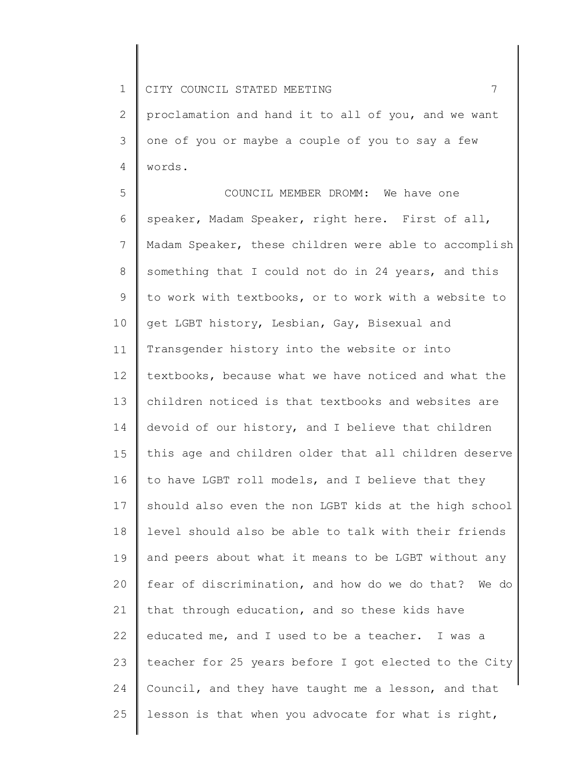2 3 4 proclamation and hand it to all of you, and we want one of you or maybe a couple of you to say a few words.

5 6 7 8 9 10 11 12 13 14 15 16 17 18 19 20 21 22 23 24 25 COUNCIL MEMBER DROMM: We have one speaker, Madam Speaker, right here. First of all, Madam Speaker, these children were able to accomplish something that I could not do in 24 years, and this to work with textbooks, or to work with a website to get LGBT history, Lesbian, Gay, Bisexual and Transgender history into the website or into textbooks, because what we have noticed and what the children noticed is that textbooks and websites are devoid of our history, and I believe that children this age and children older that all children deserve to have LGBT roll models, and I believe that they should also even the non LGBT kids at the high school level should also be able to talk with their friends and peers about what it means to be LGBT without any fear of discrimination, and how do we do that? We do that through education, and so these kids have educated me, and I used to be a teacher. I was a teacher for 25 years before I got elected to the City Council, and they have taught me a lesson, and that lesson is that when you advocate for what is right,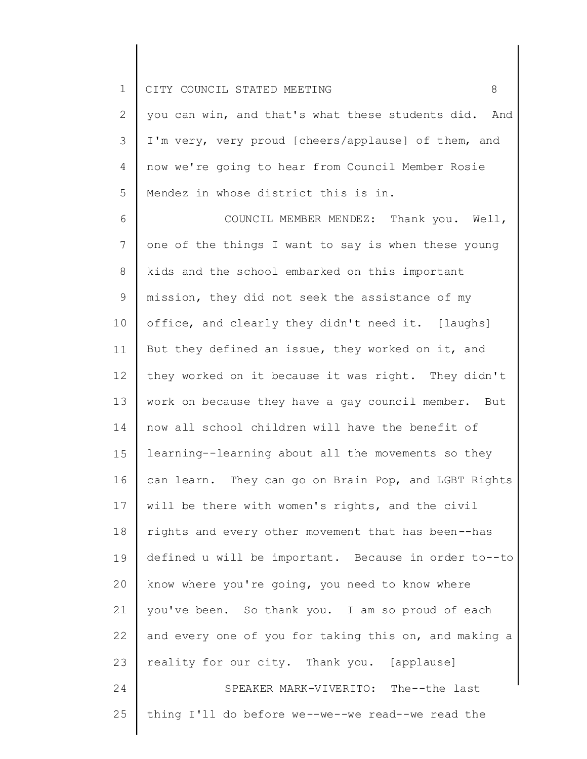2 3 4 5 you can win, and that's what these students did. And I'm very, very proud [cheers/applause] of them, and now we're going to hear from Council Member Rosie Mendez in whose district this is in.

6 7 8 9 10 11 12 13 14 15 16 17 18 19 20 21 22 23 24 25 COUNCIL MEMBER MENDEZ: Thank you. Well, one of the things I want to say is when these young kids and the school embarked on this important mission, they did not seek the assistance of my office, and clearly they didn't need it. [laughs] But they defined an issue, they worked on it, and they worked on it because it was right. They didn't work on because they have a gay council member. But now all school children will have the benefit of learning--learning about all the movements so they can learn. They can go on Brain Pop, and LGBT Rights will be there with women's rights, and the civil rights and every other movement that has been--has defined u will be important. Because in order to--to know where you're going, you need to know where you've been. So thank you. I am so proud of each and every one of you for taking this on, and making a reality for our city. Thank you. [applause] SPEAKER MARK-VIVERITO: The--the last thing I'll do before we--we--we read--we read the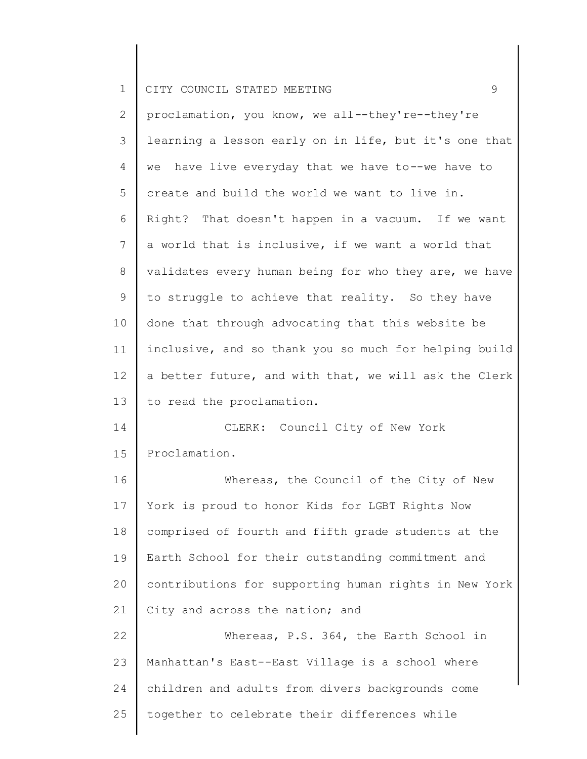2 3 4 5 6 7 8 9 10 11 12 13 14 15 16 17 18 19 20 21 22 23 24 25 proclamation, you know, we all--they're--they're learning a lesson early on in life, but it's one that we have live everyday that we have to--we have to create and build the world we want to live in. Right? That doesn't happen in a vacuum. If we want a world that is inclusive, if we want a world that validates every human being for who they are, we have to struggle to achieve that reality. So they have done that through advocating that this website be inclusive, and so thank you so much for helping build a better future, and with that, we will ask the Clerk to read the proclamation. CLERK: Council City of New York Proclamation. Whereas, the Council of the City of New York is proud to honor Kids for LGBT Rights Now comprised of fourth and fifth grade students at the Earth School for their outstanding commitment and contributions for supporting human rights in New York City and across the nation; and Whereas, P.S. 364, the Earth School in Manhattan's East--East Village is a school where children and adults from divers backgrounds come together to celebrate their differences while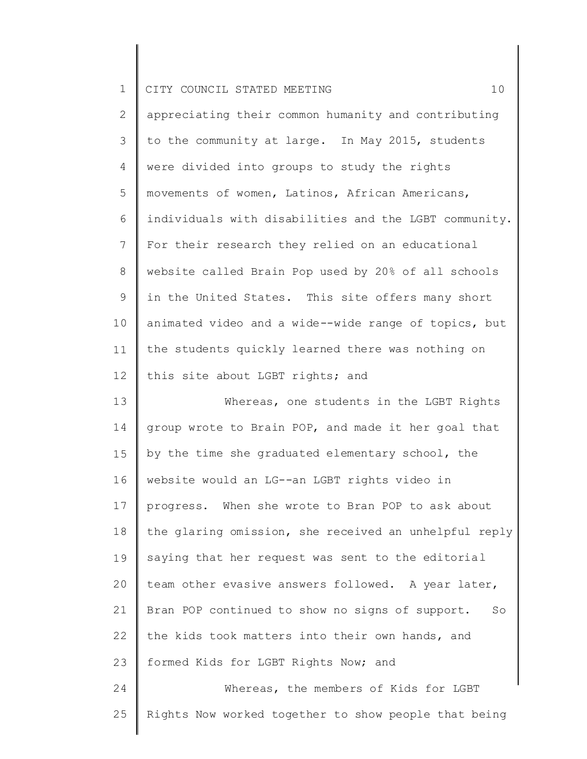|  |  | CITY COUNCIL STATED MEETING |  |  |  |
|--|--|-----------------------------|--|--|--|
|--|--|-----------------------------|--|--|--|

2 3 4 5 6 7 8 9 10 11 12 appreciating their common humanity and contributing to the community at large. In May 2015, students were divided into groups to study the rights movements of women, Latinos, African Americans, individuals with disabilities and the LGBT community. For their research they relied on an educational website called Brain Pop used by 20% of all schools in the United States. This site offers many short animated video and a wide--wide range of topics, but the students quickly learned there was nothing on this site about LGBT rights; and

13 14 15 16 17 18 19 20 21 22 23 24 Whereas, one students in the LGBT Rights group wrote to Brain POP, and made it her goal that by the time she graduated elementary school, the website would an LG--an LGBT rights video in progress. When she wrote to Bran POP to ask about the glaring omission, she received an unhelpful reply saying that her request was sent to the editorial team other evasive answers followed. A year later, Bran POP continued to show no signs of support. So the kids took matters into their own hands, and formed Kids for LGBT Rights Now; and Whereas, the members of Kids for LGBT

Rights Now worked together to show people that being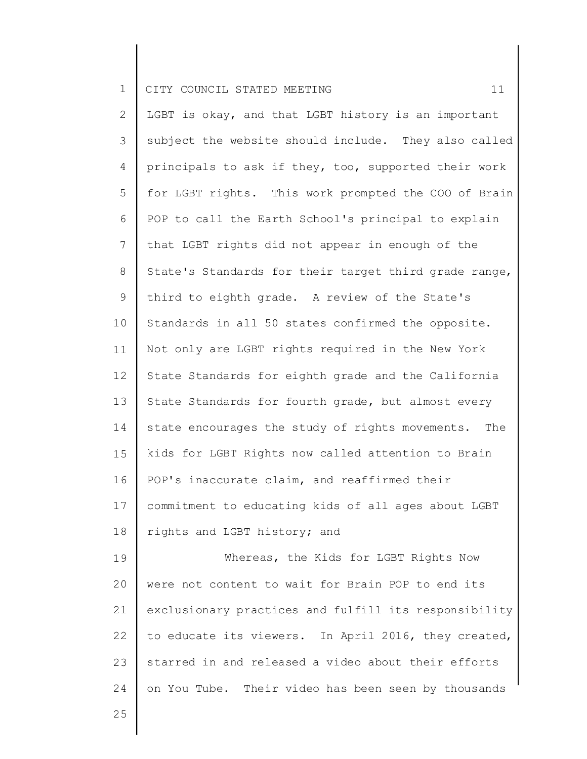|  |  | 1 CITY COUNCIL STATED MEETING |  |  |  |  |  |  |
|--|--|-------------------------------|--|--|--|--|--|--|
|--|--|-------------------------------|--|--|--|--|--|--|

2 3 4 5 6 7 8 9 10 11 12 13 14 15 16 17 18 19 20 21 22 LGBT is okay, and that LGBT history is an important subject the website should include. They also called principals to ask if they, too, supported their work for LGBT rights. This work prompted the COO of Brain POP to call the Earth School's principal to explain that LGBT rights did not appear in enough of the State's Standards for their target third grade range, third to eighth grade. A review of the State's Standards in all 50 states confirmed the opposite. Not only are LGBT rights required in the New York State Standards for eighth grade and the California State Standards for fourth grade, but almost every state encourages the study of rights movements. The kids for LGBT Rights now called attention to Brain POP's inaccurate claim, and reaffirmed their commitment to educating kids of all ages about LGBT rights and LGBT history; and Whereas, the Kids for LGBT Rights Now were not content to wait for Brain POP to end its exclusionary practices and fulfill its responsibility to educate its viewers. In April 2016, they created,

starred in and released a video about their efforts

on You Tube. Their video has been seen by thousands

23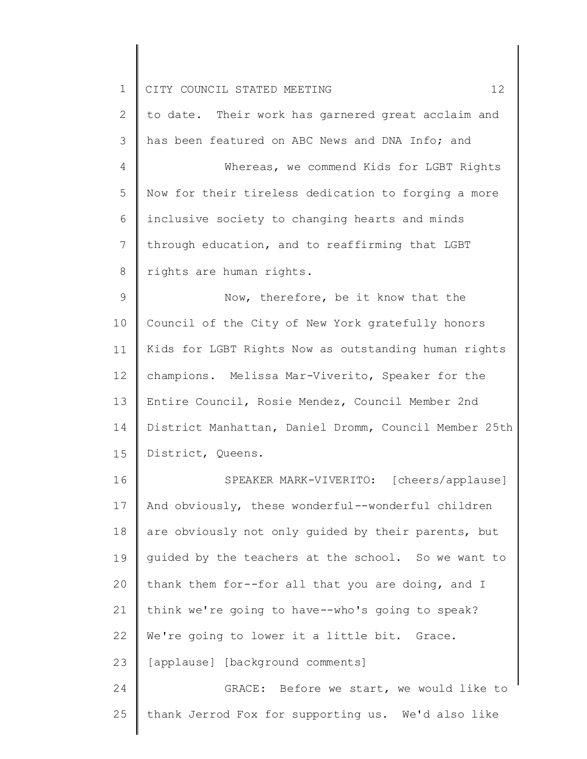|  |  | 1 CITY COUNCIL STATED MEETING |  |  |  |  |
|--|--|-------------------------------|--|--|--|--|
|--|--|-------------------------------|--|--|--|--|

2 3 to date. Their work has garnered great acclaim and has been featured on ABC News and DNA Info; and

4 5 6 7 8 Whereas, we commend Kids for LGBT Rights Now for their tireless dedication to forging a more inclusive society to changing hearts and minds through education, and to reaffirming that LGBT rights are human rights.

9 10 11 12 13 14 15 Now, therefore, be it know that the Council of the City of New York gratefully honors Kids for LGBT Rights Now as outstanding human rights champions. Melissa Mar-Viverito, Speaker for the Entire Council, Rosie Mendez, Council Member 2nd District Manhattan, Daniel Dromm, Council Member 25th District, Queens.

16 17 18 19 20 21 22 23 24 SPEAKER MARK-VIVERITO: [cheers/applause] And obviously, these wonderful--wonderful children are obviously not only guided by their parents, but guided by the teachers at the school. So we want to thank them for--for all that you are doing, and I think we're going to have--who's going to speak? We're going to lower it a little bit. Grace. [applause] [background comments] GRACE: Before we start, we would like to

thank Jerrod Fox for supporting us. We'd also like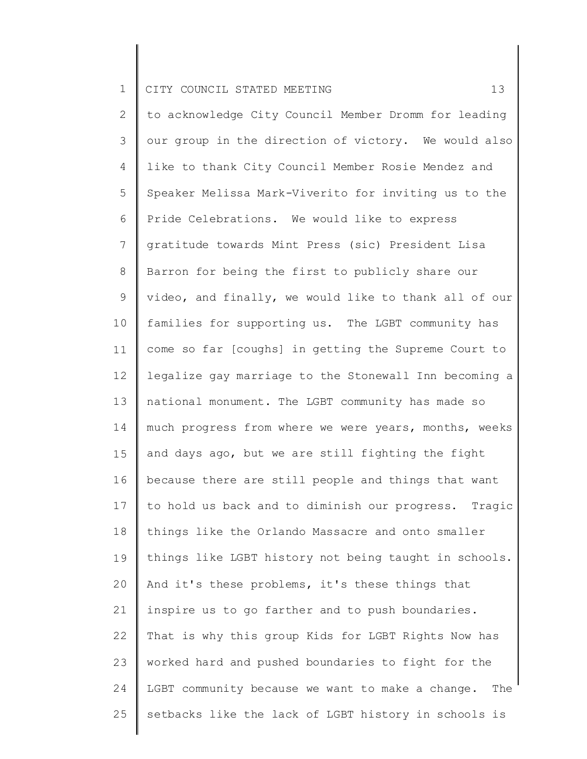2 3 4 5 6 7 8 9 10 11 12 13 14 15 16 17 18 19 20 21 22 23 24 25 to acknowledge City Council Member Dromm for leading our group in the direction of victory. We would also like to thank City Council Member Rosie Mendez and Speaker Melissa Mark-Viverito for inviting us to the Pride Celebrations. We would like to express gratitude towards Mint Press (sic) President Lisa Barron for being the first to publicly share our video, and finally, we would like to thank all of our families for supporting us. The LGBT community has come so far [coughs] in getting the Supreme Court to legalize gay marriage to the Stonewall Inn becoming a national monument. The LGBT community has made so much progress from where we were years, months, weeks and days ago, but we are still fighting the fight because there are still people and things that want to hold us back and to diminish our progress. Tragic things like the Orlando Massacre and onto smaller things like LGBT history not being taught in schools. And it's these problems, it's these things that inspire us to go farther and to push boundaries. That is why this group Kids for LGBT Rights Now has worked hard and pushed boundaries to fight for the LGBT community because we want to make a change. The setbacks like the lack of LGBT history in schools is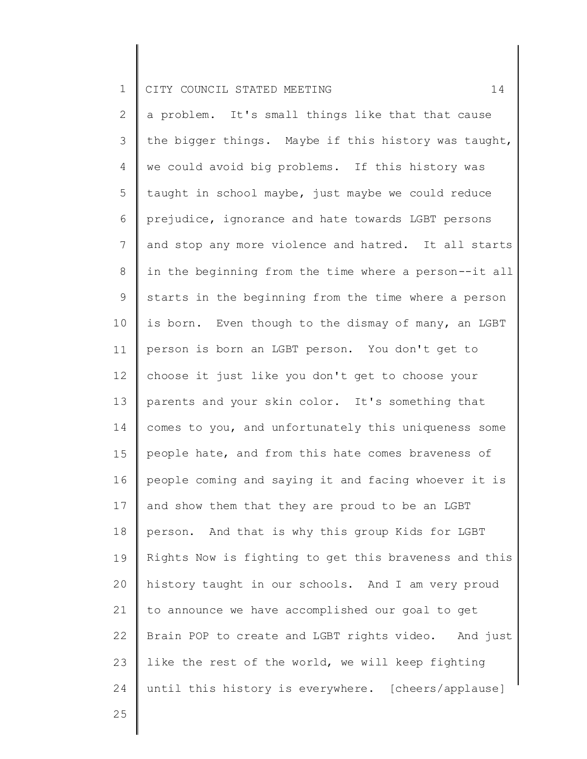2 3 4 5 6 7 8 9 10 11 12 13 14 15 16 17 18 19 20 21 22 23 24 a problem. It's small things like that that cause the bigger things. Maybe if this history was taught, we could avoid big problems. If this history was taught in school maybe, just maybe we could reduce prejudice, ignorance and hate towards LGBT persons and stop any more violence and hatred. It all starts in the beginning from the time where a person--it all starts in the beginning from the time where a person is born. Even though to the dismay of many, an LGBT person is born an LGBT person. You don't get to choose it just like you don't get to choose your parents and your skin color. It's something that comes to you, and unfortunately this uniqueness some people hate, and from this hate comes braveness of people coming and saying it and facing whoever it is and show them that they are proud to be an LGBT person. And that is why this group Kids for LGBT Rights Now is fighting to get this braveness and this history taught in our schools. And I am very proud to announce we have accomplished our goal to get Brain POP to create and LGBT rights video. And just like the rest of the world, we will keep fighting until this history is everywhere. [cheers/applause]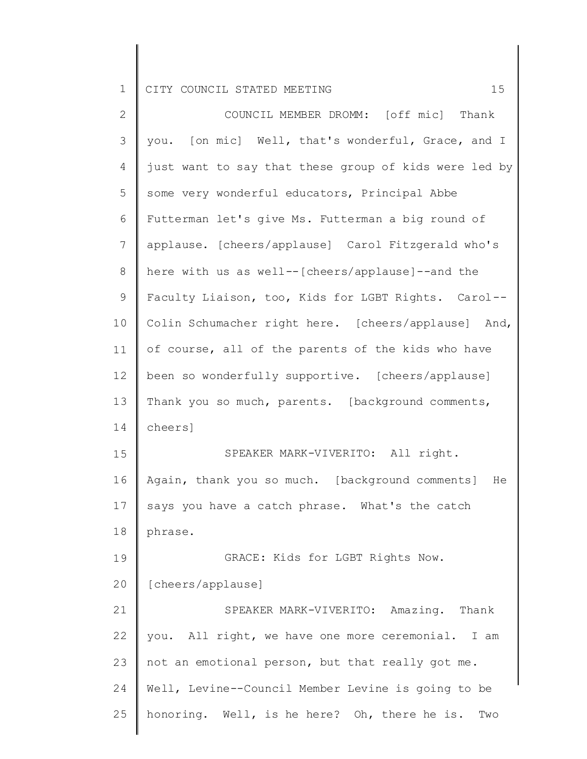| $\overline{2}$ | COUNCIL MEMBER DROMM: [off mic] Thank                 |
|----------------|-------------------------------------------------------|
| $\mathcal{S}$  | you. [on mic] Well, that's wonderful, Grace, and I    |
| $\overline{4}$ | just want to say that these group of kids were led by |
| 5              | some very wonderful educators, Principal Abbe         |
| $\sqrt{6}$     | Futterman let's give Ms. Futterman a big round of     |
| $\overline{7}$ | applause. [cheers/applause] Carol Fitzgerald who's    |
| $8\,$          | here with us as well--[cheers/applause]--and the      |
| $\mathsf 9$    | Faculty Liaison, too, Kids for LGBT Rights. Carol--   |
| 10             | Colin Schumacher right here. [cheers/applause] And,   |
| 11             | of course, all of the parents of the kids who have    |
| 12             | been so wonderfully supportive. [cheers/applause]     |
| 13             | Thank you so much, parents. [background comments,     |
| 14             | cheers]                                               |
| 15             | SPEAKER MARK-VIVERITO: All right.                     |
| 16             | Again, thank you so much. [background comments]<br>He |
| 17             | says you have a catch phrase. What's the catch        |
| 18             | phrase.                                               |
| 19             | GRACE: Kids for LGBT Rights Now.                      |
| 20             | [cheers/applause]                                     |
| 21             | SPEAKER MARK-VIVERITO: Amazing. Thank                 |
| 22             | you. All right, we have one more ceremonial.<br>I am  |
| 23             | not an emotional person, but that really got me.      |
| 24             | Well, Levine--Council Member Levine is going to be    |
| 25             | honoring. Well, is he here? Oh, there he is.<br>Two   |
|                |                                                       |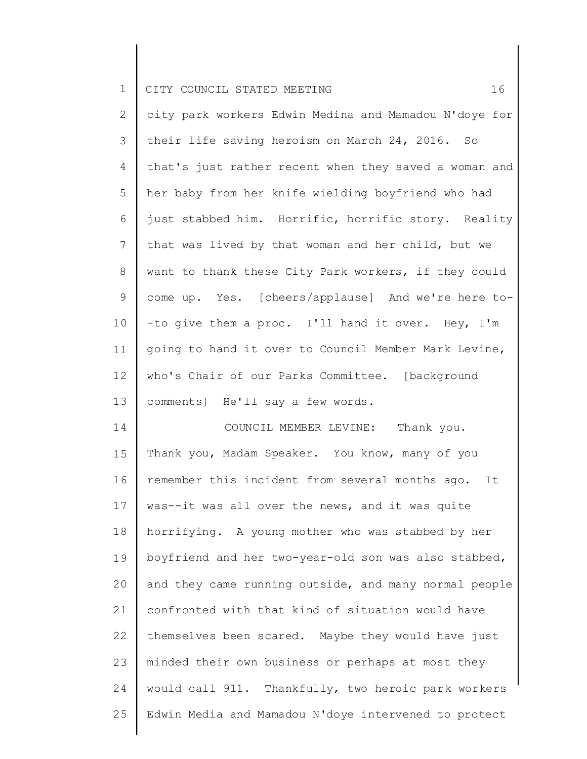2 3 4 5 6 7 8 9 10 11 12 13 city park workers Edwin Medina and Mamadou N'doye for their life saving heroism on March 24, 2016. So that's just rather recent when they saved a woman and her baby from her knife wielding boyfriend who had just stabbed him. Horrific, horrific story. Reality that was lived by that woman and her child, but we want to thank these City Park workers, if they could come up. Yes. [cheers/applause] And we're here to- -to give them a proc. I'll hand it over. Hey, I'm going to hand it over to Council Member Mark Levine, who's Chair of our Parks Committee. [background comments] He'll say a few words.

14 15 16 17 18 19 20 21 22 23 24 25 COUNCIL MEMBER LEVINE: Thank you. Thank you, Madam Speaker. You know, many of you remember this incident from several months ago. It was--it was all over the news, and it was quite horrifying. A young mother who was stabbed by her boyfriend and her two-year-old son was also stabbed, and they came running outside, and many normal people confronted with that kind of situation would have themselves been scared. Maybe they would have just minded their own business or perhaps at most they would call 911. Thankfully, two heroic park workers Edwin Media and Mamadou N'doye intervened to protect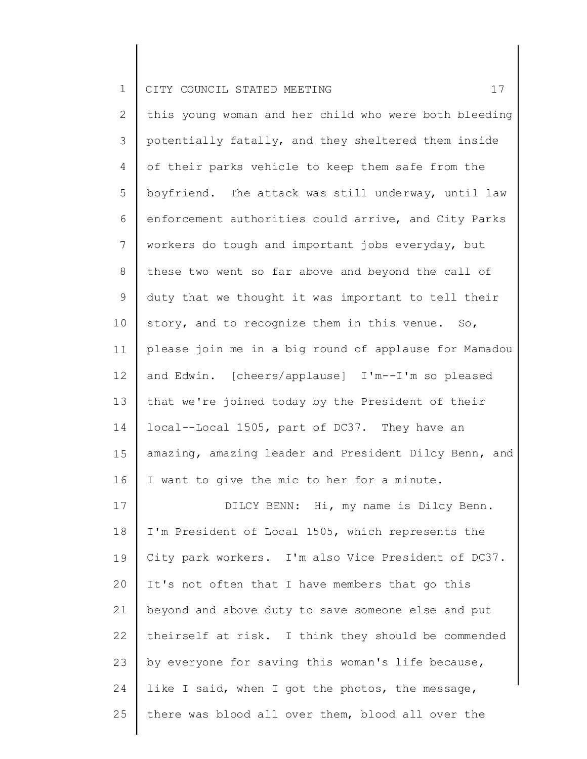2 3 4 5 6 7 8 9 10 11 12 13 14 15 16 17 18 19 20 21 22 this young woman and her child who were both bleeding potentially fatally, and they sheltered them inside of their parks vehicle to keep them safe from the boyfriend. The attack was still underway, until law enforcement authorities could arrive, and City Parks workers do tough and important jobs everyday, but these two went so far above and beyond the call of duty that we thought it was important to tell their story, and to recognize them in this venue. So, please join me in a big round of applause for Mamadou and Edwin. [cheers/applause] I'm--I'm so pleased that we're joined today by the President of their local--Local 1505, part of DC37. They have an amazing, amazing leader and President Dilcy Benn, and I want to give the mic to her for a minute. DILCY BENN: Hi, my name is Dilcy Benn. I'm President of Local 1505, which represents the City park workers. I'm also Vice President of DC37. It's not often that I have members that go this beyond and above duty to save someone else and put theirself at risk. I think they should be commended

24 like I said, when I got the photos, the message,

by everyone for saving this woman's life because,

23

25 there was blood all over them, blood all over the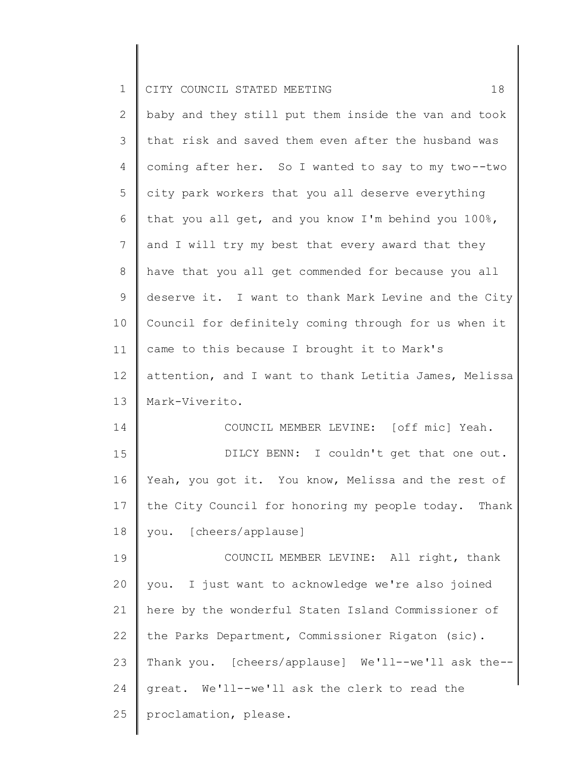|  | CITY COUNCIL STATED MEETING |  |  |  |
|--|-----------------------------|--|--|--|

| $\mathbf{2}$   | baby and they still put them inside the van and took  |
|----------------|-------------------------------------------------------|
| 3              | that risk and saved them even after the husband was   |
| 4              | coming after her. So I wanted to say to my two--two   |
| 5              | city park workers that you all deserve everything     |
| 6              | that you all get, and you know I'm behind you 100%,   |
| $7\phantom{.}$ | and I will try my best that every award that they     |
| 8              | have that you all get commended for because you all   |
| 9              | deserve it. I want to thank Mark Levine and the City  |
| 10             | Council for definitely coming through for us when it  |
| 11             | came to this because I brought it to Mark's           |
| 12             | attention, and I want to thank Letitia James, Melissa |
| 13             | Mark-Viverito.                                        |
| 14             | COUNCIL MEMBER LEVINE: [off mic] Yeah.                |
| 15             | DILCY BENN: I couldn't get that one out.              |
| 16             | Yeah, you got it. You know, Melissa and the rest of   |
| 17             | the City Council for honoring my people today. Thank  |
| 18             | you. [cheers/applause]                                |
| 19             | COUNCIL MEMBER LEVINE: All right, thank               |
| 20             | you. I just want to acknowledge we're also joined     |
| 21             | here by the wonderful Staten Island Commissioner of   |
| 22             | the Parks Department, Commissioner Rigaton (sic).     |
| 23             | Thank you. [cheers/applause] We'll--we'll ask the--   |
| 24             | great. We'll--we'll ask the clerk to read the         |
| 25             | proclamation, please.                                 |
|                |                                                       |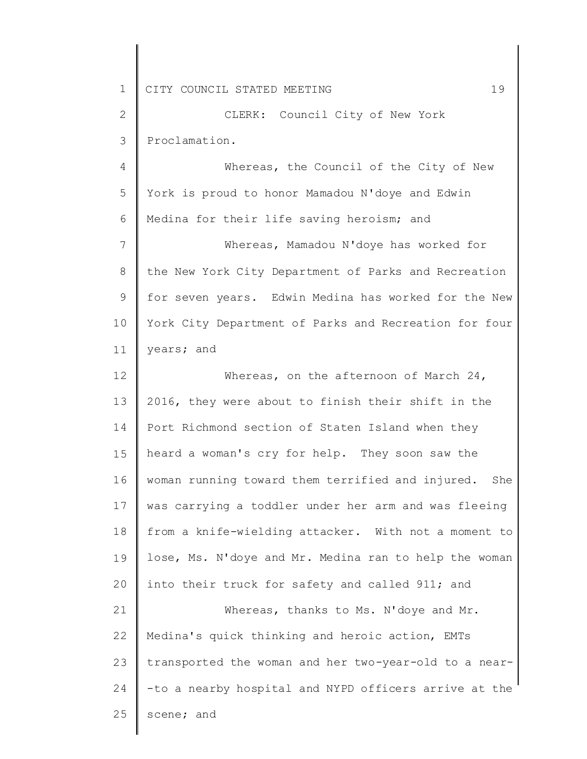2 3 CLERK: Council City of New York Proclamation.

4 5 6 Whereas, the Council of the City of New York is proud to honor Mamadou N'doye and Edwin Medina for their life saving heroism; and

7 8 9 10 11 Whereas, Mamadou N'doye has worked for the New York City Department of Parks and Recreation for seven years. Edwin Medina has worked for the New York City Department of Parks and Recreation for four years; and

12 13 14 15 16 17 18 19 20 21 22 23 Whereas, on the afternoon of March 24, 2016, they were about to finish their shift in the Port Richmond section of Staten Island when they heard a woman's cry for help. They soon saw the woman running toward them terrified and injured. She was carrying a toddler under her arm and was fleeing from a knife-wielding attacker. With not a moment to lose, Ms. N'doye and Mr. Medina ran to help the woman into their truck for safety and called 911; and Whereas, thanks to Ms. N'doye and Mr. Medina's quick thinking and heroic action, EMTs transported the woman and her two-year-old to a near-

24 -to a nearby hospital and NYPD officers arrive at the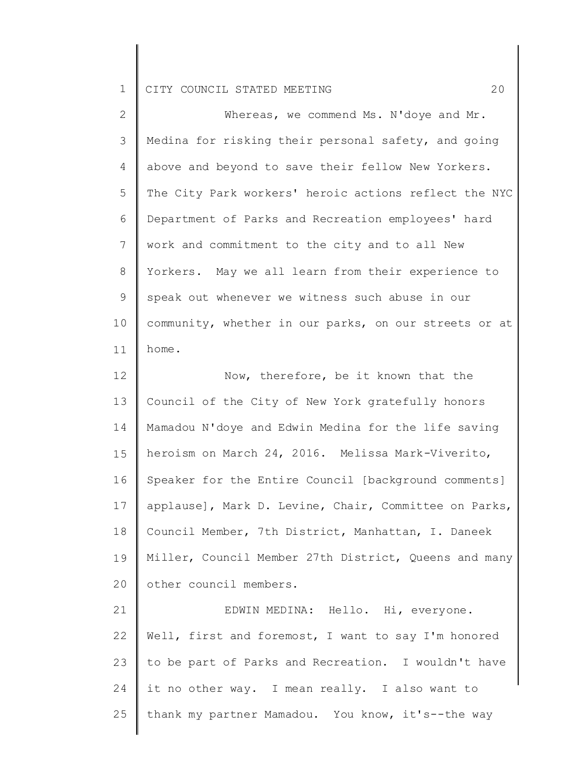| $\overline{2}$ | Whereas, we commend Ms. N'doye and Mr.                |
|----------------|-------------------------------------------------------|
| 3              | Medina for risking their personal safety, and going   |
| 4              | above and beyond to save their fellow New Yorkers.    |
| 5              | The City Park workers' heroic actions reflect the NYC |
| 6              | Department of Parks and Recreation employees' hard    |
| 7              | work and commitment to the city and to all New        |
| 8              | Yorkers. May we all learn from their experience to    |
| $\mathsf 9$    | speak out whenever we witness such abuse in our       |
| 10             | community, whether in our parks, on our streets or at |
| 11             | home.                                                 |
| 12             | Now, therefore, be it known that the                  |
| 13             | Council of the City of New York gratefully honors     |
| 14             | Mamadou N'doye and Edwin Medina for the life saving   |
| 15             | heroism on March 24, 2016. Melissa Mark-Viverito,     |
| 16             | Speaker for the Entire Council [background comments]  |
| 17             | applause], Mark D. Levine, Chair, Committee on Parks, |
| 18             | Council Member, 7th District, Manhattan, I. Daneek    |
| 19             | Miller, Council Member 27th District, Queens and many |
| 20             | other council members.                                |
| 21             | EDWIN MEDINA: Hello. Hi, everyone.                    |
| 22             | Well, first and foremost, I want to say I'm honored   |
| 23             | to be part of Parks and Recreation. I wouldn't have   |
| 24             | it no other way. I mean really. I also want to        |
| 25             | thank my partner Mamadou. You know, it's--the way     |
|                |                                                       |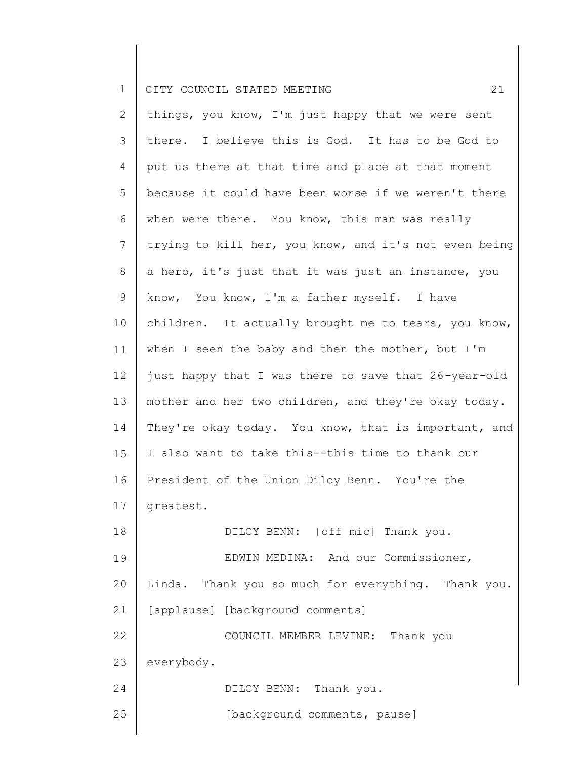2 3 4 5 6 7 8 9 10 11 12 13 14 15 16 17 18 19 20 21 22 23 24 25 things, you know, I'm just happy that we were sent there. I believe this is God. It has to be God to put us there at that time and place at that moment because it could have been worse if we weren't there when were there. You know, this man was really trying to kill her, you know, and it's not even being a hero, it's just that it was just an instance, you know, You know, I'm a father myself. I have children. It actually brought me to tears, you know, when I seen the baby and then the mother, but I'm just happy that I was there to save that 26-year-old mother and her two children, and they're okay today. They're okay today. You know, that is important, and I also want to take this--this time to thank our President of the Union Dilcy Benn. You're the greatest. DILCY BENN: [off mic] Thank you. EDWIN MEDINA: And our Commissioner, Linda. Thank you so much for everything. Thank you. [applause] [background comments] COUNCIL MEMBER LEVINE: Thank you everybody. DILCY BENN: Thank you. [background comments, pause]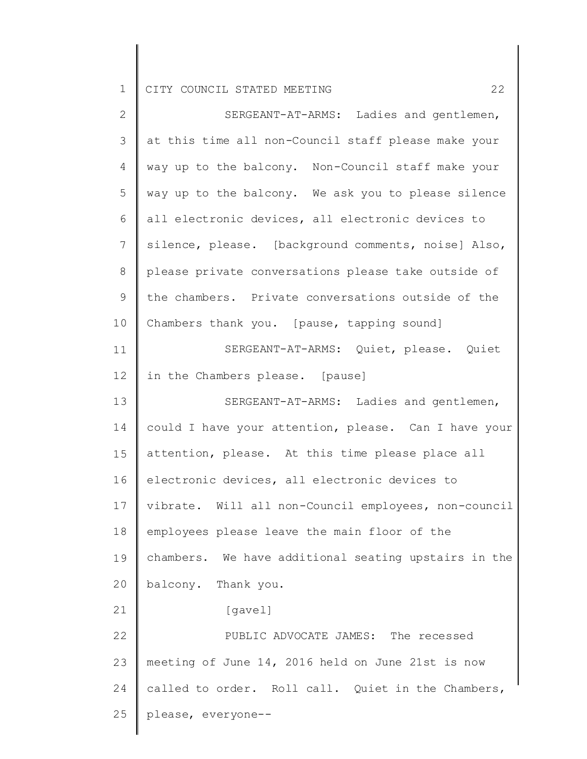| $\mathbf{2}$   | SERGEANT-AT-ARMS: Ladies and gentlemen,              |
|----------------|------------------------------------------------------|
| $\mathfrak{Z}$ | at this time all non-Council staff please make your  |
| $\overline{4}$ | way up to the balcony. Non-Council staff make your   |
| $\mathsf S$    | way up to the balcony. We ask you to please silence  |
| 6              | all electronic devices, all electronic devices to    |
| $7\phantom{.}$ | silence, please. [background comments, noise] Also,  |
| $8\,$          | please private conversations please take outside of  |
| $\mathsf 9$    | the chambers. Private conversations outside of the   |
| 10             | Chambers thank you. [pause, tapping sound]           |
| 11             | SERGEANT-AT-ARMS: Quiet, please. Quiet               |
| 12             | in the Chambers please. [pause]                      |
| 13             | SERGEANT-AT-ARMS: Ladies and gentlemen,              |
| 14             | could I have your attention, please. Can I have your |
| 15             | attention, please. At this time please place all     |
| 16             | electronic devices, all electronic devices to        |
| 17             | vibrate. Will all non-Council employees, non-council |
| 18             | employees please leave the main floor of the         |
| 19             | chambers. We have additional seating upstairs in the |
| 20             | balcony. Thank you.                                  |
| 21             | [gavel]                                              |
| 22             | PUBLIC ADVOCATE JAMES: The recessed                  |
| 23             | meeting of June 14, 2016 held on June 21st is now    |
| 24             | called to order. Roll call. Quiet in the Chambers,   |
| 25             | please, everyone--                                   |
|                |                                                      |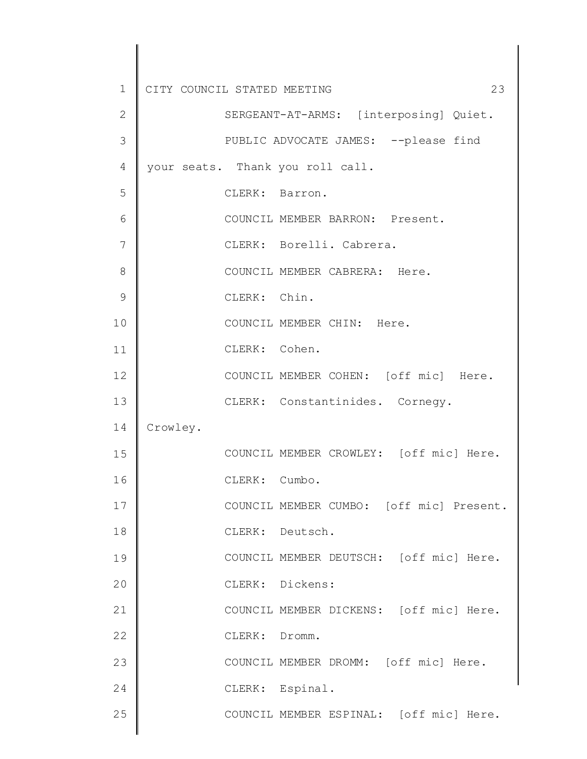| $\mathbf 1$  | CITY COUNCIL STATED MEETING<br>23        |
|--------------|------------------------------------------|
| $\mathbf{2}$ | SERGEANT-AT-ARMS: [interposing] Quiet.   |
| 3            | PUBLIC ADVOCATE JAMES: -- please find    |
| 4            | your seats. Thank you roll call.         |
| 5            | CLERK: Barron.                           |
| 6            | COUNCIL MEMBER BARRON: Present.          |
| 7            | CLERK: Borelli. Cabrera.                 |
| 8            | COUNCIL MEMBER CABRERA: Here.            |
| 9            | CLERK: Chin.                             |
| 10           | COUNCIL MEMBER CHIN: Here.               |
| 11           | CLERK: Cohen.                            |
| 12           | COUNCIL MEMBER COHEN: [off mic] Here.    |
| 13           | CLERK: Constantinides. Cornegy.          |
| 14           | Crowley.                                 |
| 15           | COUNCIL MEMBER CROWLEY: [off mic] Here.  |
| 16           | CLERK: Cumbo.                            |
| 17           | COUNCIL MEMBER CUMBO: [off mic] Present. |
| 18           | CLERK: Deutsch.                          |
| 19           | COUNCIL MEMBER DEUTSCH: [off mic] Here.  |
| 20           | CLERK: Dickens:                          |
| 21           | COUNCIL MEMBER DICKENS: [off mic] Here.  |
| 22           | CLERK: Dromm.                            |
| 23           | COUNCIL MEMBER DROMM: [off mic] Here.    |
| 24           | CLERK: Espinal.                          |
| 25           | COUNCIL MEMBER ESPINAL: [off mic] Here.  |
|              |                                          |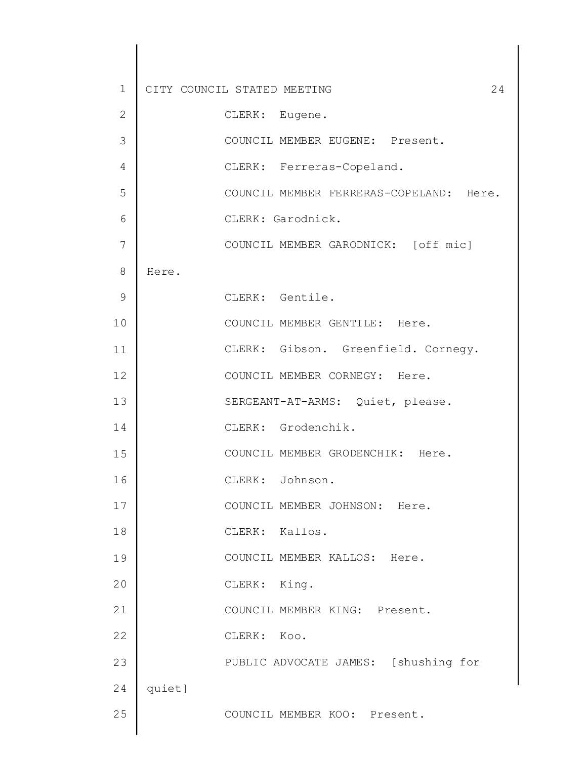| $\mathbf 1$    |        | CITY COUNCIL STATED MEETING<br>24       |  |
|----------------|--------|-----------------------------------------|--|
| $\mathbf{2}$   |        | CLERK: Eugene.                          |  |
| 3              |        | COUNCIL MEMBER EUGENE: Present.         |  |
| $\overline{4}$ |        | CLERK: Ferreras-Copeland.               |  |
| 5              |        | COUNCIL MEMBER FERRERAS-COPELAND: Here. |  |
| 6              |        | CLERK: Garodnick.                       |  |
| 7              |        | COUNCIL MEMBER GARODNICK: [off mic]     |  |
| 8              | Here.  |                                         |  |
| 9              |        | CLERK: Gentile.                         |  |
| 10             |        | COUNCIL MEMBER GENTILE: Here.           |  |
| 11             |        | CLERK: Gibson. Greenfield. Cornegy.     |  |
| 12             |        | COUNCIL MEMBER CORNEGY: Here.           |  |
| 13             |        | SERGEANT-AT-ARMS: Quiet, please.        |  |
| 14             |        | CLERK: Grodenchik.                      |  |
| 15             |        | COUNCIL MEMBER GRODENCHIK: Here.        |  |
| 16             |        | CLERK: Johnson.                         |  |
| 17             |        | COUNCIL MEMBER JOHNSON: Here.           |  |
| 18             |        | CLERK: Kallos.                          |  |
| 19             |        | COUNCIL MEMBER KALLOS: Here.            |  |
| 20             |        | CLERK: King.                            |  |
| 21             |        | COUNCIL MEMBER KING: Present.           |  |
| 22             |        | CLERK: Koo.                             |  |
| 23             |        | PUBLIC ADVOCATE JAMES: [shushing for    |  |
| 24             | quiet] |                                         |  |
| 25             |        | COUNCIL MEMBER KOO: Present.            |  |
|                |        |                                         |  |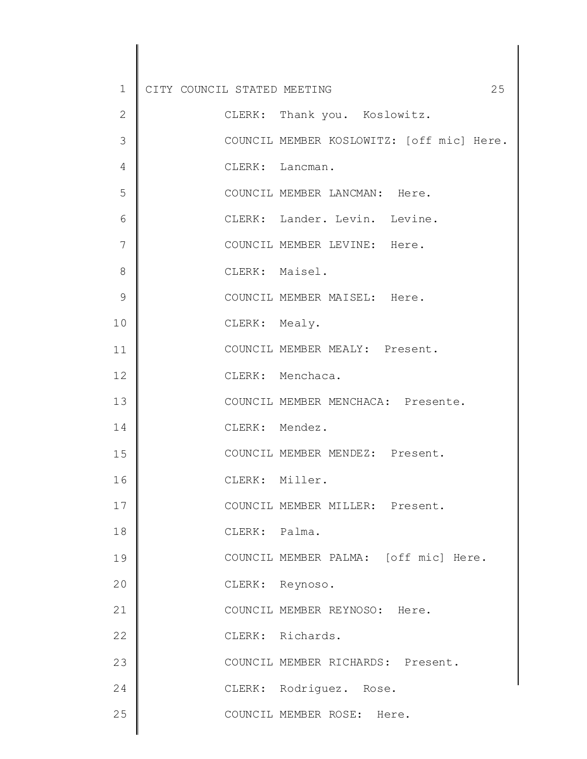| $\mathbf 1$    | 25<br>CITY COUNCIL STATED MEETING         |
|----------------|-------------------------------------------|
| $\mathbf{2}$   | CLERK: Thank you. Koslowitz.              |
| 3              | COUNCIL MEMBER KOSLOWITZ: [off mic] Here. |
| 4              | CLERK: Lancman.                           |
| 5              | COUNCIL MEMBER LANCMAN: Here.             |
| 6              | CLERK: Lander. Levin. Levine.             |
| $\overline{7}$ | COUNCIL MEMBER LEVINE: Here.              |
| 8              | CLERK: Maisel.                            |
| 9              | COUNCIL MEMBER MAISEL: Here.              |
| 10             | CLERK: Mealy.                             |
| 11             | COUNCIL MEMBER MEALY: Present.            |
| 12             | CLERK: Menchaca.                          |
| 13             | COUNCIL MEMBER MENCHACA: Presente.        |
| 14             | CLERK: Mendez.                            |
| 15             | COUNCIL MEMBER MENDEZ: Present.           |
| 16             | CLERK: Miller.                            |
| 17             | COUNCIL MEMBER MILLER: Present.           |
| 18             | CLERK: Palma.                             |
| 19             | COUNCIL MEMBER PALMA: [off mic] Here.     |
| 20             | CLERK: Reynoso.                           |
| 21             | COUNCIL MEMBER REYNOSO: Here.             |
| 22             | CLERK: Richards.                          |
| 23             | COUNCIL MEMBER RICHARDS: Present.         |
| 24             | CLERK: Rodriguez. Rose.                   |
| 25             | COUNCIL MEMBER ROSE: Here.                |
|                |                                           |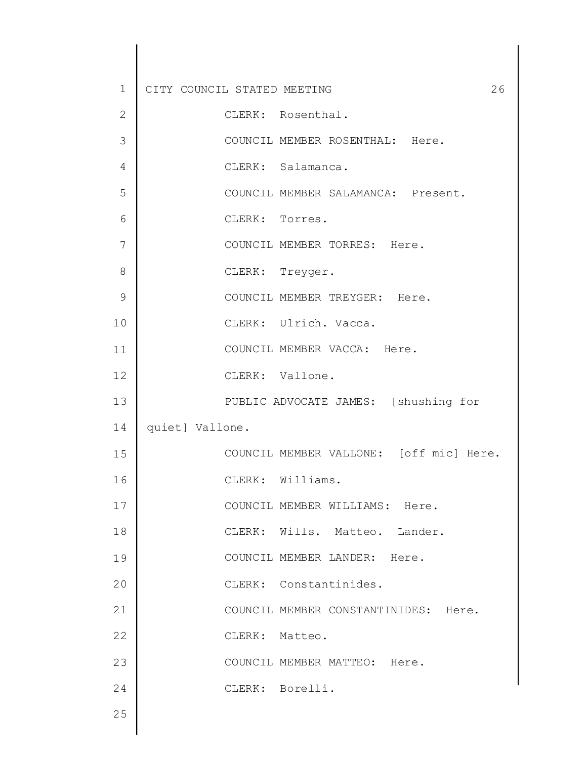| $\mathbf 1$    | 26<br>CITY COUNCIL STATED MEETING       |
|----------------|-----------------------------------------|
| $\mathbf{2}$   | CLERK: Rosenthal.                       |
| 3              | COUNCIL MEMBER ROSENTHAL: Here.         |
| $\overline{4}$ | CLERK: Salamanca.                       |
| 5              | COUNCIL MEMBER SALAMANCA: Present.      |
| 6              | CLERK: Torres.                          |
| 7              | COUNCIL MEMBER TORRES: Here.            |
| 8              | CLERK: Treyger.                         |
| 9              | COUNCIL MEMBER TREYGER: Here.           |
| 10             | CLERK: Ulrich. Vacca.                   |
| 11             | COUNCIL MEMBER VACCA: Here.             |
| 12             | CLERK: Vallone.                         |
| 13             | PUBLIC ADVOCATE JAMES: [shushing for    |
| 14             | quiet] Vallone.                         |
| 15             | COUNCIL MEMBER VALLONE: [off mic] Here. |
| 16             | CLERK: Williams.                        |
| 17             | COUNCIL MEMBER WILLIAMS: Here.          |
| 18             | CLERK: Wills. Matteo. Lander.           |
| 19             | COUNCIL MEMBER LANDER: Here.            |
| 20             | CLERK: Constantinides.                  |
| 21             | COUNCIL MEMBER CONSTANTINIDES: Here.    |
| 22             | CLERK: Matteo.                          |
| 23             | COUNCIL MEMBER MATTEO: Here.            |
| 24             | CLERK: Borelli.                         |
| 25             |                                         |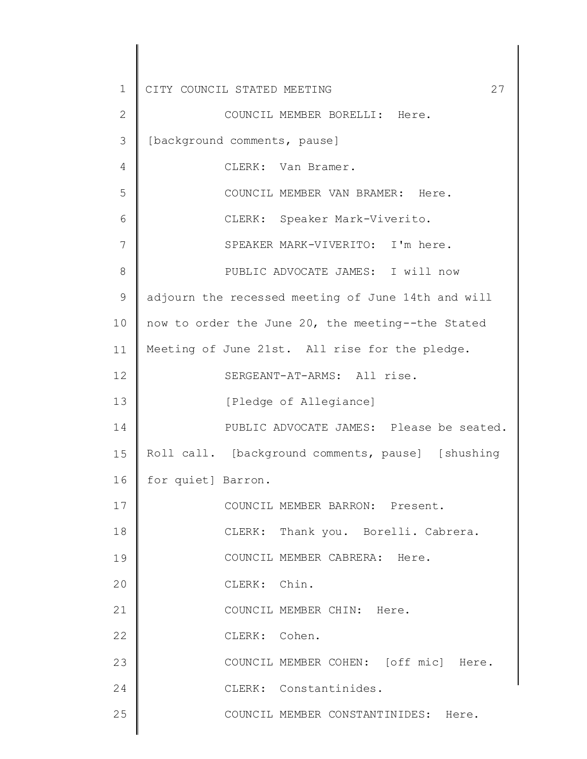1 2 3 4 5 6 7 8 9 10 11 12 13 14 15 16 17 18 19 20 21 22 23 24 25 CITY COUNCIL STATED MEETING 27 COUNCIL MEMBER BORELLI: Here. [background comments, pause] CLERK: Van Bramer. COUNCIL MEMBER VAN BRAMER: Here. CLERK: Speaker Mark-Viverito. SPEAKER MARK-VIVERITO: I'm here. PUBLIC ADVOCATE JAMES: I will now adjourn the recessed meeting of June 14th and will now to order the June 20, the meeting--the Stated Meeting of June 21st. All rise for the pledge. SERGEANT-AT-ARMS: All rise. [Pledge of Allegiance] PUBLIC ADVOCATE JAMES: Please be seated. Roll call. [background comments, pause] [shushing for quiet] Barron. COUNCIL MEMBER BARRON: Present. CLERK: Thank you. Borelli. Cabrera. COUNCIL MEMBER CABRERA: Here. CLERK: Chin. COUNCIL MEMBER CHIN: Here. CLERK: Cohen. COUNCIL MEMBER COHEN: [off mic] Here. CLERK: Constantinides. COUNCIL MEMBER CONSTANTINIDES: Here.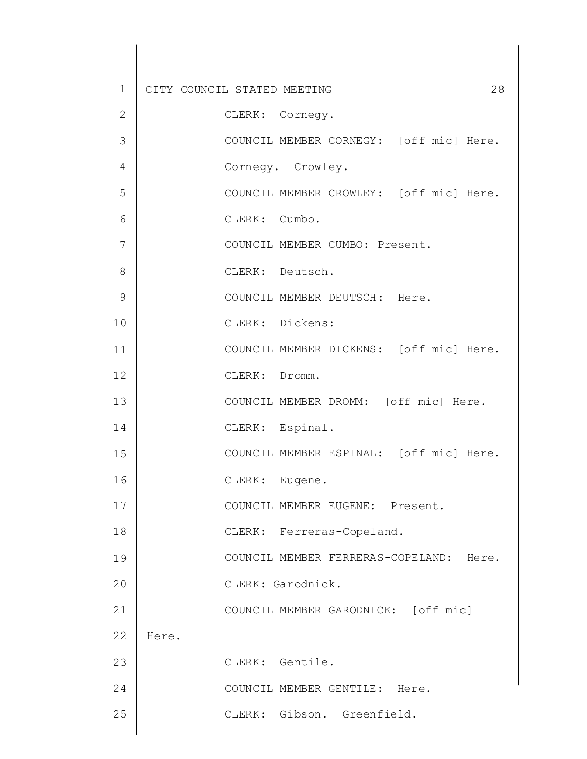| $\mathbf 1$  | 28<br>CITY COUNCIL STATED MEETING       |
|--------------|-----------------------------------------|
| $\mathbf{2}$ | CLERK: Cornegy.                         |
| 3            | COUNCIL MEMBER CORNEGY: [off mic] Here. |
| 4            | Cornegy. Crowley.                       |
| 5            | COUNCIL MEMBER CROWLEY: [off mic] Here. |
| 6            | CLERK: Cumbo.                           |
| 7            | COUNCIL MEMBER CUMBO: Present.          |
| 8            | CLERK: Deutsch.                         |
| 9            | COUNCIL MEMBER DEUTSCH: Here.           |
| 10           | CLERK: Dickens:                         |
| 11           | COUNCIL MEMBER DICKENS: [off mic] Here. |
| 12           | CLERK: Dromm.                           |
| 13           | COUNCIL MEMBER DROMM: [off mic] Here.   |
| 14           | CLERK: Espinal.                         |
| 15           | COUNCIL MEMBER ESPINAL: [off mic] Here. |
| 16           | CLERK: Eugene.                          |
| 17           | COUNCIL MEMBER EUGENE: Present.         |
| 18           | CLERK: Ferreras-Copeland.               |
| 19           | COUNCIL MEMBER FERRERAS-COPELAND: Here. |
| 20           | CLERK: Garodnick.                       |
| 21           | COUNCIL MEMBER GARODNICK: [off mic]     |
| 22           | Here.                                   |
| 23           | CLERK: Gentile.                         |
| 24           | COUNCIL MEMBER GENTILE: Here.           |
| 25           | CLERK: Gibson. Greenfield.              |
|              |                                         |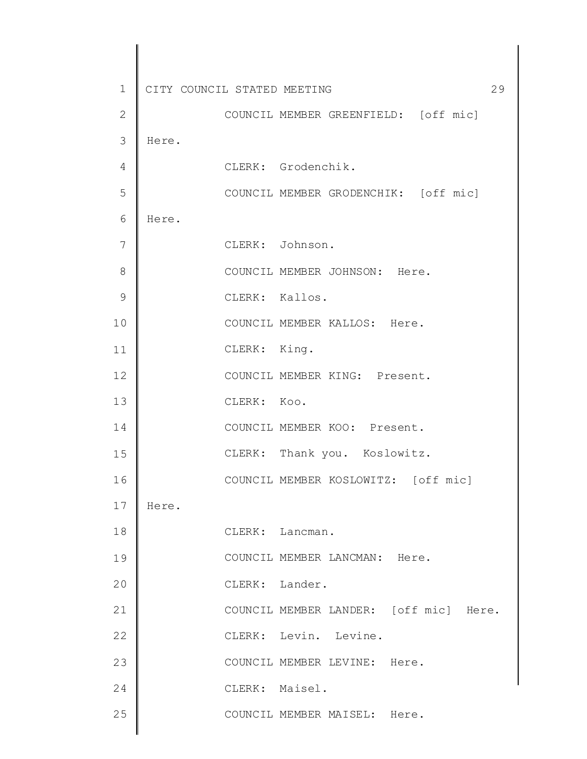| $\mathbf 1$  | CITY COUNCIL STATED MEETING |                | 29                                     |
|--------------|-----------------------------|----------------|----------------------------------------|
| $\mathbf{2}$ |                             |                | COUNCIL MEMBER GREENFIELD: [off mic]   |
| 3            | Here.                       |                |                                        |
| 4            |                             |                | CLERK: Grodenchik.                     |
| 5            |                             |                | COUNCIL MEMBER GRODENCHIK: [off mic]   |
| 6            | Here.                       |                |                                        |
| 7            |                             |                | CLERK: Johnson.                        |
| 8            |                             |                | COUNCIL MEMBER JOHNSON: Here.          |
| 9            |                             | CLERK: Kallos. |                                        |
| 10           |                             |                | COUNCIL MEMBER KALLOS: Here.           |
| 11           |                             | CLERK: King.   |                                        |
| 12           |                             |                | COUNCIL MEMBER KING: Present.          |
| 13           |                             | CLERK: Koo.    |                                        |
| 14           |                             |                | COUNCIL MEMBER KOO: Present.           |
| 15           |                             |                | CLERK: Thank you. Koslowitz.           |
| 16           |                             |                | COUNCIL MEMBER KOSLOWITZ: [off mic]    |
| 17           | Here.                       |                |                                        |
| 18           |                             |                | CLERK: Lancman.                        |
| 19           |                             |                | COUNCIL MEMBER LANCMAN: Here.          |
| 20           |                             | CLERK: Lander. |                                        |
| 21           |                             |                | COUNCIL MEMBER LANDER: [off mic] Here. |
| 22           |                             |                | CLERK: Levin. Levine.                  |
| 23           |                             |                | COUNCIL MEMBER LEVINE: Here.           |
| 24           |                             | CLERK: Maisel. |                                        |
| 25           |                             |                | COUNCIL MEMBER MAISEL: Here.           |
|              |                             |                |                                        |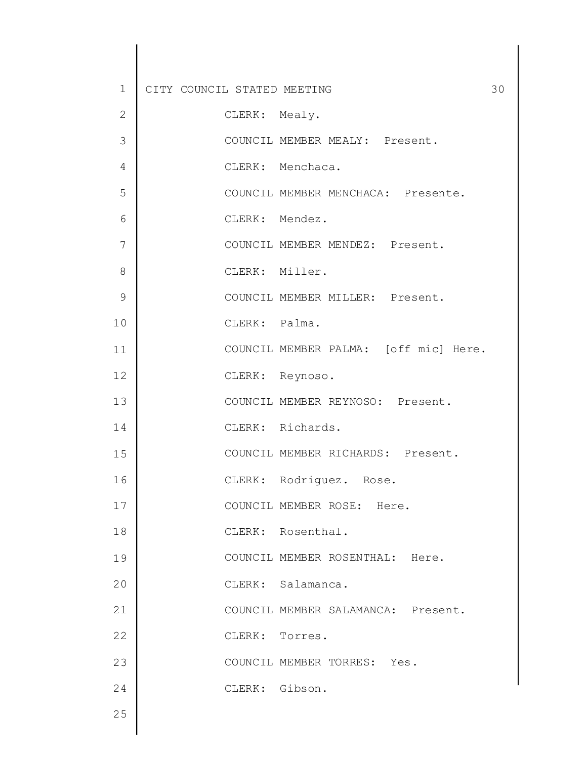| $\mathbf 1$   | 30<br>CITY COUNCIL STATED MEETING     |
|---------------|---------------------------------------|
| $\mathbf{2}$  | CLERK: Mealy.                         |
| 3             | COUNCIL MEMBER MEALY: Present.        |
| 4             | CLERK: Menchaca.                      |
| 5             | COUNCIL MEMBER MENCHACA: Presente.    |
| 6             | CLERK: Mendez.                        |
| 7             | COUNCIL MEMBER MENDEZ: Present.       |
| 8             | CLERK: Miller.                        |
| $\mathcal{G}$ | COUNCIL MEMBER MILLER: Present.       |
| 10            | CLERK: Palma.                         |
| 11            | COUNCIL MEMBER PALMA: [off mic] Here. |
| 12            | CLERK: Reynoso.                       |
| 13            | COUNCIL MEMBER REYNOSO: Present.      |
| 14            | CLERK: Richards.                      |
| 15            | COUNCIL MEMBER RICHARDS: Present.     |
| 16            | CLERK: Rodriguez. Rose.               |
| 17            | COUNCIL MEMBER ROSE: Here.            |
| 18            | CLERK: Rosenthal.                     |
| 19            | COUNCIL MEMBER ROSENTHAL: Here.       |
| 20            | CLERK: Salamanca.                     |
| 21            | COUNCIL MEMBER SALAMANCA: Present.    |
| 22            | CLERK: Torres.                        |
| 23            | COUNCIL MEMBER TORRES: Yes.           |
| 24            | CLERK: Gibson.                        |
| 25            |                                       |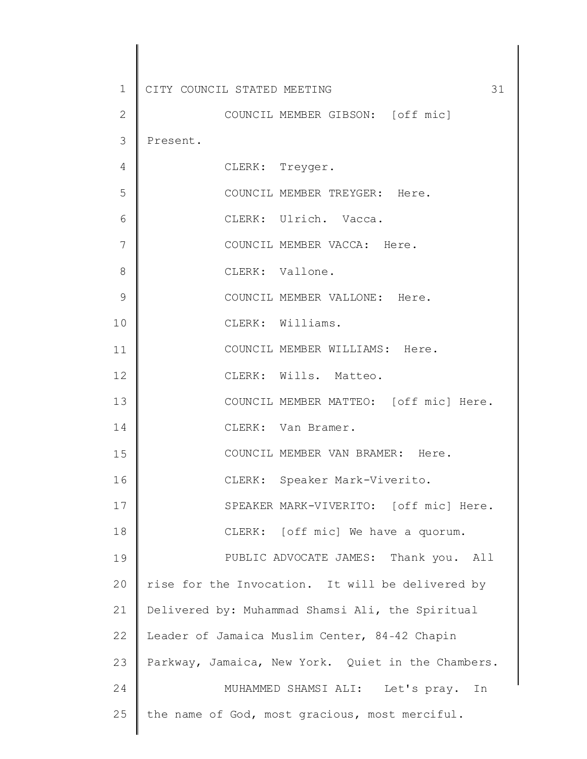| $\mathbf 1$  | 31<br>CITY COUNCIL STATED MEETING                  |
|--------------|----------------------------------------------------|
| $\mathbf{2}$ | COUNCIL MEMBER GIBSON: [off mic]                   |
| 3            | Present.                                           |
| 4            | CLERK: Treyger.                                    |
| 5            | COUNCIL MEMBER TREYGER: Here.                      |
| 6            | CLERK: Ulrich. Vacca.                              |
| 7            | COUNCIL MEMBER VACCA: Here.                        |
| 8            | CLERK: Vallone.                                    |
| 9            | COUNCIL MEMBER VALLONE: Here.                      |
| 10           | CLERK: Williams.                                   |
| 11           | COUNCIL MEMBER WILLIAMS: Here.                     |
| 12           | CLERK: Wills. Matteo.                              |
| 13           | COUNCIL MEMBER MATTEO: [off mic] Here.             |
| 14           | CLERK: Van Bramer.                                 |
| 15           | COUNCIL MEMBER VAN BRAMER: Here.                   |
| 16           | CLERK: Speaker Mark-Viverito.                      |
| 17           | SPEAKER MARK-VIVERITO: [off mic] Here.             |
| 18           | CLERK: [off mic] We have a quorum.                 |
| 19           | PUBLIC ADVOCATE JAMES: Thank you. All              |
| 20           | rise for the Invocation. It will be delivered by   |
| 21           | Delivered by: Muhammad Shamsi Ali, the Spiritual   |
| 22           | Leader of Jamaica Muslim Center, 84-42 Chapin      |
| 23           | Parkway, Jamaica, New York. Quiet in the Chambers. |
| 24           | MUHAMMED SHAMSI ALI: Let's pray. In                |
| 25           | the name of God, most gracious, most merciful.     |
|              |                                                    |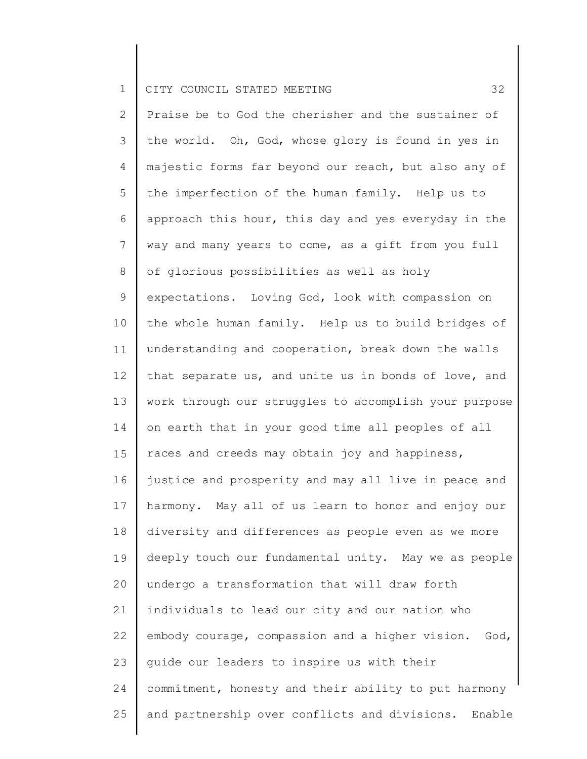| $\overline{2}$ | Praise be to God the cherisher and the sustainer of     |
|----------------|---------------------------------------------------------|
| $\mathcal{S}$  | the world. Oh, God, whose glory is found in yes in      |
| 4              | majestic forms far beyond our reach, but also any of    |
| 5              | the imperfection of the human family. Help us to        |
| 6              | approach this hour, this day and yes everyday in the    |
| $\overline{7}$ | way and many years to come, as a gift from you full     |
| $8\,$          | of glorious possibilities as well as holy               |
| 9              | expectations. Loving God, look with compassion on       |
| 10             | the whole human family. Help us to build bridges of     |
| 11             | understanding and cooperation, break down the walls     |
| 12             | that separate us, and unite us in bonds of love, and    |
| 13             | work through our struggles to accomplish your purpose   |
| 14             | on earth that in your good time all peoples of all      |
| 15             | races and creeds may obtain joy and happiness,          |
| 16             | justice and prosperity and may all live in peace and    |
| 17             | harmony. May all of us learn to honor and enjoy our     |
| 18             | diversity and differences as people even as we more     |
| 19             | deeply touch our fundamental unity. May we as people    |
| 20             | undergo a transformation that will draw forth           |
| 21             | individuals to lead our city and our nation who         |
| 22             | embody courage, compassion and a higher vision.<br>God, |
| 23             | guide our leaders to inspire us with their              |
| 24             | commitment, honesty and their ability to put harmony    |
| 25             | and partnership over conflicts and divisions. Enable    |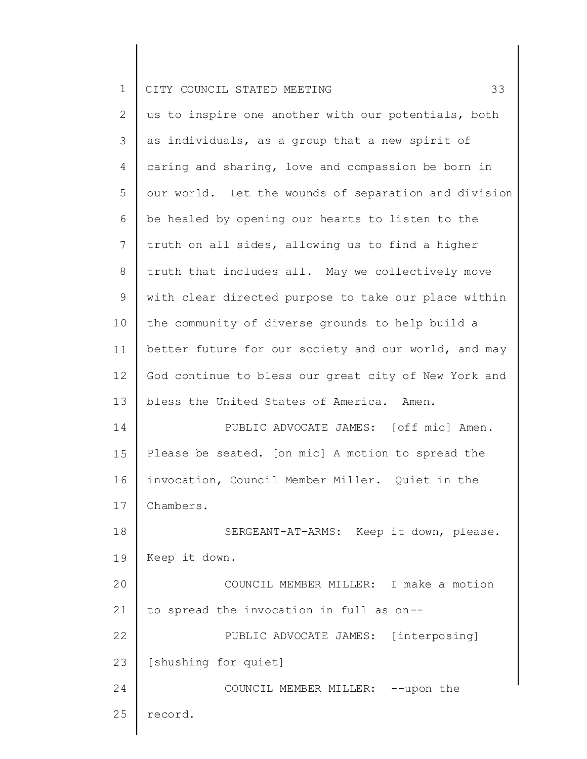|  |  | 1 CITY COUNCIL STATED MEETING |  | $\sim$ |
|--|--|-------------------------------|--|--------|
|  |  |                               |  |        |

| $\overline{2}$ | us to inspire one another with our potentials, both  |
|----------------|------------------------------------------------------|
| 3              | as individuals, as a group that a new spirit of      |
| $\overline{4}$ | caring and sharing, love and compassion be born in   |
| 5              | our world. Let the wounds of separation and division |
| 6              | be healed by opening our hearts to listen to the     |
| $7\phantom{.}$ | truth on all sides, allowing us to find a higher     |
| 8              | truth that includes all. May we collectively move    |
| 9              | with clear directed purpose to take our place within |
| 10             | the community of diverse grounds to help build a     |
| 11             | better future for our society and our world, and may |
| 12             | God continue to bless our great city of New York and |
| 13             | bless the United States of America. Amen.            |
| 14             | PUBLIC ADVOCATE JAMES: [off mic] Amen.               |
| 15             | Please be seated. [on mic] A motion to spread the    |
| 16             | invocation, Council Member Miller. Quiet in the      |
| 17             | Chambers.                                            |
| 18             | SERGEANT-AT-ARMS: Keep it down, please.              |
| 19             | Keep it down.                                        |
| 20             | COUNCIL MEMBER MILLER: I make a motion               |
| 21             | to spread the invocation in full as on--             |
| 22             | PUBLIC ADVOCATE JAMES: [interposing]                 |
| 23             | [shushing for quiet]                                 |
| 24             | COUNCIL MEMBER MILLER: -- upon the                   |
| 25             | record.                                              |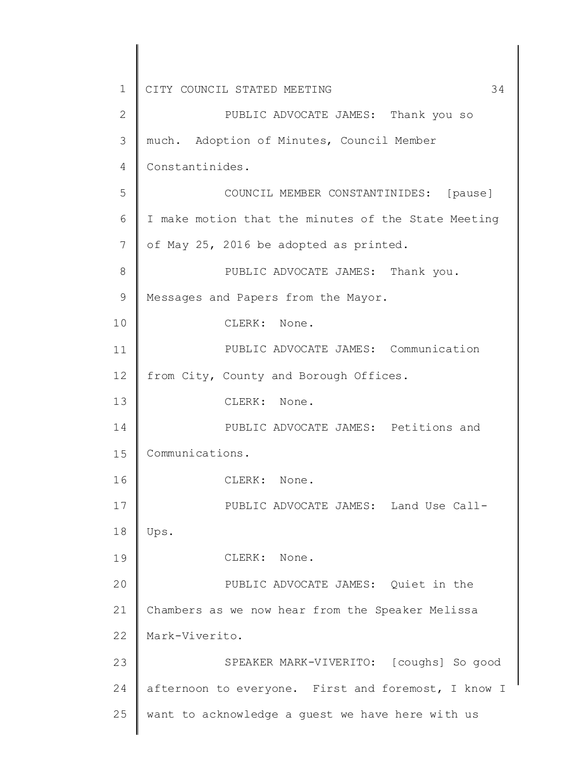1 2 3 4 5 6 7 8 9 10 11 12 13 14 15 16 17 18 19 20 21 22 23 24 25 CITY COUNCIL STATED MEETING 34 PUBLIC ADVOCATE JAMES: Thank you so much. Adoption of Minutes, Council Member Constantinides. COUNCIL MEMBER CONSTANTINIDES: [pause] I make motion that the minutes of the State Meeting of May 25, 2016 be adopted as printed. PUBLIC ADVOCATE JAMES: Thank you. Messages and Papers from the Mayor. CLERK: None. PUBLIC ADVOCATE JAMES: Communication from City, County and Borough Offices. CLERK: None. PUBLIC ADVOCATE JAMES: Petitions and Communications. CLERK: None. PUBLIC ADVOCATE JAMES: Land Use Call-Ups. CLERK: None. PUBLIC ADVOCATE JAMES: Quiet in the Chambers as we now hear from the Speaker Melissa Mark-Viverito. SPEAKER MARK-VIVERITO: [coughs] So good afternoon to everyone. First and foremost, I know I want to acknowledge a guest we have here with us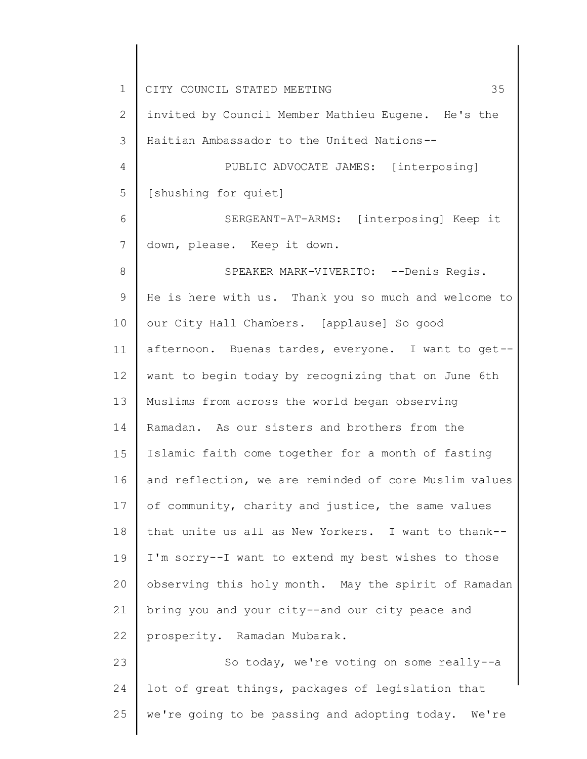1 2 3 4 5 6 7 8 9 10 11 12 13 14 15 16 17 18 19 20 21 22 23 24 25 CITY COUNCIL STATED MEETING 35 invited by Council Member Mathieu Eugene. He's the Haitian Ambassador to the United Nations-- PUBLIC ADVOCATE JAMES: [interposing] [shushing for quiet] SERGEANT-AT-ARMS: [interposing] Keep it down, please. Keep it down. SPEAKER MARK-VIVERITO: --Denis Regis. He is here with us. Thank you so much and welcome to our City Hall Chambers. [applause] So good afternoon. Buenas tardes, everyone. I want to get- want to begin today by recognizing that on June 6th Muslims from across the world began observing Ramadan. As our sisters and brothers from the Islamic faith come together for a month of fasting and reflection, we are reminded of core Muslim values of community, charity and justice, the same values that unite us all as New Yorkers. I want to thank-- I'm sorry--I want to extend my best wishes to those observing this holy month. May the spirit of Ramadan bring you and your city--and our city peace and prosperity. Ramadan Mubarak. So today, we're voting on some really--a lot of great things, packages of legislation that we're going to be passing and adopting today. We're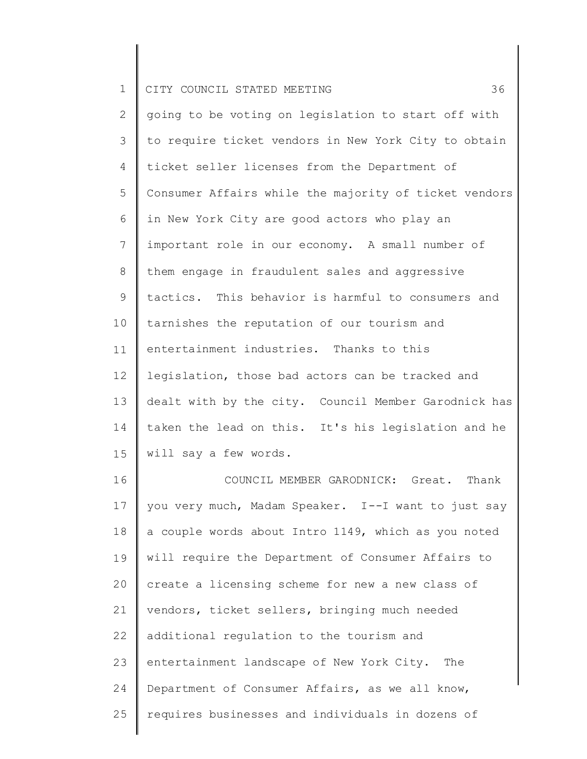| $\mathbf 1$    | 36<br>CITY COUNCIL STATED MEETING                     |
|----------------|-------------------------------------------------------|
| $\mathbf{2}$   | going to be voting on legislation to start off with   |
| 3              | to require ticket vendors in New York City to obtain  |
| $\overline{4}$ | ticket seller licenses from the Department of         |
| 5              | Consumer Affairs while the majority of ticket vendors |
| 6              | in New York City are good actors who play an          |
| $7\phantom{.}$ | important role in our economy. A small number of      |
| 8              | them engage in fraudulent sales and aggressive        |
| $\mathcal{G}$  | tactics. This behavior is harmful to consumers and    |
| 10             | tarnishes the reputation of our tourism and           |
| 11             | entertainment industries. Thanks to this              |
| 12             | legislation, those bad actors can be tracked and      |
| 13             | dealt with by the city. Council Member Garodnick has  |
| 14             | taken the lead on this. It's his legislation and he   |
| 15             | will say a few words.                                 |
| 16             | COUNCIL MEMBER GARODNICK: Great. Thank                |
| 17             | Vou very much Madam Speaker I--I want to just say     |

 $\perp$  / 18 19 20 21 22 23 24 25 you very much, Madam Speaker. I--I want to just say a couple words about Intro 1149, which as you noted will require the Department of Consumer Affairs to create a licensing scheme for new a new class of vendors, ticket sellers, bringing much needed additional regulation to the tourism and entertainment landscape of New York City. The Department of Consumer Affairs, as we all know, requires businesses and individuals in dozens of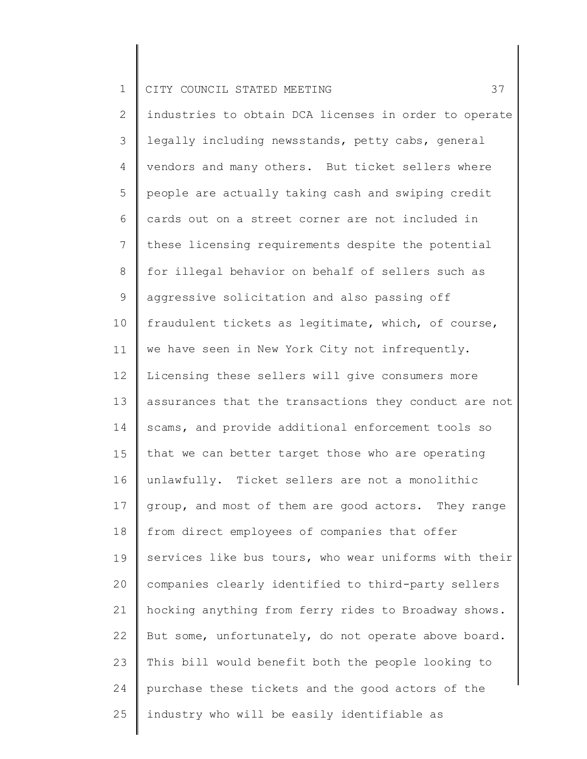2 3 4 5 6 7 8 9 10 11 12 13 14 15 16 17 18 19 20 21 22 23 24 25 industries to obtain DCA licenses in order to operate legally including newsstands, petty cabs, general vendors and many others. But ticket sellers where people are actually taking cash and swiping credit cards out on a street corner are not included in these licensing requirements despite the potential for illegal behavior on behalf of sellers such as aggressive solicitation and also passing off fraudulent tickets as legitimate, which, of course, we have seen in New York City not infrequently. Licensing these sellers will give consumers more assurances that the transactions they conduct are not scams, and provide additional enforcement tools so that we can better target those who are operating unlawfully. Ticket sellers are not a monolithic group, and most of them are good actors. They range from direct employees of companies that offer services like bus tours, who wear uniforms with their companies clearly identified to third-party sellers hocking anything from ferry rides to Broadway shows. But some, unfortunately, do not operate above board. This bill would benefit both the people looking to purchase these tickets and the good actors of the industry who will be easily identifiable as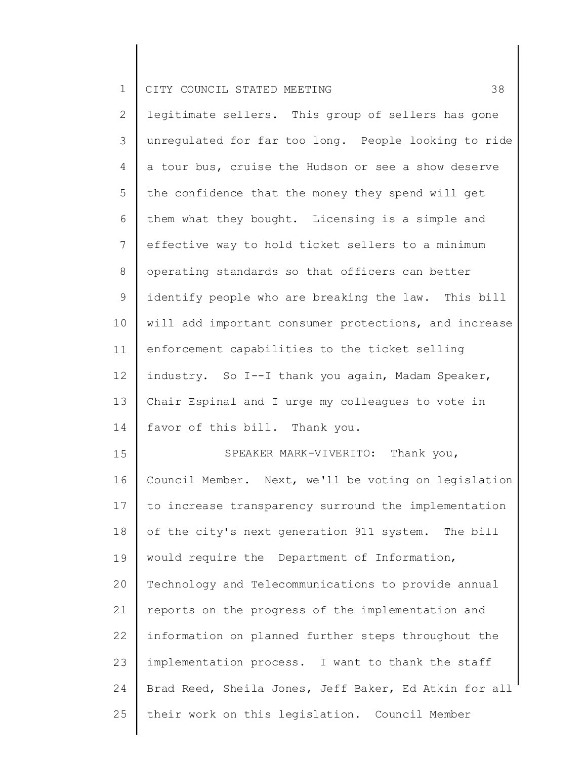|  |  | 1 CITY COUNCIL STATED MEETING |  |  |  |  |  |
|--|--|-------------------------------|--|--|--|--|--|
|--|--|-------------------------------|--|--|--|--|--|

19

2 3 4 5 6 7 8 9 10 11 12 13 14 15 16 17 18 legitimate sellers. This group of sellers has gone unregulated for far too long. People looking to ride a tour bus, cruise the Hudson or see a show deserve the confidence that the money they spend will get them what they bought. Licensing is a simple and effective way to hold ticket sellers to a minimum operating standards so that officers can better identify people who are breaking the law. This bill will add important consumer protections, and increase enforcement capabilities to the ticket selling industry. So I--I thank you again, Madam Speaker, Chair Espinal and I urge my colleagues to vote in favor of this bill. Thank you. SPEAKER MARK-VIVERITO: Thank you, Council Member. Next, we'll be voting on legislation to increase transparency surround the implementation of the city's next generation 911 system. The bill

20 21 22 23 24 25 Technology and Telecommunications to provide annual reports on the progress of the implementation and information on planned further steps throughout the implementation process. I want to thank the staff Brad Reed, Sheila Jones, Jeff Baker, Ed Atkin for all their work on this legislation. Council Member

would require the Department of Information,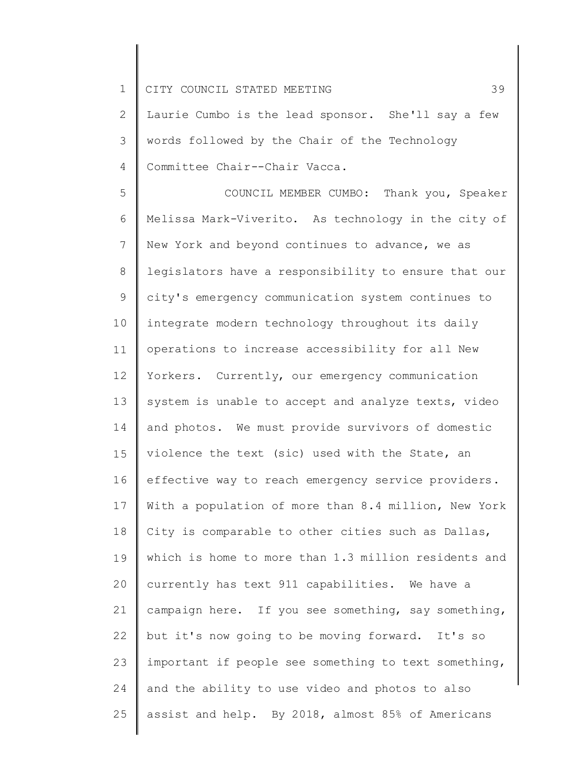2 3 4 Laurie Cumbo is the lead sponsor. She'll say a few words followed by the Chair of the Technology Committee Chair--Chair Vacca.

5 6 7 8 9 10 11 12 13 14 15 16 17 18 19 20 21 22 23 24 25 COUNCIL MEMBER CUMBO: Thank you, Speaker Melissa Mark-Viverito. As technology in the city of New York and beyond continues to advance, we as legislators have a responsibility to ensure that our city's emergency communication system continues to integrate modern technology throughout its daily operations to increase accessibility for all New Yorkers. Currently, our emergency communication system is unable to accept and analyze texts, video and photos. We must provide survivors of domestic violence the text (sic) used with the State, an effective way to reach emergency service providers. With a population of more than 8.4 million, New York City is comparable to other cities such as Dallas, which is home to more than 1.3 million residents and currently has text 911 capabilities. We have a campaign here. If you see something, say something, but it's now going to be moving forward. It's so important if people see something to text something, and the ability to use video and photos to also assist and help. By 2018, almost 85% of Americans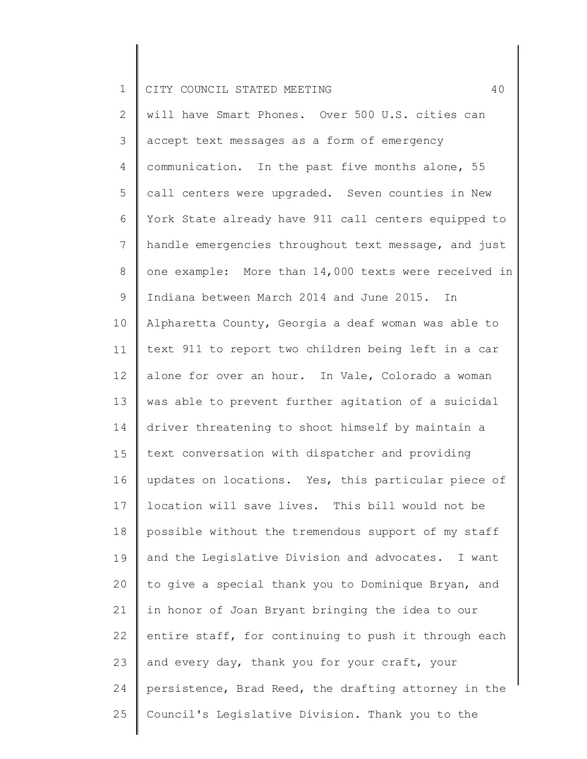2 3 4 5 6 7 8 9 10 11 12 13 14 15 16 17 18 19 20 21 22 23 24 25 will have Smart Phones. Over 500 U.S. cities can accept text messages as a form of emergency communication. In the past five months alone, 55 call centers were upgraded. Seven counties in New York State already have 911 call centers equipped to handle emergencies throughout text message, and just one example: More than 14,000 texts were received in Indiana between March 2014 and June 2015. In Alpharetta County, Georgia a deaf woman was able to text 911 to report two children being left in a car alone for over an hour. In Vale, Colorado a woman was able to prevent further agitation of a suicidal driver threatening to shoot himself by maintain a text conversation with dispatcher and providing updates on locations. Yes, this particular piece of location will save lives. This bill would not be possible without the tremendous support of my staff and the Legislative Division and advocates. I want to give a special thank you to Dominique Bryan, and in honor of Joan Bryant bringing the idea to our entire staff, for continuing to push it through each and every day, thank you for your craft, your persistence, Brad Reed, the drafting attorney in the Council's Legislative Division. Thank you to the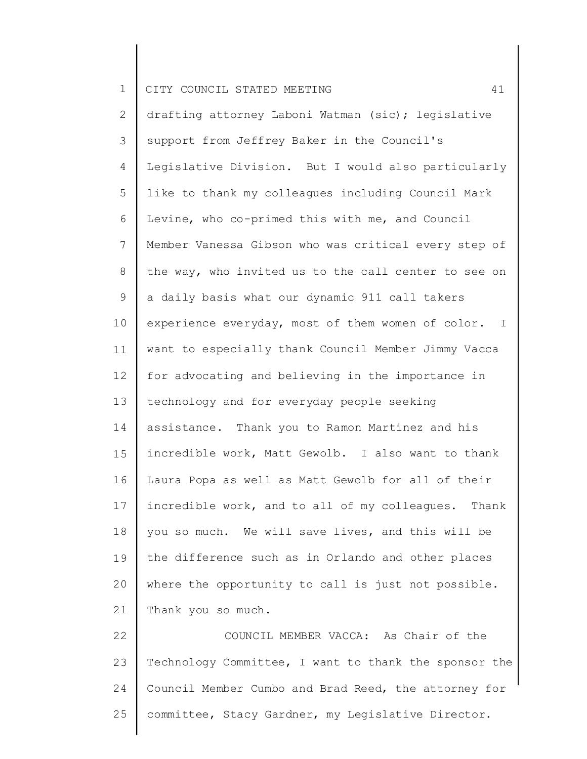2 3 4 5 6 7 8 9 10 11 12 13 14 15 16 17 18 19 20 21 drafting attorney Laboni Watman (sic); legislative support from Jeffrey Baker in the Council's Legislative Division. But I would also particularly like to thank my colleagues including Council Mark Levine, who co-primed this with me, and Council Member Vanessa Gibson who was critical every step of the way, who invited us to the call center to see on a daily basis what our dynamic 911 call takers experience everyday, most of them women of color. I want to especially thank Council Member Jimmy Vacca for advocating and believing in the importance in technology and for everyday people seeking assistance. Thank you to Ramon Martinez and his incredible work, Matt Gewolb. I also want to thank Laura Popa as well as Matt Gewolb for all of their incredible work, and to all of my colleagues. Thank you so much. We will save lives, and this will be the difference such as in Orlando and other places where the opportunity to call is just not possible. Thank you so much.

22 23 24 25 COUNCIL MEMBER VACCA: As Chair of the Technology Committee, I want to thank the sponsor the Council Member Cumbo and Brad Reed, the attorney for committee, Stacy Gardner, my Legislative Director.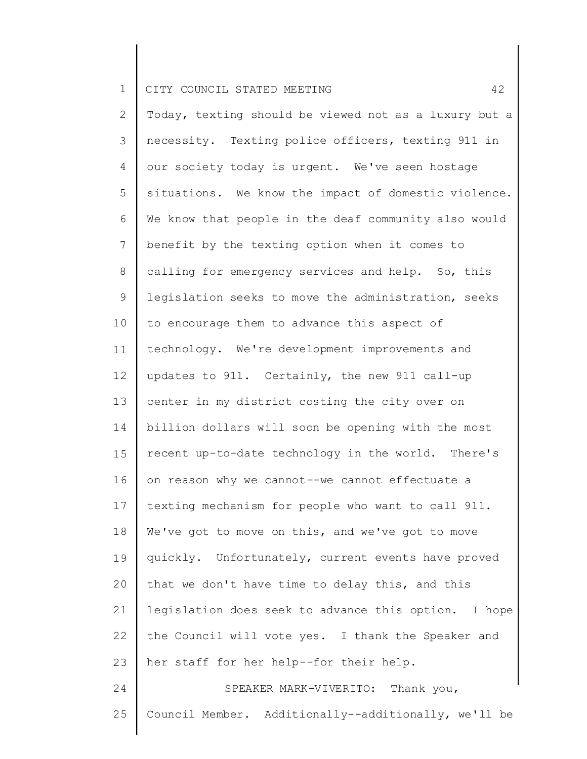2 3 4 5 6 7 8 9 10 11 12 13 14 15 16 17 18 19 20 21 22 23 24 25 Today, texting should be viewed not as a luxury but a necessity. Texting police officers, texting 911 in our society today is urgent. We've seen hostage situations. We know the impact of domestic violence. We know that people in the deaf community also would benefit by the texting option when it comes to calling for emergency services and help. So, this legislation seeks to move the administration, seeks to encourage them to advance this aspect of technology. We're development improvements and updates to 911. Certainly, the new 911 call-up center in my district costing the city over on billion dollars will soon be opening with the most recent up-to-date technology in the world. There's on reason why we cannot--we cannot effectuate a texting mechanism for people who want to call 911. We've got to move on this, and we've got to move quickly. Unfortunately, current events have proved that we don't have time to delay this, and this legislation does seek to advance this option. I hope the Council will vote yes. I thank the Speaker and her staff for her help--for their help. SPEAKER MARK-VIVERITO: Thank you, Council Member. Additionally--additionally, we'll be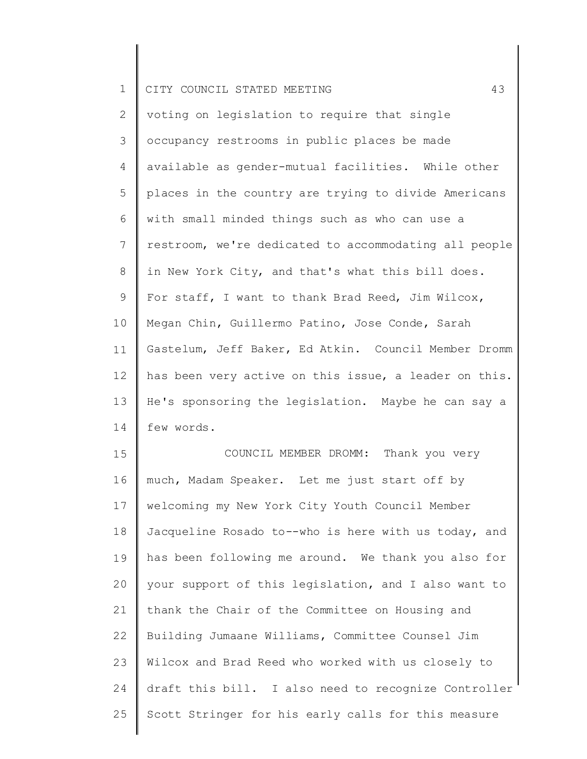| <b>TEMP</b> |  |  |  | CITY COUNCIL STATED MEETING |  |  |  |
|-------------|--|--|--|-----------------------------|--|--|--|
|-------------|--|--|--|-----------------------------|--|--|--|

2 3 4 5 6 7 8 9 10 11 12 13 14 voting on legislation to require that single occupancy restrooms in public places be made available as gender-mutual facilities. While other places in the country are trying to divide Americans with small minded things such as who can use a restroom, we're dedicated to accommodating all people in New York City, and that's what this bill does. For staff, I want to thank Brad Reed, Jim Wilcox, Megan Chin, Guillermo Patino, Jose Conde, Sarah Gastelum, Jeff Baker, Ed Atkin. Council Member Dromm has been very active on this issue, a leader on this. He's sponsoring the legislation. Maybe he can say a few words.

15 16 17 18 19 20 21 22 23 24 25 COUNCIL MEMBER DROMM: Thank you very much, Madam Speaker. Let me just start off by welcoming my New York City Youth Council Member Jacqueline Rosado to--who is here with us today, and has been following me around. We thank you also for your support of this legislation, and I also want to thank the Chair of the Committee on Housing and Building Jumaane Williams, Committee Counsel Jim Wilcox and Brad Reed who worked with us closely to draft this bill. I also need to recognize Controller Scott Stringer for his early calls for this measure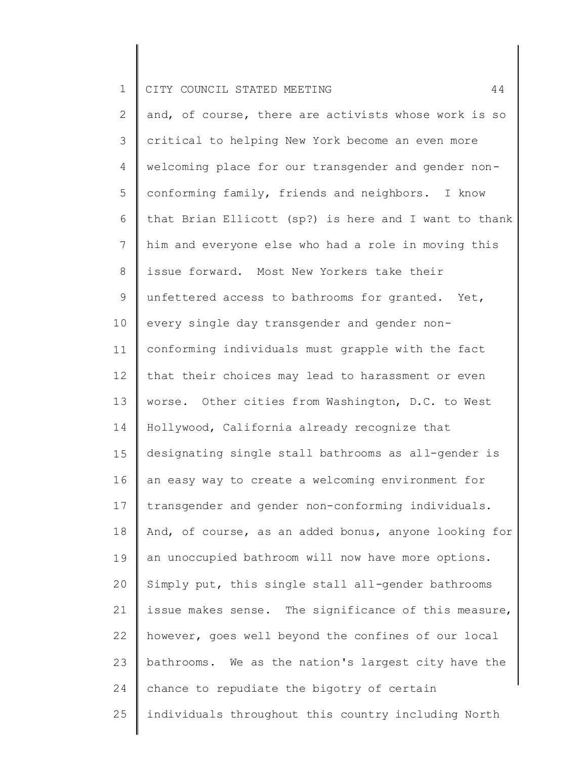2 3 4 5 6 7 8 9 10 11 12 13 14 15 16 17 18 19 20 21 22 23 24 25 and, of course, there are activists whose work is so critical to helping New York become an even more welcoming place for our transgender and gender nonconforming family, friends and neighbors. I know that Brian Ellicott (sp?) is here and I want to thank him and everyone else who had a role in moving this issue forward. Most New Yorkers take their unfettered access to bathrooms for granted. Yet, every single day transgender and gender nonconforming individuals must grapple with the fact that their choices may lead to harassment or even worse. Other cities from Washington, D.C. to West Hollywood, California already recognize that designating single stall bathrooms as all-gender is an easy way to create a welcoming environment for transgender and gender non-conforming individuals. And, of course, as an added bonus, anyone looking for an unoccupied bathroom will now have more options. Simply put, this single stall all-gender bathrooms issue makes sense. The significance of this measure, however, goes well beyond the confines of our local bathrooms. We as the nation's largest city have the chance to repudiate the bigotry of certain individuals throughout this country including North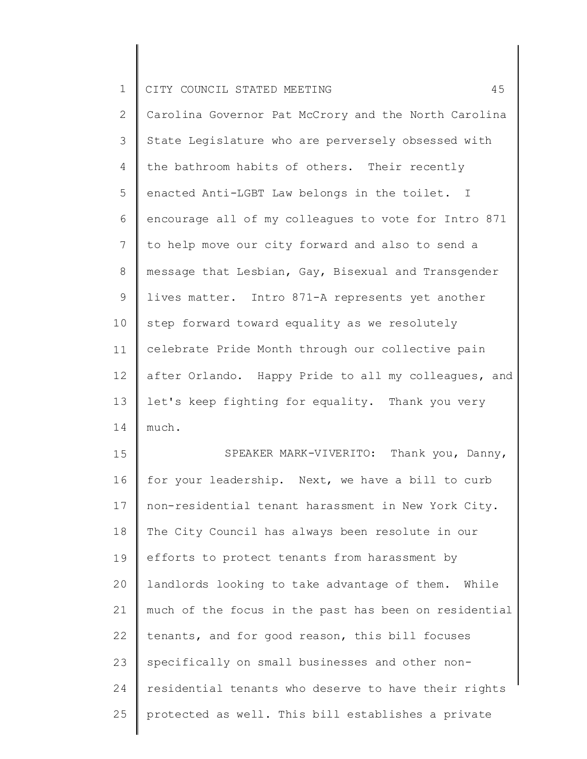2 3 4 5 6 7 8 9 10 11 12 13 14 Carolina Governor Pat McCrory and the North Carolina State Legislature who are perversely obsessed with the bathroom habits of others. Their recently enacted Anti-LGBT Law belongs in the toilet. I encourage all of my colleagues to vote for Intro 871 to help move our city forward and also to send a message that Lesbian, Gay, Bisexual and Transgender lives matter. Intro 871-A represents yet another step forward toward equality as we resolutely celebrate Pride Month through our collective pain after Orlando. Happy Pride to all my colleagues, and let's keep fighting for equality. Thank you very much.

15 16 17 18 19 20 21 22 23 24 25 SPEAKER MARK-VIVERITO: Thank you, Danny, for your leadership. Next, we have a bill to curb non-residential tenant harassment in New York City. The City Council has always been resolute in our efforts to protect tenants from harassment by landlords looking to take advantage of them. While much of the focus in the past has been on residential tenants, and for good reason, this bill focuses specifically on small businesses and other nonresidential tenants who deserve to have their rights protected as well. This bill establishes a private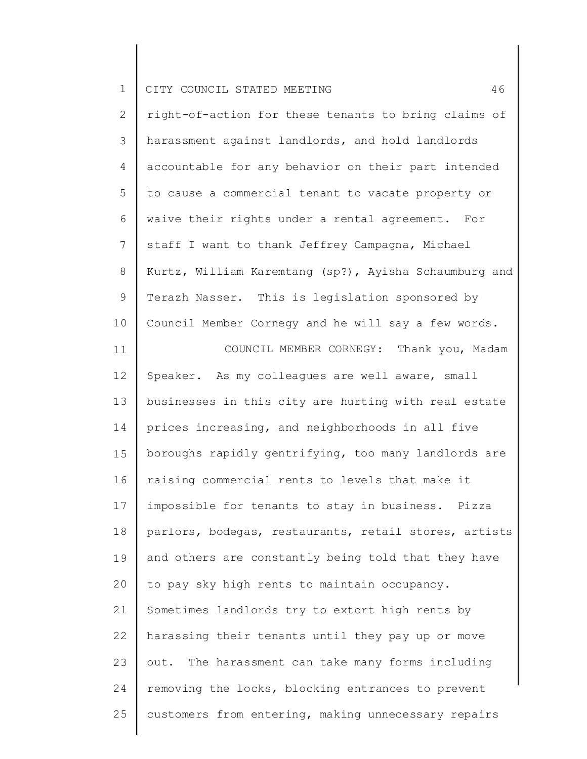2 3 4 5 6 7 8 9 10 11 12 13 14 15 16 17 18 19 20 21 22 23 24 25 right-of-action for these tenants to bring claims of harassment against landlords, and hold landlords accountable for any behavior on their part intended to cause a commercial tenant to vacate property or waive their rights under a rental agreement. For staff I want to thank Jeffrey Campagna, Michael Kurtz, William Karemtang (sp?), Ayisha Schaumburg and Terazh Nasser. This is legislation sponsored by Council Member Cornegy and he will say a few words. COUNCIL MEMBER CORNEGY: Thank you, Madam Speaker. As my colleagues are well aware, small businesses in this city are hurting with real estate prices increasing, and neighborhoods in all five boroughs rapidly gentrifying, too many landlords are raising commercial rents to levels that make it impossible for tenants to stay in business. Pizza parlors, bodegas, restaurants, retail stores, artists and others are constantly being told that they have to pay sky high rents to maintain occupancy. Sometimes landlords try to extort high rents by harassing their tenants until they pay up or move out. The harassment can take many forms including removing the locks, blocking entrances to prevent customers from entering, making unnecessary repairs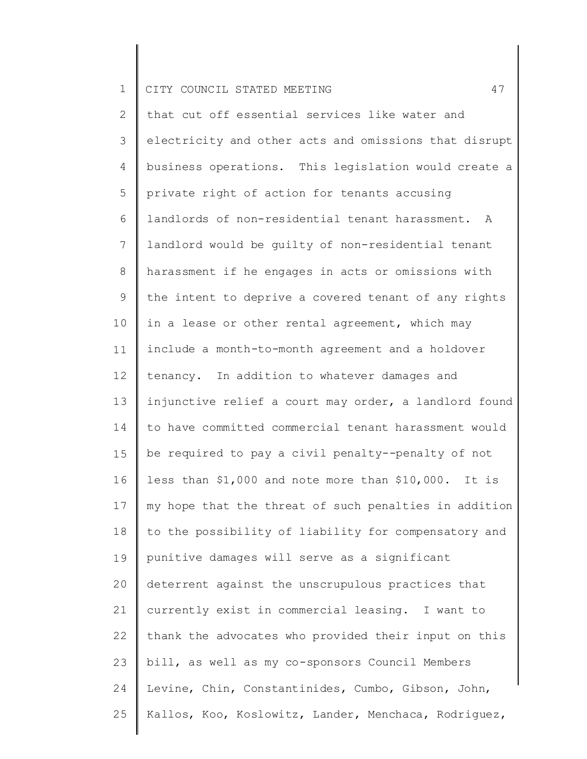2 3 4 5 6 7 8 9 10 11 12 13 14 15 16 17 18 19 20 21 22 23 24 25 that cut off essential services like water and electricity and other acts and omissions that disrupt business operations. This legislation would create a private right of action for tenants accusing landlords of non-residential tenant harassment. A landlord would be guilty of non-residential tenant harassment if he engages in acts or omissions with the intent to deprive a covered tenant of any rights in a lease or other rental agreement, which may include a month-to-month agreement and a holdover tenancy. In addition to whatever damages and injunctive relief a court may order, a landlord found to have committed commercial tenant harassment would be required to pay a civil penalty--penalty of not less than \$1,000 and note more than \$10,000. It is my hope that the threat of such penalties in addition to the possibility of liability for compensatory and punitive damages will serve as a significant deterrent against the unscrupulous practices that currently exist in commercial leasing. I want to thank the advocates who provided their input on this bill, as well as my co-sponsors Council Members Levine, Chin, Constantinides, Cumbo, Gibson, John, Kallos, Koo, Koslowitz, Lander, Menchaca, Rodriguez,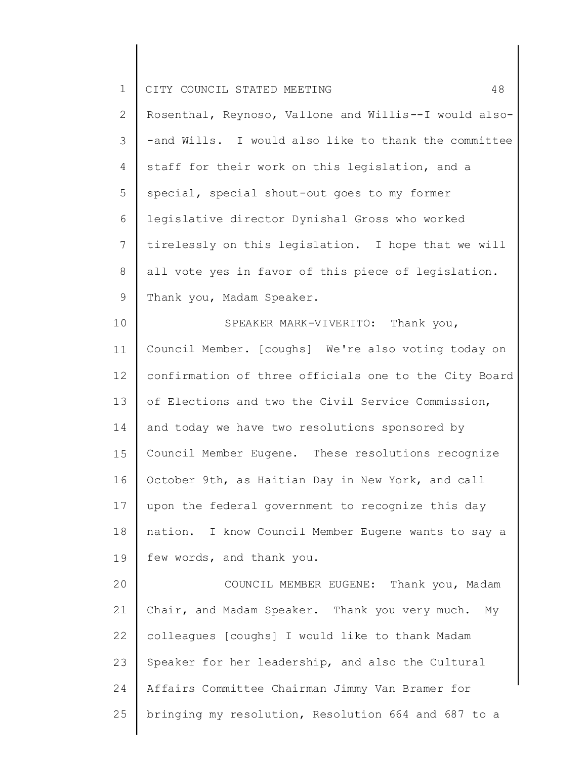| $\mathbf 1$    | 48<br>CITY COUNCIL STATED MEETING                     |
|----------------|-------------------------------------------------------|
| $\mathbf{2}$   | Rosenthal, Reynoso, Vallone and Willis--I would also- |
| $\mathcal{S}$  | -and Wills. I would also like to thank the committee  |
| $\overline{4}$ | staff for their work on this legislation, and a       |
| 5              | special, special shout-out goes to my former          |
| 6              | legislative director Dynishal Gross who worked        |
| $\overline{7}$ | tirelessly on this legislation. I hope that we will   |
| $\,8\,$        | all vote yes in favor of this piece of legislation.   |
| $\mathcal{G}$  | Thank you, Madam Speaker.                             |
| 10             | SPEAKER MARK-VIVERITO: Thank you,                     |
| 11             | Council Member. [coughs] We're also voting today on   |
| 12             | confirmation of three officials one to the City Board |
| 13             | of Elections and two the Civil Service Commission,    |
| 14             | and today we have two resolutions sponsored by        |
| 15             | Council Member Eugene. These resolutions recognize    |
| 16             | October 9th, as Haitian Day in New York, and call     |
| 17             | upon the federal government to recognize this day     |
| 18             | nation. I know Council Member Eugene wants to say a   |
| 19             | few words, and thank you.                             |
| 20             | COUNCIL MEMBER EUGENE: Thank you, Madam               |
| 21             | Chair, and Madam Speaker. Thank you very much.<br>Мy  |
| 22             | colleagues [coughs] I would like to thank Madam       |
| 23             | Speaker for her leadership, and also the Cultural     |
| 24             | Affairs Committee Chairman Jimmy Van Bramer for       |
| 25             | bringing my resolution, Resolution 664 and 687 to a   |

║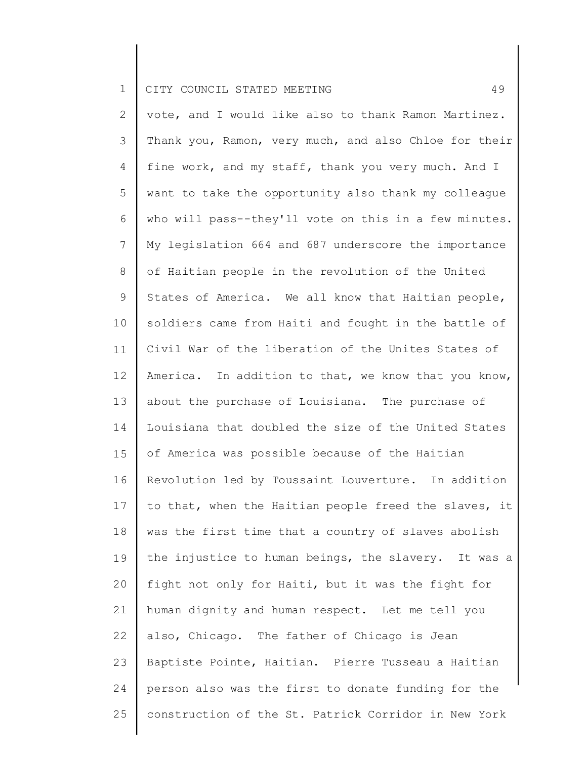2 3 4 5 6 7 8 9 10 11 12 13 14 15 16 17 18 19 20 21 22 23 24 25 vote, and I would like also to thank Ramon Martinez. Thank you, Ramon, very much, and also Chloe for their fine work, and my staff, thank you very much. And I want to take the opportunity also thank my colleague who will pass--they'll vote on this in a few minutes. My legislation 664 and 687 underscore the importance of Haitian people in the revolution of the United States of America. We all know that Haitian people, soldiers came from Haiti and fought in the battle of Civil War of the liberation of the Unites States of America. In addition to that, we know that you know, about the purchase of Louisiana. The purchase of Louisiana that doubled the size of the United States of America was possible because of the Haitian Revolution led by Toussaint Louverture. In addition to that, when the Haitian people freed the slaves, it was the first time that a country of slaves abolish the injustice to human beings, the slavery. It was a fight not only for Haiti, but it was the fight for human dignity and human respect. Let me tell you also, Chicago. The father of Chicago is Jean Baptiste Pointe, Haitian. Pierre Tusseau a Haitian person also was the first to donate funding for the construction of the St. Patrick Corridor in New York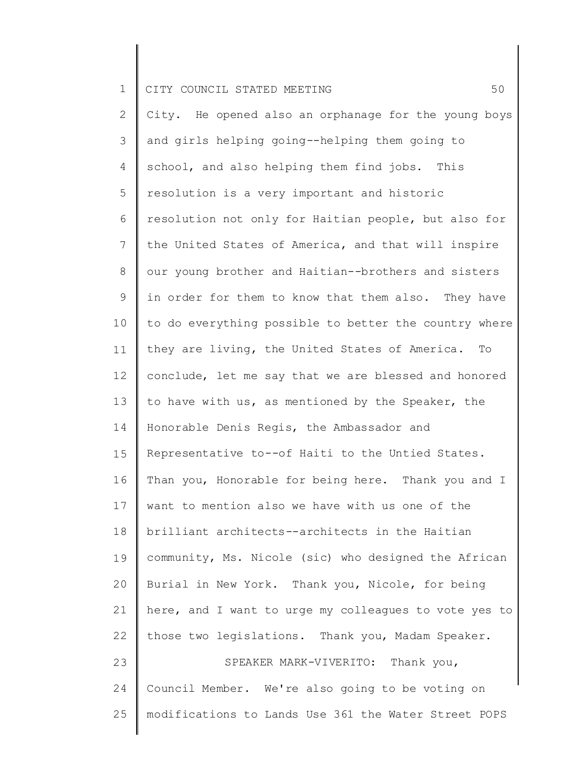2 3 4 5 6 7 8 9 10 11 12 13 14 15 16 17 18 19 20 21 22 23 24 25 City. He opened also an orphanage for the young boys and girls helping going--helping them going to school, and also helping them find jobs. This resolution is a very important and historic resolution not only for Haitian people, but also for the United States of America, and that will inspire our young brother and Haitian--brothers and sisters in order for them to know that them also. They have to do everything possible to better the country where they are living, the United States of America. To conclude, let me say that we are blessed and honored to have with us, as mentioned by the Speaker, the Honorable Denis Regis, the Ambassador and Representative to--of Haiti to the Untied States. Than you, Honorable for being here. Thank you and I want to mention also we have with us one of the brilliant architects--architects in the Haitian community, Ms. Nicole (sic) who designed the African Burial in New York. Thank you, Nicole, for being here, and I want to urge my colleagues to vote yes to those two legislations. Thank you, Madam Speaker. SPEAKER MARK-VIVERITO: Thank you, Council Member. We're also going to be voting on modifications to Lands Use 361 the Water Street POPS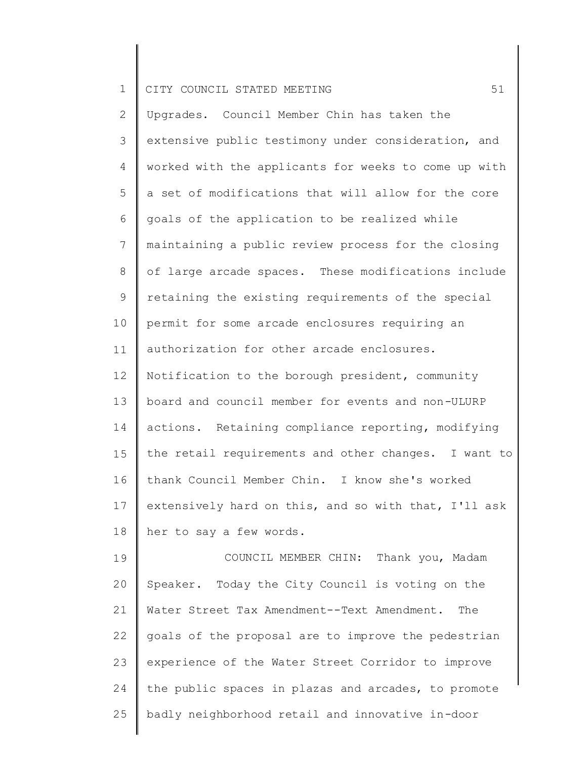| $\mathbf{2}$    | Upgrades. Council Member Chin has taken the          |
|-----------------|------------------------------------------------------|
| 3               | extensive public testimony under consideration, and  |
| 4               | worked with the applicants for weeks to come up with |
| 5               | a set of modifications that will allow for the core  |
| 6               | goals of the application to be realized while        |
| $7\phantom{.0}$ | maintaining a public review process for the closing  |
| 8               | of large arcade spaces. These modifications include  |
| 9               | retaining the existing requirements of the special   |
| 10              | permit for some arcade enclosures requiring an       |
| 11              | authorization for other arcade enclosures.           |
| 12              | Notification to the borough president, community     |
| 13              | board and council member for events and non-ULURP    |
| 14              | actions. Retaining compliance reporting, modifying   |
| 15              | the retail requirements and other changes. I want to |
| 16              | thank Council Member Chin. I know she's worked       |
| 17              | extensively hard on this, and so with that, I'll ask |
| 18              | her to say a few words.                              |
| 19              | COUNCIL MEMBER CHIN: Thank you, Madam                |
| 20              | Speaker. Today the City Council is voting on the     |
| 21              | Water Street Tax Amendment--Text Amendment. The      |
| 22              | goals of the proposal are to improve the pedestrian  |
| 23              | experience of the Water Street Corridor to improve   |
| 24              | the public spaces in plazas and arcades, to promote  |
| 25              | badly neighborhood retail and innovative in-door     |
|                 |                                                      |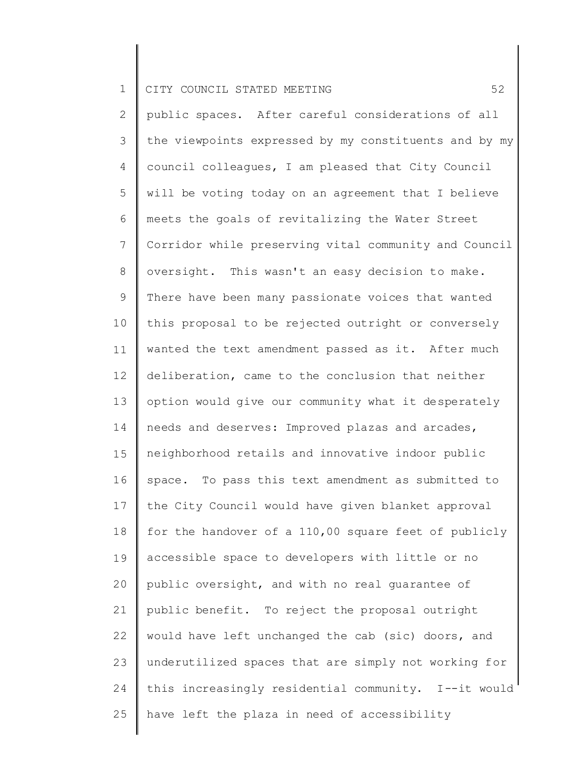2 3 4 5 6 7 8 9 10 11 12 13 14 15 16 17 18 19 20 21 22 23 24 25 public spaces. After careful considerations of all the viewpoints expressed by my constituents and by my council colleagues, I am pleased that City Council will be voting today on an agreement that I believe meets the goals of revitalizing the Water Street Corridor while preserving vital community and Council oversight. This wasn't an easy decision to make. There have been many passionate voices that wanted this proposal to be rejected outright or conversely wanted the text amendment passed as it. After much deliberation, came to the conclusion that neither option would give our community what it desperately needs and deserves: Improved plazas and arcades, neighborhood retails and innovative indoor public space. To pass this text amendment as submitted to the City Council would have given blanket approval for the handover of a 110,00 square feet of publicly accessible space to developers with little or no public oversight, and with no real guarantee of public benefit. To reject the proposal outright would have left unchanged the cab (sic) doors, and underutilized spaces that are simply not working for this increasingly residential community. I--it would have left the plaza in need of accessibility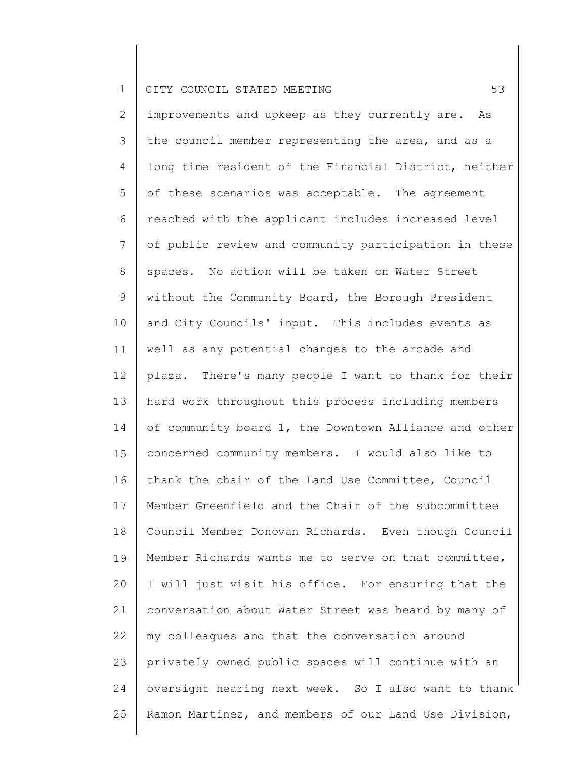2 3 4 5 6 7 8 9 10 11 12 13 14 15 16 17 18 19 20 21 22 23 24 25 improvements and upkeep as they currently are. As the council member representing the area, and as a long time resident of the Financial District, neither of these scenarios was acceptable. The agreement reached with the applicant includes increased level of public review and community participation in these spaces. No action will be taken on Water Street without the Community Board, the Borough President and City Councils' input. This includes events as well as any potential changes to the arcade and plaza. There's many people I want to thank for their hard work throughout this process including members of community board 1, the Downtown Alliance and other concerned community members. I would also like to thank the chair of the Land Use Committee, Council Member Greenfield and the Chair of the subcommittee Council Member Donovan Richards. Even though Council Member Richards wants me to serve on that committee, I will just visit his office. For ensuring that the conversation about Water Street was heard by many of my colleagues and that the conversation around privately owned public spaces will continue with an oversight hearing next week. So I also want to thank Ramon Martinez, and members of our Land Use Division,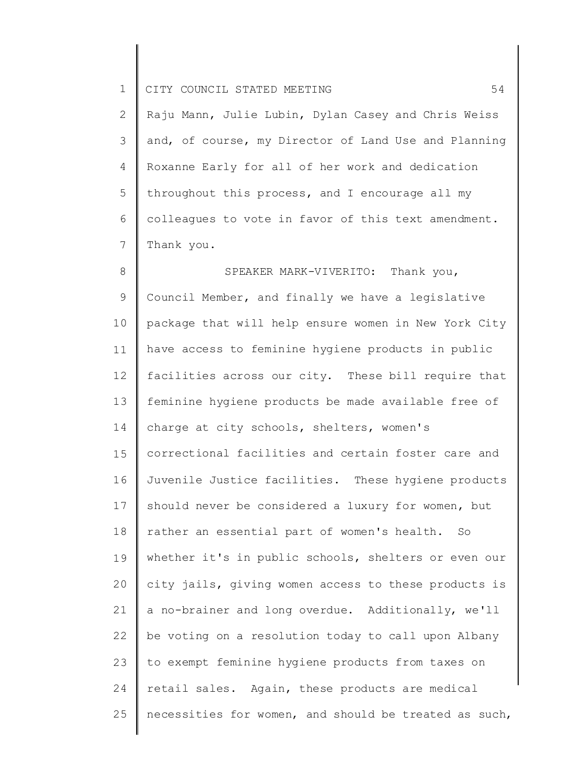2 3 4 5 6 7 Raju Mann, Julie Lubin, Dylan Casey and Chris Weiss and, of course, my Director of Land Use and Planning Roxanne Early for all of her work and dedication throughout this process, and I encourage all my colleagues to vote in favor of this text amendment. Thank you.

8 9 10 11 12 13 14 15 16 17 18 19 20 21 22 23 24 25 SPEAKER MARK-VIVERITO: Thank you, Council Member, and finally we have a legislative package that will help ensure women in New York City have access to feminine hygiene products in public facilities across our city. These bill require that feminine hygiene products be made available free of charge at city schools, shelters, women's correctional facilities and certain foster care and Juvenile Justice facilities. These hygiene products should never be considered a luxury for women, but rather an essential part of women's health. So whether it's in public schools, shelters or even our city jails, giving women access to these products is a no-brainer and long overdue. Additionally, we'll be voting on a resolution today to call upon Albany to exempt feminine hygiene products from taxes on retail sales. Again, these products are medical necessities for women, and should be treated as such,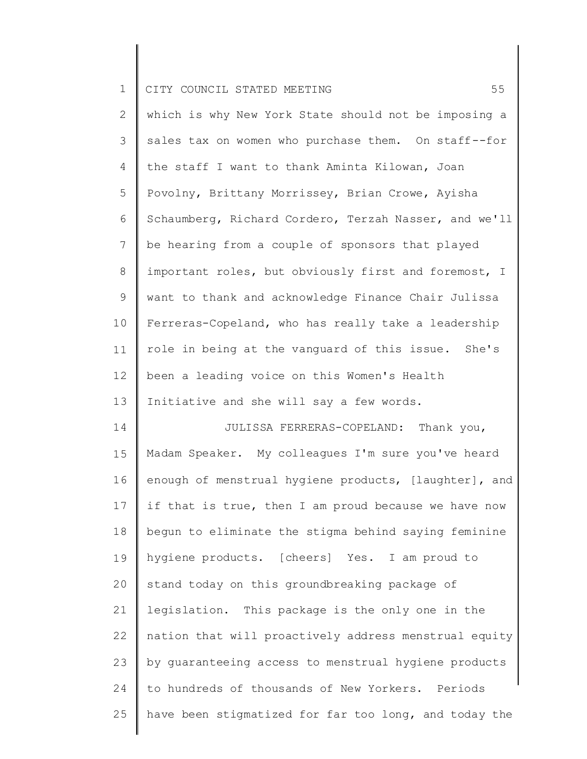| $\mathbf{1}$   | 55<br>CITY COUNCIL STATED MEETING                     |
|----------------|-------------------------------------------------------|
| $\mathbf{2}$   | which is why New York State should not be imposing a  |
| 3              | sales tax on women who purchase them. On staff--for   |
| $\overline{4}$ | the staff I want to thank Aminta Kilowan, Joan        |
| 5              | Povolny, Brittany Morrissey, Brian Crowe, Ayisha      |
| 6              | Schaumberg, Richard Cordero, Terzah Nasser, and we'll |
| $7\phantom{.}$ | be hearing from a couple of sponsors that played      |
| 8              | important roles, but obviously first and foremost, I  |
| $\mathsf 9$    | want to thank and acknowledge Finance Chair Julissa   |
| 10             | Ferreras-Copeland, who has really take a leadership   |
| 11             | role in being at the vanguard of this issue. She's    |
| 12             | been a leading voice on this Women's Health           |
| 13             | Initiative and she will say a few words.              |
| 14             | JULISSA FERRERAS-COPELAND: Thank you,                 |
| 15             | Madam Speaker. My colleagues I'm sure you've heard    |
| 16             | enough of menstrual hygiene products, [laughter], and |
| 17             | if that is true, then I am proud because we have now  |
| 18             | begun to eliminate the stigma behind saying feminine  |
| 19             | hygiene products. [cheers] Yes. I am proud to         |
| 20             | stand today on this groundbreaking package of         |
| 21             | legislation. This package is the only one in the      |
| 22             | nation that will proactively address menstrual equity |

to hundreds of thousands of New Yorkers. Periods

25 have been stigmatized for far too long, and today the

by guaranteeing access to menstrual hygiene products

23

24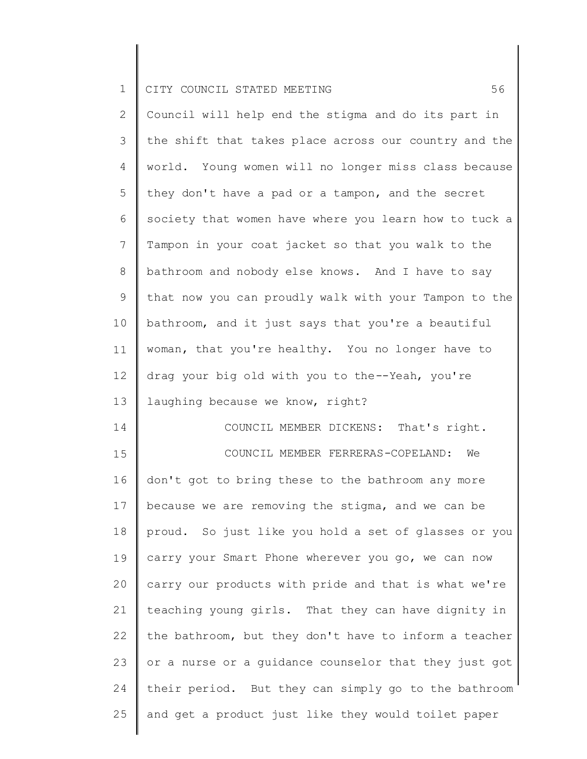24

25

2 3 4 5 6 7 8 9 10 11 12 13 14 15 16 17 18 19 20 21 22 23 Council will help end the stigma and do its part in the shift that takes place across our country and the world. Young women will no longer miss class because they don't have a pad or a tampon, and the secret society that women have where you learn how to tuck a Tampon in your coat jacket so that you walk to the bathroom and nobody else knows. And I have to say that now you can proudly walk with your Tampon to the bathroom, and it just says that you're a beautiful woman, that you're healthy. You no longer have to drag your big old with you to the--Yeah, you're laughing because we know, right? COUNCIL MEMBER DICKENS: That's right. COUNCIL MEMBER FERRERAS-COPELAND: We don't got to bring these to the bathroom any more because we are removing the stigma, and we can be proud. So just like you hold a set of glasses or you carry your Smart Phone wherever you go, we can now carry our products with pride and that is what we're teaching young girls. That they can have dignity in the bathroom, but they don't have to inform a teacher or a nurse or a guidance counselor that they just got

their period. But they can simply go to the bathroom

and get a product just like they would toilet paper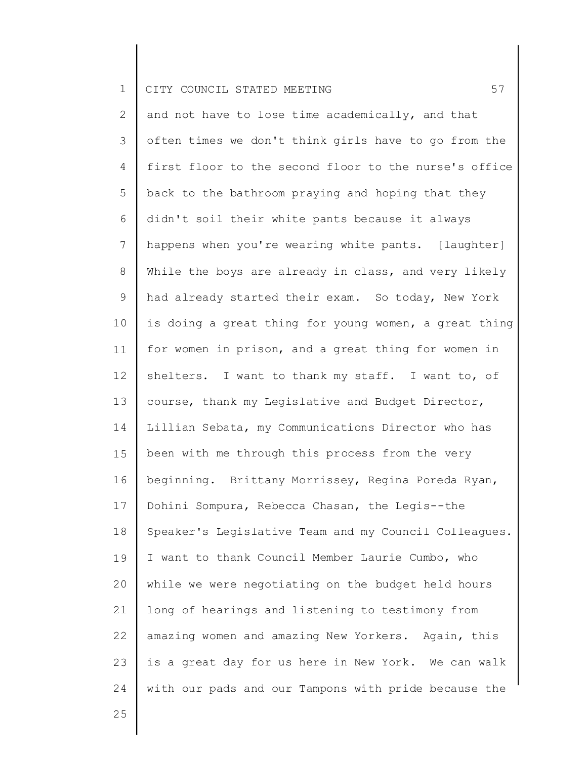2 3 4 5 6 7 8 9 10 11 12 13 14 15 16 17 18 19 20 21 22 23 24 and not have to lose time academically, and that often times we don't think girls have to go from the first floor to the second floor to the nurse's office back to the bathroom praying and hoping that they didn't soil their white pants because it always happens when you're wearing white pants. [laughter] While the boys are already in class, and very likely had already started their exam. So today, New York is doing a great thing for young women, a great thing for women in prison, and a great thing for women in shelters. I want to thank my staff. I want to, of course, thank my Legislative and Budget Director, Lillian Sebata, my Communications Director who has been with me through this process from the very beginning. Brittany Morrissey, Regina Poreda Ryan, Dohini Sompura, Rebecca Chasan, the Legis--the Speaker's Legislative Team and my Council Colleagues. I want to thank Council Member Laurie Cumbo, who while we were negotiating on the budget held hours long of hearings and listening to testimony from amazing women and amazing New Yorkers. Again, this is a great day for us here in New York. We can walk with our pads and our Tampons with pride because the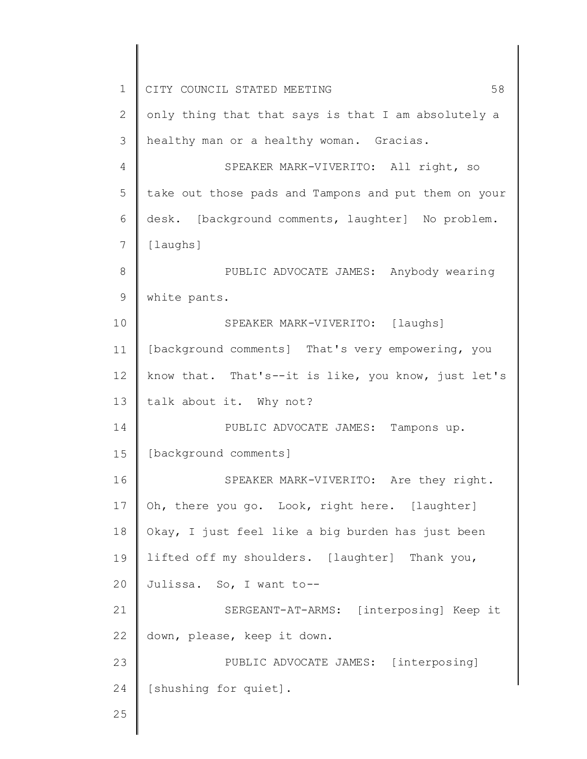1 2 3 4 5 6 7 8 9 10 11 12 13 14 15 16 17 18 19 20 21 22 23 24 25 CITY COUNCIL STATED MEETING 58 only thing that that says is that I am absolutely a healthy man or a healthy woman. Gracias. SPEAKER MARK-VIVERITO: All right, so take out those pads and Tampons and put them on your desk. [background comments, laughter] No problem. [laughs] PUBLIC ADVOCATE JAMES: Anybody wearing white pants. SPEAKER MARK-VIVERITO: [laughs] [background comments] That's very empowering, you know that. That's--it is like, you know, just let's talk about it. Why not? PUBLIC ADVOCATE JAMES: Tampons up. [background comments] SPEAKER MARK-VIVERITO: Are they right. Oh, there you go. Look, right here. [laughter] Okay, I just feel like a big burden has just been lifted off my shoulders. [laughter] Thank you, Julissa. So, I want to-- SERGEANT-AT-ARMS: [interposing] Keep it down, please, keep it down. PUBLIC ADVOCATE JAMES: [interposing] [shushing for quiet].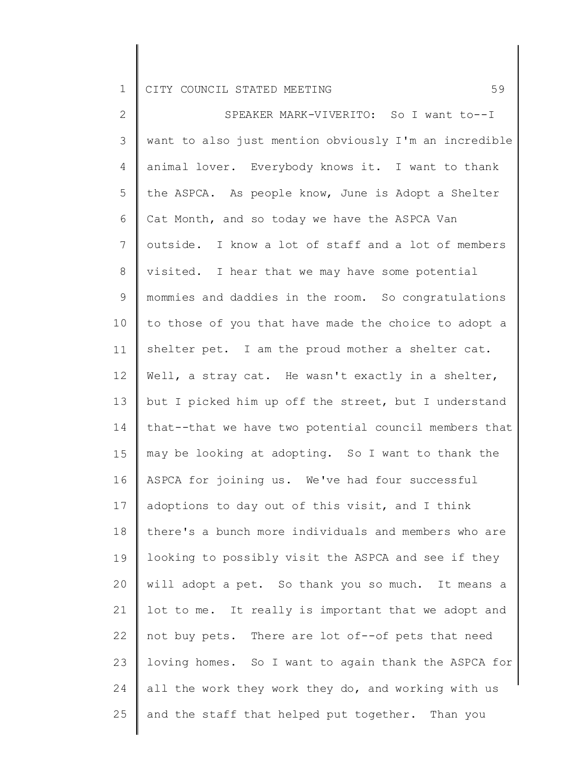2 3 4 5 6 7 8 9 10 11 12 13 14 15 16 17 18 19 20 21 22 23 24 25 SPEAKER MARK-VIVERITO: So I want to--I want to also just mention obviously I'm an incredible animal lover. Everybody knows it. I want to thank the ASPCA. As people know, June is Adopt a Shelter Cat Month, and so today we have the ASPCA Van outside. I know a lot of staff and a lot of members visited. I hear that we may have some potential mommies and daddies in the room. So congratulations to those of you that have made the choice to adopt a shelter pet. I am the proud mother a shelter cat. Well, a stray cat. He wasn't exactly in a shelter, but I picked him up off the street, but I understand that--that we have two potential council members that may be looking at adopting. So I want to thank the ASPCA for joining us. We've had four successful adoptions to day out of this visit, and I think there's a bunch more individuals and members who are looking to possibly visit the ASPCA and see if they will adopt a pet. So thank you so much. It means a lot to me. It really is important that we adopt and not buy pets. There are lot of--of pets that need loving homes. So I want to again thank the ASPCA for all the work they work they do, and working with us and the staff that helped put together. Than you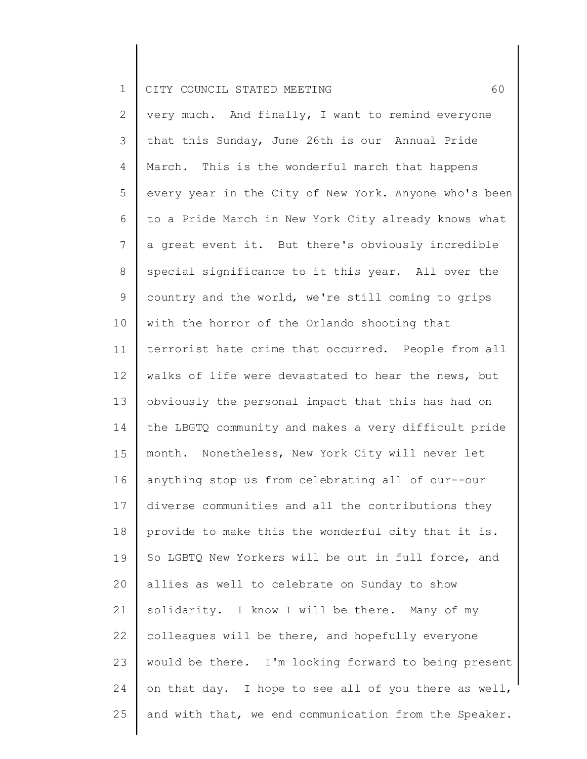2 3 4 5 6 7 8 9 10 11 12 13 14 15 16 17 18 19 20 21 22 23 24 25 very much. And finally, I want to remind everyone that this Sunday, June 26th is our Annual Pride March. This is the wonderful march that happens every year in the City of New York. Anyone who's been to a Pride March in New York City already knows what a great event it. But there's obviously incredible special significance to it this year. All over the country and the world, we're still coming to grips with the horror of the Orlando shooting that terrorist hate crime that occurred. People from all walks of life were devastated to hear the news, but obviously the personal impact that this has had on the LBGTQ community and makes a very difficult pride month. Nonetheless, New York City will never let anything stop us from celebrating all of our--our diverse communities and all the contributions they provide to make this the wonderful city that it is. So LGBTQ New Yorkers will be out in full force, and allies as well to celebrate on Sunday to show solidarity. I know I will be there. Many of my colleagues will be there, and hopefully everyone would be there. I'm looking forward to being present on that day. I hope to see all of you there as well, and with that, we end communication from the Speaker.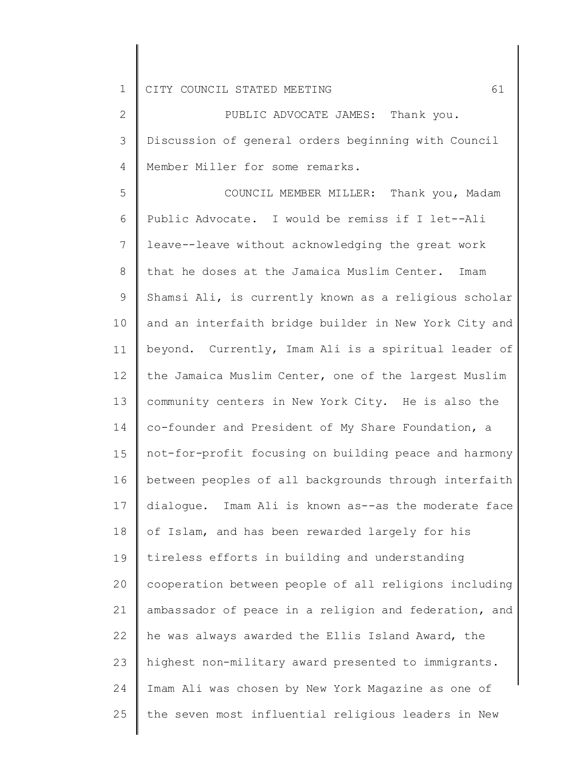2 3 4 PUBLIC ADVOCATE JAMES: Thank you. Discussion of general orders beginning with Council Member Miller for some remarks.

5 6 7 8 9 10 11 12 13 14 15 16 17 18 19 20 21 22 23 24 25 COUNCIL MEMBER MILLER: Thank you, Madam Public Advocate. I would be remiss if I let--Ali leave--leave without acknowledging the great work that he doses at the Jamaica Muslim Center. Imam Shamsi Ali, is currently known as a religious scholar and an interfaith bridge builder in New York City and beyond. Currently, Imam Ali is a spiritual leader of the Jamaica Muslim Center, one of the largest Muslim community centers in New York City. He is also the co-founder and President of My Share Foundation, a not-for-profit focusing on building peace and harmony between peoples of all backgrounds through interfaith dialogue. Imam Ali is known as--as the moderate face of Islam, and has been rewarded largely for his tireless efforts in building and understanding cooperation between people of all religions including ambassador of peace in a religion and federation, and he was always awarded the Ellis Island Award, the highest non-military award presented to immigrants. Imam Ali was chosen by New York Magazine as one of the seven most influential religious leaders in New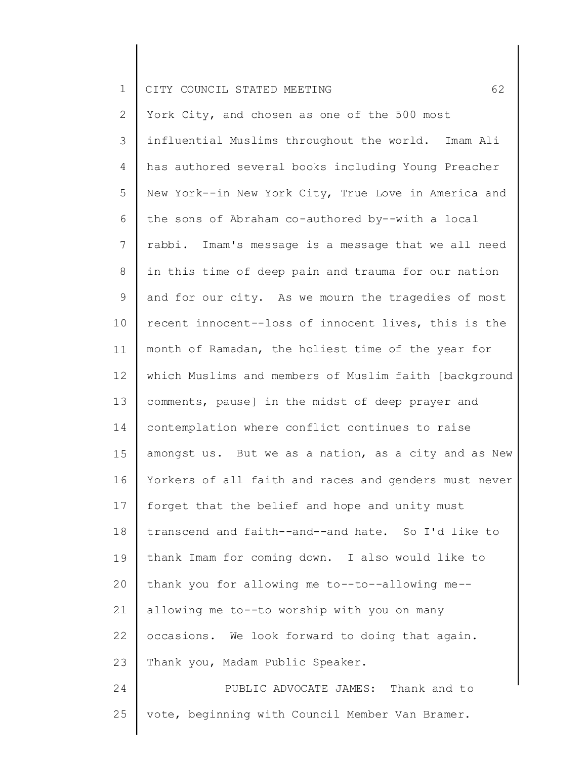25

2 3 4 5 6 7 8 9 10 11 12 13 14 15 16 17 18 19 20 21 22 23 24 York City, and chosen as one of the 500 most influential Muslims throughout the world. Imam Ali has authored several books including Young Preacher New York--in New York City, True Love in America and the sons of Abraham co-authored by--with a local rabbi. Imam's message is a message that we all need in this time of deep pain and trauma for our nation and for our city. As we mourn the tragedies of most recent innocent--loss of innocent lives, this is the month of Ramadan, the holiest time of the year for which Muslims and members of Muslim faith [background comments, pause] in the midst of deep prayer and contemplation where conflict continues to raise amongst us. But we as a nation, as a city and as New Yorkers of all faith and races and genders must never forget that the belief and hope and unity must transcend and faith--and--and hate. So I'd like to thank Imam for coming down. I also would like to thank you for allowing me to--to--allowing me- allowing me to--to worship with you on many occasions. We look forward to doing that again. Thank you, Madam Public Speaker. PUBLIC ADVOCATE JAMES: Thank and to

vote, beginning with Council Member Van Bramer.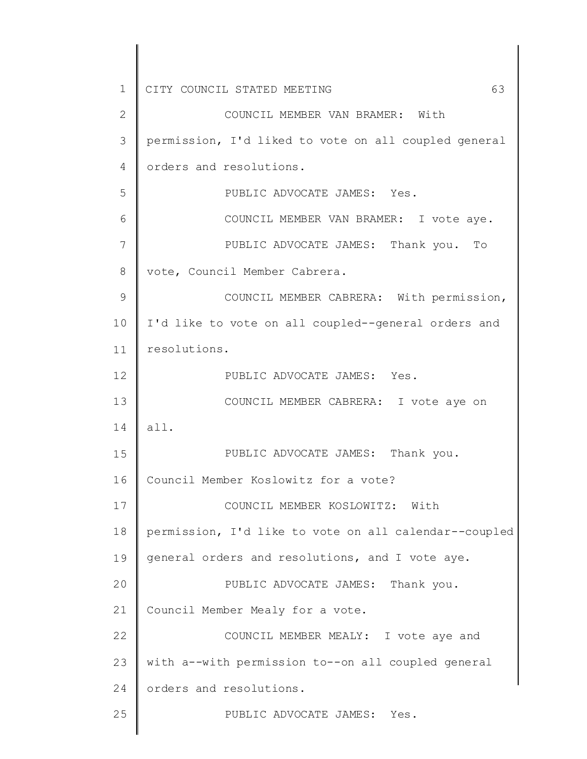1 2 3 4 5 6 7 8 9 10 11 12 13 14 15 16 17 18 19 20 21 22 23 24 25 CITY COUNCIL STATED MEETING 63 COUNCIL MEMBER VAN BRAMER: With permission, I'd liked to vote on all coupled general orders and resolutions. PUBLIC ADVOCATE JAMES: Yes. COUNCIL MEMBER VAN BRAMER: I vote aye. PUBLIC ADVOCATE JAMES: Thank you. To vote, Council Member Cabrera. COUNCIL MEMBER CABRERA: With permission, I'd like to vote on all coupled--general orders and resolutions. PUBLIC ADVOCATE JAMES: Yes. COUNCIL MEMBER CABRERA: I vote aye on all. PUBLIC ADVOCATE JAMES: Thank you. Council Member Koslowitz for a vote? COUNCIL MEMBER KOSLOWITZ: With permission, I'd like to vote on all calendar--coupled general orders and resolutions, and I vote aye. PUBLIC ADVOCATE JAMES: Thank you. Council Member Mealy for a vote. COUNCIL MEMBER MEALY: I vote aye and with a--with permission to--on all coupled general orders and resolutions. PUBLIC ADVOCATE JAMES: Yes.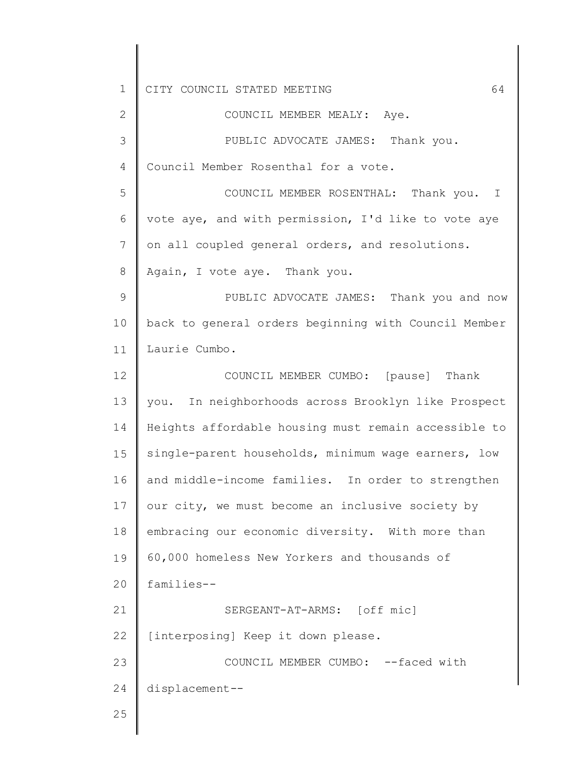1 2 3 4 5 6 7 8 9 10 11 12 13 14 15 16 17 18 19 20 21 22 23 24 25 CITY COUNCIL STATED MEETING 64 COUNCIL MEMBER MEALY: Aye. PUBLIC ADVOCATE JAMES: Thank you. Council Member Rosenthal for a vote. COUNCIL MEMBER ROSENTHAL: Thank you. I vote aye, and with permission, I'd like to vote aye on all coupled general orders, and resolutions. Again, I vote aye. Thank you. PUBLIC ADVOCATE JAMES: Thank you and now back to general orders beginning with Council Member Laurie Cumbo. COUNCIL MEMBER CUMBO: [pause] Thank you. In neighborhoods across Brooklyn like Prospect Heights affordable housing must remain accessible to single-parent households, minimum wage earners, low and middle-income families. In order to strengthen our city, we must become an inclusive society by embracing our economic diversity. With more than 60,000 homeless New Yorkers and thousands of families-- SERGEANT-AT-ARMS: [off mic] [interposing] Keep it down please. COUNCIL MEMBER CUMBO: --faced with displacement--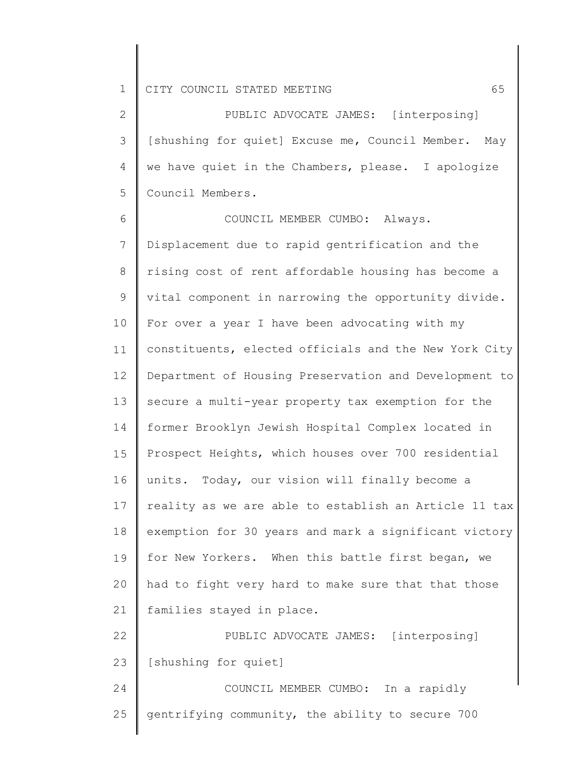2 3 4 5 PUBLIC ADVOCATE JAMES: [interposing] [shushing for quiet] Excuse me, Council Member. May we have quiet in the Chambers, please. I apologize Council Members.

6 7 8 9 10 11 12 13 14 15 16 17 18 19 20 21 22 COUNCIL MEMBER CUMBO: Always. Displacement due to rapid gentrification and the rising cost of rent affordable housing has become a vital component in narrowing the opportunity divide. For over a year I have been advocating with my constituents, elected officials and the New York City Department of Housing Preservation and Development to secure a multi-year property tax exemption for the former Brooklyn Jewish Hospital Complex located in Prospect Heights, which houses over 700 residential units. Today, our vision will finally become a reality as we are able to establish an Article 11 tax exemption for 30 years and mark a significant victory for New Yorkers. When this battle first began, we had to fight very hard to make sure that that those families stayed in place. PUBLIC ADVOCATE JAMES: [interposing]

23 [shushing for quiet]

24 25 COUNCIL MEMBER CUMBO: In a rapidly gentrifying community, the ability to secure 700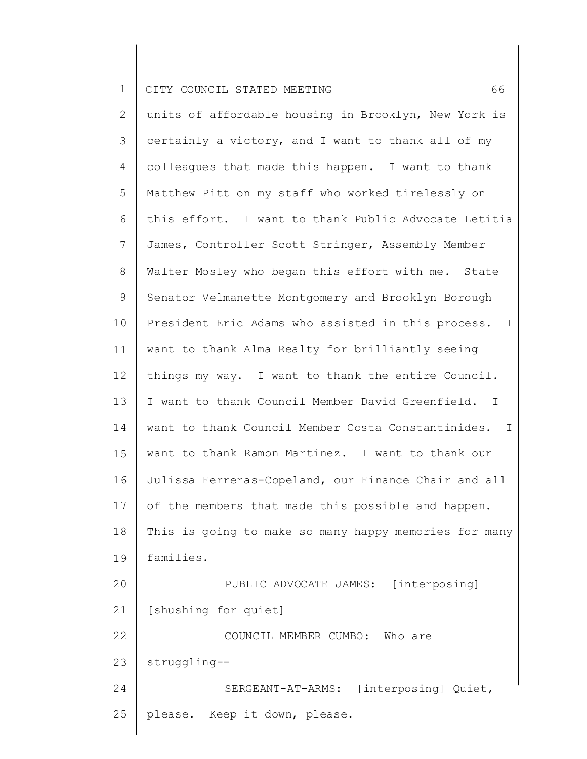| $\mathbf 1$    | 66<br>CITY COUNCIL STATED MEETING                                |
|----------------|------------------------------------------------------------------|
| $\mathbf{2}$   | units of affordable housing in Brooklyn, New York is             |
| 3              | certainly a victory, and I want to thank all of my               |
| 4              | colleagues that made this happen. I want to thank                |
| 5              | Matthew Pitt on my staff who worked tirelessly on                |
| 6              | this effort. I want to thank Public Advocate Letitia             |
| $7\phantom{.}$ | James, Controller Scott Stringer, Assembly Member                |
| 8              | Walter Mosley who began this effort with me. State               |
| 9              | Senator Velmanette Montgomery and Brooklyn Borough               |
| 10             | President Eric Adams who assisted in this process. I             |
| 11             | want to thank Alma Realty for brilliantly seeing                 |
| 12             | things my way. I want to thank the entire Council.               |
| 13             | I want to thank Council Member David Greenfield.<br>$\mathbb{I}$ |
| 14             | want to thank Council Member Costa Constantinides.<br>$\perp$    |
| 15             | want to thank Ramon Martinez. I want to thank our                |
| 16             | Julissa Ferreras-Copeland, our Finance Chair and all             |
| 17             | of the members that made this possible and happen.               |
| 18             | This is going to make so many happy memories for many            |
| 19             | families.                                                        |
| 20             | PUBLIC ADVOCATE JAMES: [interposing]                             |
| 21             | [shushing for quiet]                                             |
| 22             | COUNCIL MEMBER CUMBO:<br>Who are                                 |
| 23             | struggling--                                                     |
| 24             | SERGEANT-AT-ARMS: [interposing] Quiet,                           |
| 25             | please. Keep it down, please.                                    |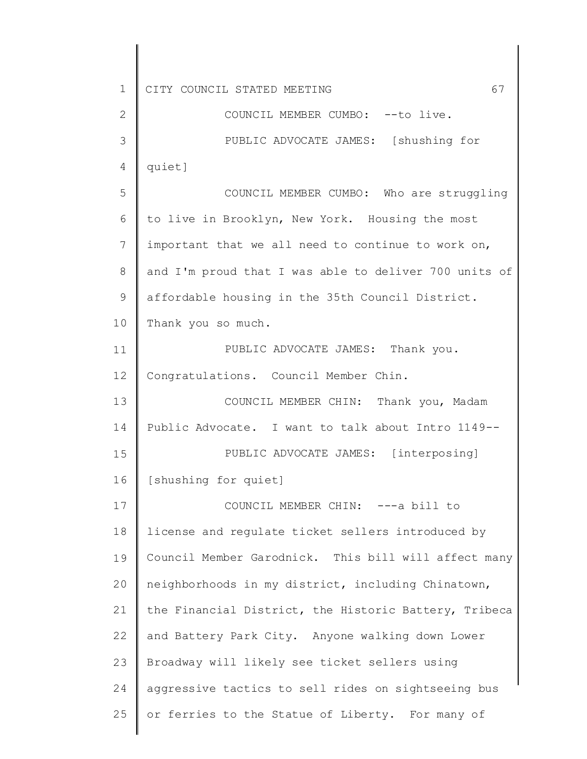1 2 3 4 5 6 7 8 9 10 11 12 13 14 15 16 17 18 19 20 21 22 23 24 25 CITY COUNCIL STATED MEETING 67 COUNCIL MEMBER CUMBO: --to live. PUBLIC ADVOCATE JAMES: [shushing for quiet] COUNCIL MEMBER CUMBO: Who are struggling to live in Brooklyn, New York. Housing the most important that we all need to continue to work on, and I'm proud that I was able to deliver 700 units of affordable housing in the 35th Council District. Thank you so much. PUBLIC ADVOCATE JAMES: Thank you. Congratulations. Council Member Chin. COUNCIL MEMBER CHIN: Thank you, Madam Public Advocate. I want to talk about Intro 1149-- PUBLIC ADVOCATE JAMES: [interposing] [shushing for quiet] COUNCIL MEMBER CHIN: ---a bill to license and regulate ticket sellers introduced by Council Member Garodnick. This bill will affect many neighborhoods in my district, including Chinatown, the Financial District, the Historic Battery, Tribeca and Battery Park City. Anyone walking down Lower Broadway will likely see ticket sellers using aggressive tactics to sell rides on sightseeing bus or ferries to the Statue of Liberty. For many of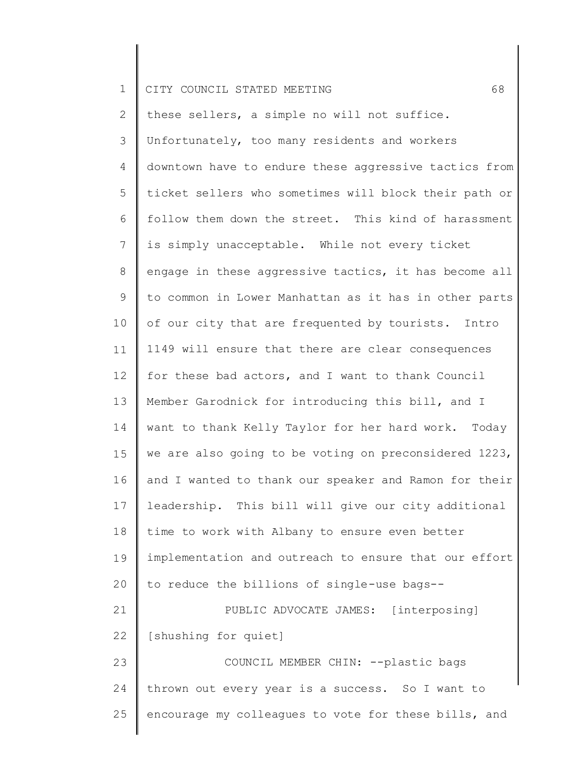|  |  | 1    CITY COUNCIL STATED MEETING |  |  |  |  |  |
|--|--|----------------------------------|--|--|--|--|--|
|--|--|----------------------------------|--|--|--|--|--|

2 3 4 5 6 7 8 9 10 11 12 13 14 15 16 17 18 19 20 21 22 23 24 25 these sellers, a simple no will not suffice. Unfortunately, too many residents and workers downtown have to endure these aggressive tactics from ticket sellers who sometimes will block their path or follow them down the street. This kind of harassment is simply unacceptable. While not every ticket engage in these aggressive tactics, it has become all to common in Lower Manhattan as it has in other parts of our city that are frequented by tourists. Intro 1149 will ensure that there are clear consequences for these bad actors, and I want to thank Council Member Garodnick for introducing this bill, and I want to thank Kelly Taylor for her hard work. Today we are also going to be voting on preconsidered 1223, and I wanted to thank our speaker and Ramon for their leadership. This bill will give our city additional time to work with Albany to ensure even better implementation and outreach to ensure that our effort to reduce the billions of single-use bags-- PUBLIC ADVOCATE JAMES: [interposing] [shushing for quiet] COUNCIL MEMBER CHIN: --plastic bags thrown out every year is a success. So I want to encourage my colleagues to vote for these bills, and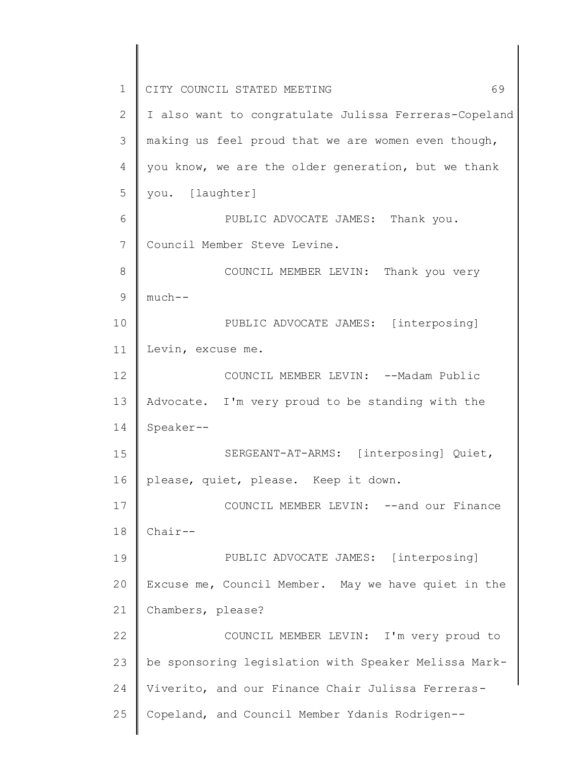1 2 3 4 5 6 7 8 9 10 11 12 13 14 15 16 17 18 19 20 21 22 23 24 25 CITY COUNCIL STATED MEETING 69 I also want to congratulate Julissa Ferreras-Copeland making us feel proud that we are women even though, you know, we are the older generation, but we thank you. [laughter] PUBLIC ADVOCATE JAMES: Thank you. Council Member Steve Levine. COUNCIL MEMBER LEVIN: Thank you very much-- PUBLIC ADVOCATE JAMES: [interposing] Levin, excuse me. COUNCIL MEMBER LEVIN: --Madam Public Advocate. I'm very proud to be standing with the Speaker-- SERGEANT-AT-ARMS: [interposing] Quiet, please, quiet, please. Keep it down. COUNCIL MEMBER LEVIN: --and our Finance Chair-- PUBLIC ADVOCATE JAMES: [interposing] Excuse me, Council Member. May we have quiet in the Chambers, please? COUNCIL MEMBER LEVIN: I'm very proud to be sponsoring legislation with Speaker Melissa Mark-Viverito, and our Finance Chair Julissa Ferreras-Copeland, and Council Member Ydanis Rodrigen--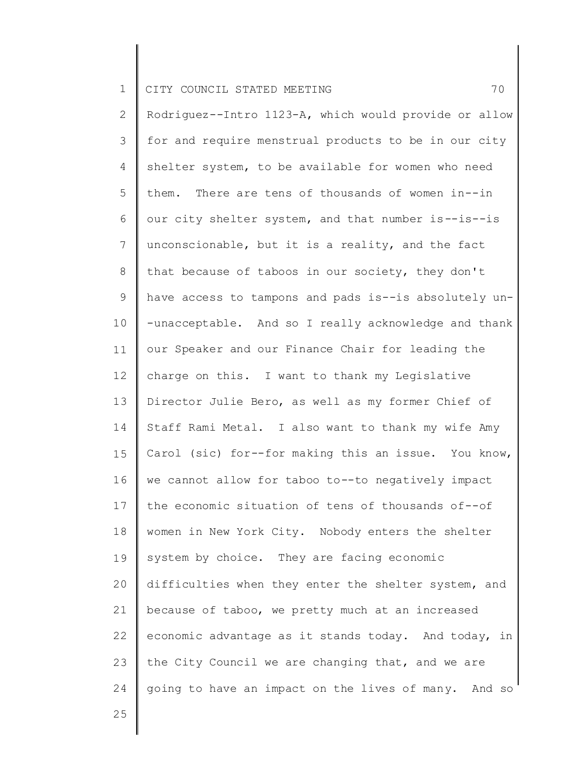2 3 4 5 6 7 8 9 10 11 12 13 14 15 16 17 18 19 20 21 22 23 24 Rodriguez--Intro 1123-A, which would provide or allow for and require menstrual products to be in our city shelter system, to be available for women who need them. There are tens of thousands of women in--in our city shelter system, and that number is--is--is unconscionable, but it is a reality, and the fact that because of taboos in our society, they don't have access to tampons and pads is--is absolutely un- -unacceptable. And so I really acknowledge and thank our Speaker and our Finance Chair for leading the charge on this. I want to thank my Legislative Director Julie Bero, as well as my former Chief of Staff Rami Metal. I also want to thank my wife Amy Carol (sic) for--for making this an issue. You know, we cannot allow for taboo to--to negatively impact the economic situation of tens of thousands of--of women in New York City. Nobody enters the shelter system by choice. They are facing economic difficulties when they enter the shelter system, and because of taboo, we pretty much at an increased economic advantage as it stands today. And today, in the City Council we are changing that, and we are going to have an impact on the lives of many. And so

25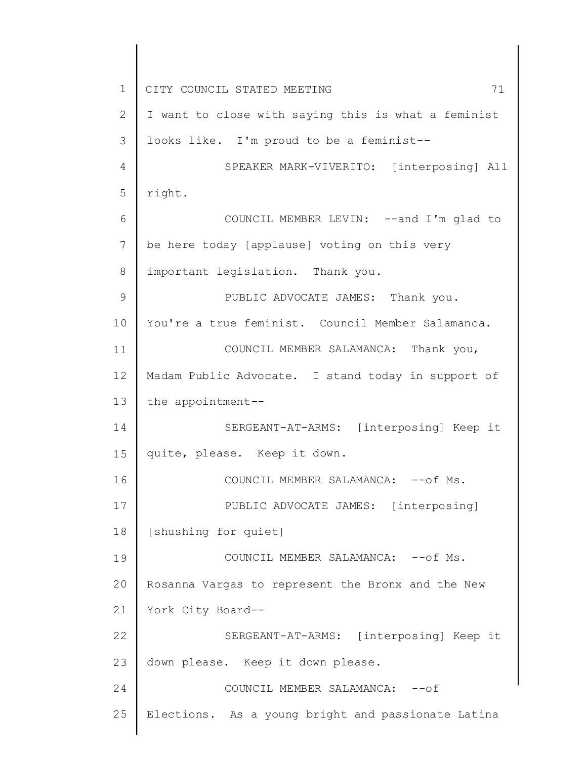1 2 3 4 5 6 7 8 9 10 11 12 13 14 15 16 17 18 19 20 21 22 23 24 25 CITY COUNCIL STATED MEETING 71 I want to close with saying this is what a feminist looks like. I'm proud to be a feminist-- SPEAKER MARK-VIVERITO: [interposing] All right. COUNCIL MEMBER LEVIN: --and I'm glad to be here today [applause] voting on this very important legislation. Thank you. PUBLIC ADVOCATE JAMES: Thank you. You're a true feminist. Council Member Salamanca. COUNCIL MEMBER SALAMANCA: Thank you, Madam Public Advocate. I stand today in support of the appointment-- SERGEANT-AT-ARMS: [interposing] Keep it quite, please. Keep it down. COUNCIL MEMBER SALAMANCA: -- of Ms. PUBLIC ADVOCATE JAMES: [interposing] [shushing for quiet] COUNCIL MEMBER SALAMANCA: -- of Ms. Rosanna Vargas to represent the Bronx and the New York City Board-- SERGEANT-AT-ARMS: [interposing] Keep it down please. Keep it down please. COUNCIL MEMBER SALAMANCA: -- of Elections. As a young bright and passionate Latina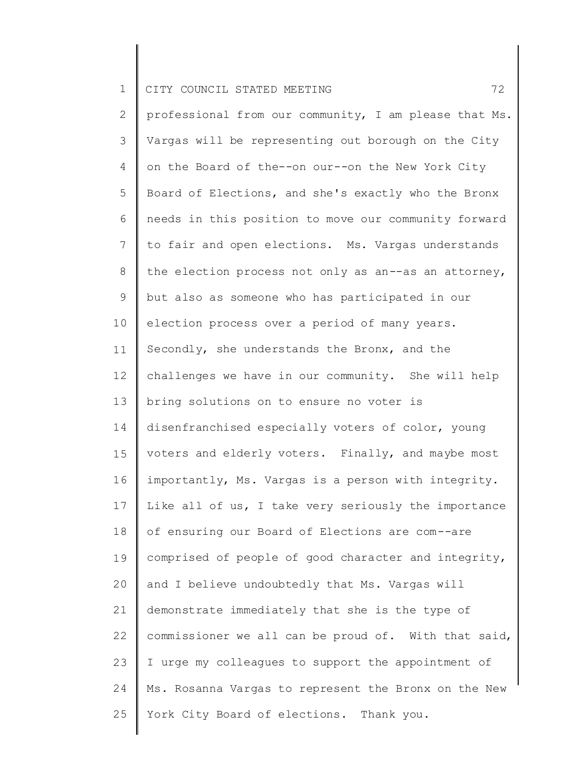| $\mathbf{1}$   | 72<br>CITY COUNCIL STATED MEETING                     |
|----------------|-------------------------------------------------------|
| $\overline{2}$ | professional from our community, I am please that Ms. |
| 3              | Vargas will be representing out borough on the City   |
| 4              | on the Board of the--on our--on the New York City     |
| 5              | Board of Elections, and she's exactly who the Bronx   |
| 6              | needs in this position to move our community forward  |
| $7\phantom{.}$ | to fair and open elections. Ms. Vargas understands    |
| 8              | the election process not only as an--as an attorney,  |
| 9              | but also as someone who has participated in our       |
| 10             | election process over a period of many years.         |
| 11             | Secondly, she understands the Bronx, and the          |
| 12             | challenges we have in our community. She will help    |
| 13             | bring solutions on to ensure no voter is              |
| 14             | disenfranchised especially voters of color, young     |
| 15             | voters and elderly voters. Finally, and maybe most    |
| 16             | importantly, Ms. Vargas is a person with integrity.   |
| 17             | Like all of us, I take very seriously the importance  |
| 18             | of ensuring our Board of Elections are com--are       |
| 19             | comprised of people of good character and integrity,  |
| 20             | and I believe undoubtedly that Ms. Vargas will        |
| 21             | demonstrate immediately that she is the type of       |
| 22             | commissioner we all can be proud of. With that said,  |
| 23             | I urge my colleagues to support the appointment of    |
| 24             | Ms. Rosanna Vargas to represent the Bronx on the New  |
| 25             | York City Board of elections. Thank you.              |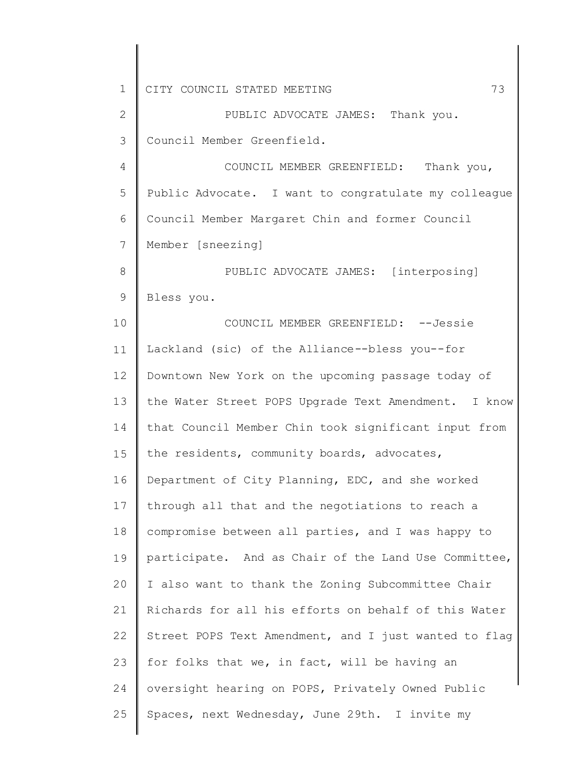1 2 3 4 5 6 7 8 9 10 11 12 13 14 15 16 17 18 19 20 21 22 23 24 25 CITY COUNCIL STATED MEETING 73 PUBLIC ADVOCATE JAMES: Thank you. Council Member Greenfield. COUNCIL MEMBER GREENFIELD: Thank you, Public Advocate. I want to congratulate my colleague Council Member Margaret Chin and former Council Member [sneezing] PUBLIC ADVOCATE JAMES: [interposing] Bless you. COUNCIL MEMBER GREENFIELD: --Jessie Lackland (sic) of the Alliance--bless you--for Downtown New York on the upcoming passage today of the Water Street POPS Upgrade Text Amendment. I know that Council Member Chin took significant input from the residents, community boards, advocates, Department of City Planning, EDC, and she worked through all that and the negotiations to reach a compromise between all parties, and I was happy to participate. And as Chair of the Land Use Committee, I also want to thank the Zoning Subcommittee Chair Richards for all his efforts on behalf of this Water Street POPS Text Amendment, and I just wanted to flag for folks that we, in fact, will be having an oversight hearing on POPS, Privately Owned Public Spaces, next Wednesday, June 29th. I invite my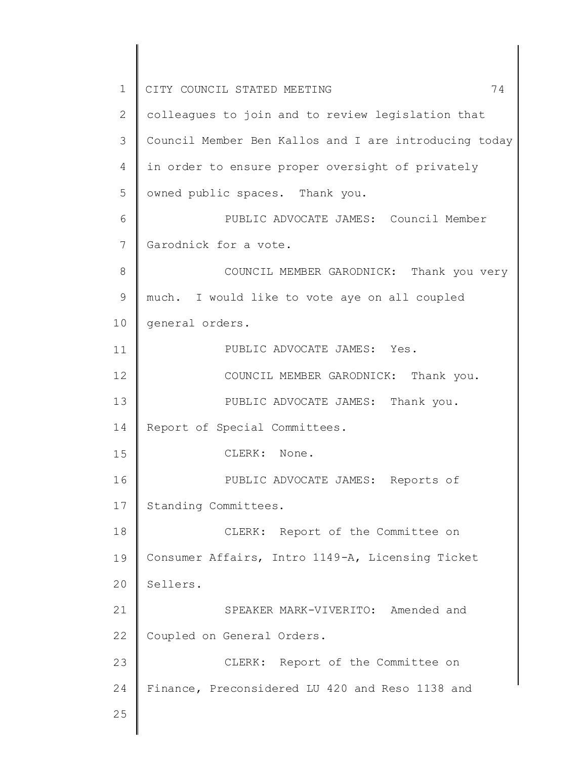1 2 3 4 5 6 7 8 9 10 11 12 13 14 15 16 17 18 19 20 21 22 23 24 25 CITY COUNCIL STATED MEETING 74 colleagues to join and to review legislation that Council Member Ben Kallos and I are introducing today in order to ensure proper oversight of privately owned public spaces. Thank you. PUBLIC ADVOCATE JAMES: Council Member Garodnick for a vote. COUNCIL MEMBER GARODNICK: Thank you very much. I would like to vote aye on all coupled general orders. PUBLIC ADVOCATE JAMES: Yes. COUNCIL MEMBER GARODNICK: Thank you. PUBLIC ADVOCATE JAMES: Thank you. Report of Special Committees. CLERK: None. PUBLIC ADVOCATE JAMES: Reports of Standing Committees. CLERK: Report of the Committee on Consumer Affairs, Intro 1149-A, Licensing Ticket Sellers. SPEAKER MARK-VIVERITO: Amended and Coupled on General Orders. CLERK: Report of the Committee on Finance, Preconsidered LU 420 and Reso 1138 and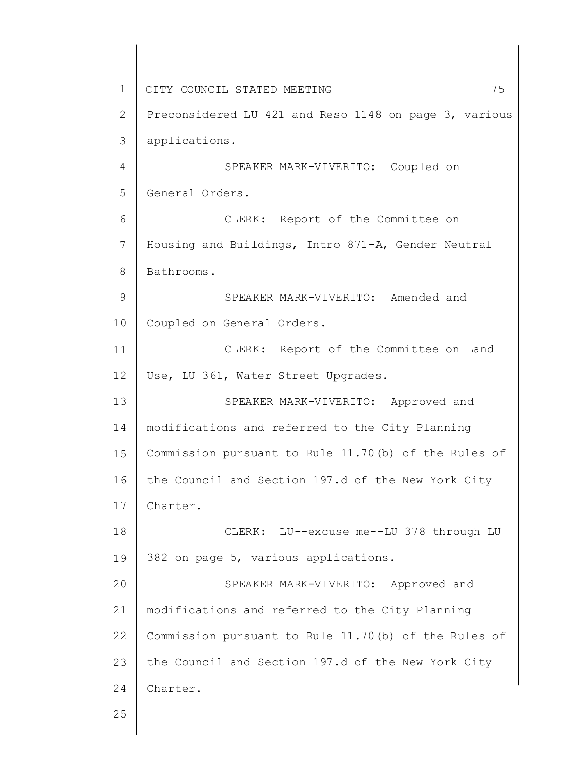1 2 3 4 5 6 7 8 9 10 11 12 13 14 15 16 17 18 19 20 21 22 23 24 25 CITY COUNCIL STATED MEETING 75 Preconsidered LU 421 and Reso 1148 on page 3, various applications. SPEAKER MARK-VIVERITO: Coupled on General Orders. CLERK: Report of the Committee on Housing and Buildings, Intro 871-A, Gender Neutral Bathrooms. SPEAKER MARK-VIVERITO: Amended and Coupled on General Orders. CLERK: Report of the Committee on Land Use, LU 361, Water Street Upgrades. SPEAKER MARK-VIVERITO: Approved and modifications and referred to the City Planning Commission pursuant to Rule 11.70(b) of the Rules of the Council and Section 197.d of the New York City Charter. CLERK: LU--excuse me--LU 378 through LU 382 on page 5, various applications. SPEAKER MARK-VIVERITO: Approved and modifications and referred to the City Planning Commission pursuant to Rule 11.70(b) of the Rules of the Council and Section 197.d of the New York City Charter.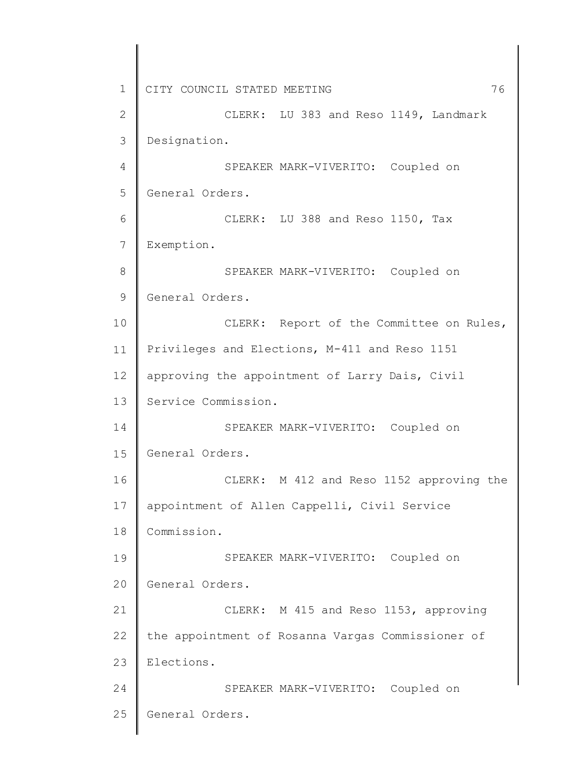1 2 3 4 5 6 7 8 9 10 11 12 13 14 15 16 17 18 19 20 21 22 23 24 25 CITY COUNCIL STATED MEETING 76 CLERK: LU 383 and Reso 1149, Landmark Designation. SPEAKER MARK-VIVERITO: Coupled on General Orders. CLERK: LU 388 and Reso 1150, Tax Exemption. SPEAKER MARK-VIVERITO: Coupled on General Orders. CLERK: Report of the Committee on Rules, Privileges and Elections, M-411 and Reso 1151 approving the appointment of Larry Dais, Civil Service Commission. SPEAKER MARK-VIVERITO: Coupled on General Orders. CLERK: M 412 and Reso 1152 approving the appointment of Allen Cappelli, Civil Service Commission. SPEAKER MARK-VIVERITO: Coupled on General Orders. CLERK: M 415 and Reso 1153, approving the appointment of Rosanna Vargas Commissioner of Elections. SPEAKER MARK-VIVERITO: Coupled on General Orders.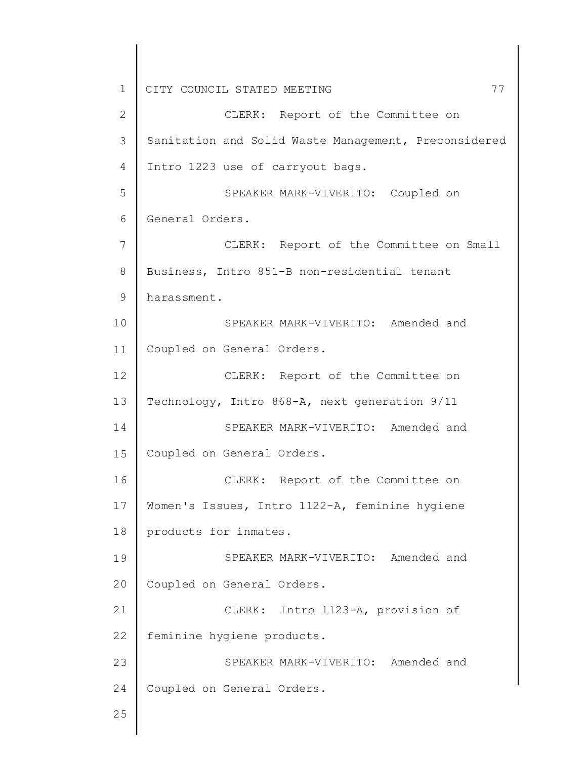1 2 3 4 5 6 7 8 9 10 11 12 13 14 15 16 17 18 19 20 21 22 23 24 25 CITY COUNCIL STATED MEETING 77 CLERK: Report of the Committee on Sanitation and Solid Waste Management, Preconsidered Intro 1223 use of carryout bags. SPEAKER MARK-VIVERITO: Coupled on General Orders. CLERK: Report of the Committee on Small Business, Intro 851-B non-residential tenant harassment. SPEAKER MARK-VIVERITO: Amended and Coupled on General Orders. CLERK: Report of the Committee on Technology, Intro 868-A, next generation 9/11 SPEAKER MARK-VIVERITO: Amended and Coupled on General Orders. CLERK: Report of the Committee on Women's Issues, Intro 1122-A, feminine hygiene products for inmates. SPEAKER MARK-VIVERITO: Amended and Coupled on General Orders. CLERK: Intro 1123-A, provision of feminine hygiene products. SPEAKER MARK-VIVERITO: Amended and Coupled on General Orders.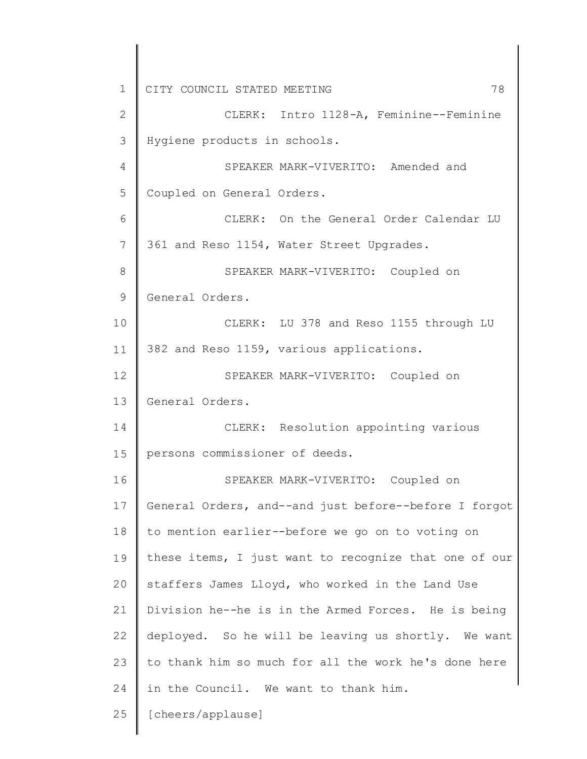1 2 3 4 5 6 7 8 9 10 11 12 13 14 15 16 17 18 19 20 21 22 23 24 25 CITY COUNCIL STATED MEETING 78 CLERK: Intro 1128-A, Feminine--Feminine Hygiene products in schools. SPEAKER MARK-VIVERITO: Amended and Coupled on General Orders. CLERK: On the General Order Calendar LU 361 and Reso 1154, Water Street Upgrades. SPEAKER MARK-VIVERITO: Coupled on General Orders. CLERK: LU 378 and Reso 1155 through LU 382 and Reso 1159, various applications. SPEAKER MARK-VIVERITO: Coupled on General Orders. CLERK: Resolution appointing various persons commissioner of deeds. SPEAKER MARK-VIVERITO: Coupled on General Orders, and--and just before--before I forgot to mention earlier--before we go on to voting on these items, I just want to recognize that one of our staffers James Lloyd, who worked in the Land Use Division he--he is in the Armed Forces. He is being deployed. So he will be leaving us shortly. We want to thank him so much for all the work he's done here in the Council. We want to thank him. [cheers/applause]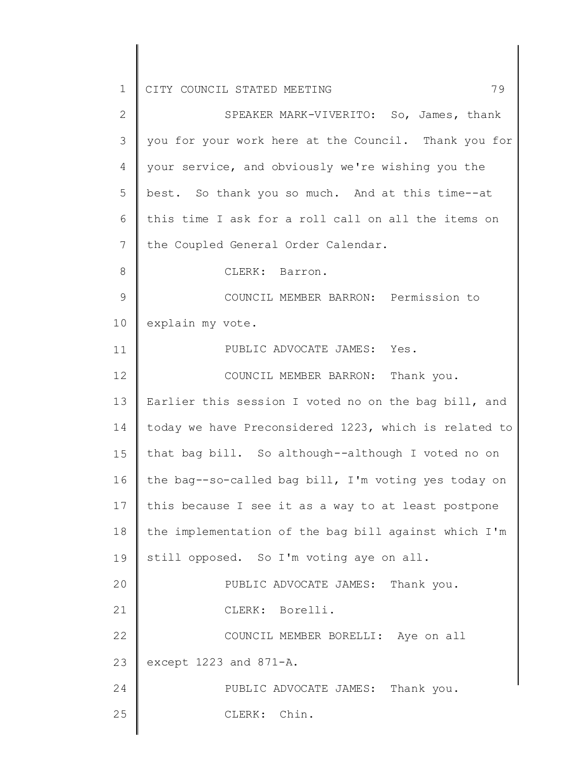1 2 3 4 5 6 7 8 9 10 11 12 13 14 15 16 17 18 19 20 21 22 23 24 25 CITY COUNCIL STATED MEETING 79 SPEAKER MARK-VIVERITO: So, James, thank you for your work here at the Council. Thank you for your service, and obviously we're wishing you the best. So thank you so much. And at this time--at this time I ask for a roll call on all the items on the Coupled General Order Calendar. CLERK: Barron. COUNCIL MEMBER BARRON: Permission to explain my vote. PUBLIC ADVOCATE JAMES: Yes. COUNCIL MEMBER BARRON: Thank you. Earlier this session I voted no on the bag bill, and today we have Preconsidered 1223, which is related to that bag bill. So although--although I voted no on the bag--so-called bag bill, I'm voting yes today on this because I see it as a way to at least postpone the implementation of the bag bill against which I'm still opposed. So I'm voting aye on all. PUBLIC ADVOCATE JAMES: Thank you. CLERK: Borelli. COUNCIL MEMBER BORELLI: Aye on all except 1223 and 871-A. PUBLIC ADVOCATE JAMES: Thank you. CLERK: Chin.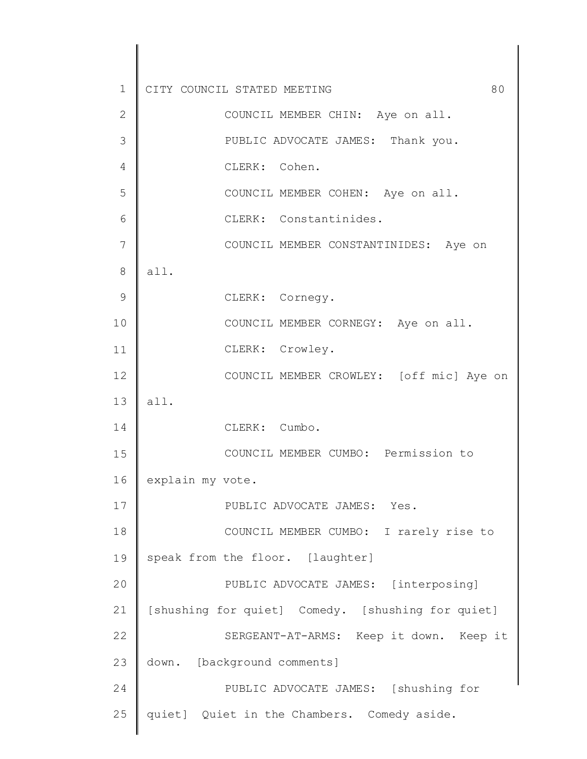1 2 3 4 5 6 7 8 9 10 11 12 13 14 15 16 17 18 19 20 21 22 23 24 25 CITY COUNCIL STATED MEETING 60 COUNCIL MEMBER CHIN: Aye on all. PUBLIC ADVOCATE JAMES: Thank you. CLERK: Cohen. COUNCIL MEMBER COHEN: Aye on all. CLERK: Constantinides. COUNCIL MEMBER CONSTANTINIDES: Aye on all. CLERK: Cornegy. COUNCIL MEMBER CORNEGY: Aye on all. CLERK: Crowley. COUNCIL MEMBER CROWLEY: [off mic] Aye on all. CLERK: Cumbo. COUNCIL MEMBER CUMBO: Permission to explain my vote. PUBLIC ADVOCATE JAMES: Yes. COUNCIL MEMBER CUMBO: I rarely rise to speak from the floor. [laughter] PUBLIC ADVOCATE JAMES: [interposing] [shushing for quiet] Comedy. [shushing for quiet] SERGEANT-AT-ARMS: Keep it down. Keep it down. [background comments] PUBLIC ADVOCATE JAMES: [shushing for quiet] Quiet in the Chambers. Comedy aside.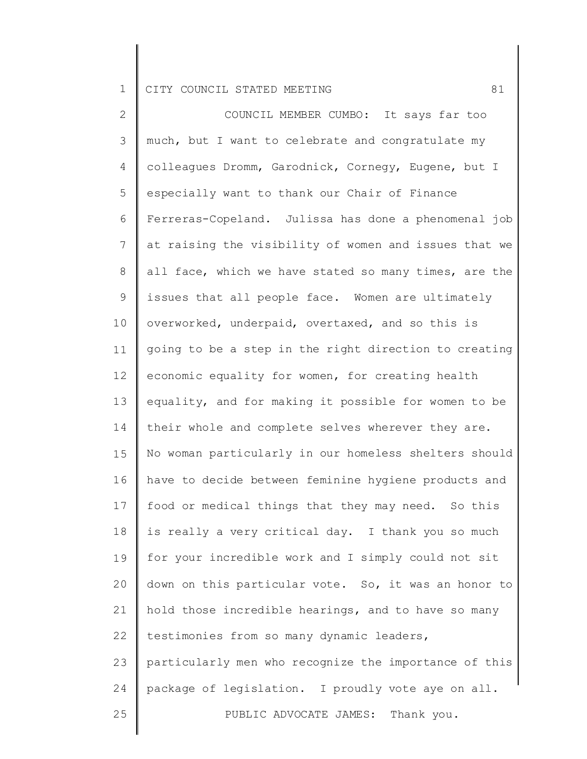2 3 4 5 6 7 8 9 10 11 12 13 14 15 16 17 18 19 20 21 22 23 24 25 COUNCIL MEMBER CUMBO: It says far too much, but I want to celebrate and congratulate my colleagues Dromm, Garodnick, Cornegy, Eugene, but I especially want to thank our Chair of Finance Ferreras-Copeland. Julissa has done a phenomenal job at raising the visibility of women and issues that we all face, which we have stated so many times, are the issues that all people face. Women are ultimately overworked, underpaid, overtaxed, and so this is going to be a step in the right direction to creating economic equality for women, for creating health equality, and for making it possible for women to be their whole and complete selves wherever they are. No woman particularly in our homeless shelters should have to decide between feminine hygiene products and food or medical things that they may need. So this is really a very critical day. I thank you so much for your incredible work and I simply could not sit down on this particular vote. So, it was an honor to hold those incredible hearings, and to have so many testimonies from so many dynamic leaders, particularly men who recognize the importance of this package of legislation. I proudly vote aye on all. PUBLIC ADVOCATE JAMES: Thank you.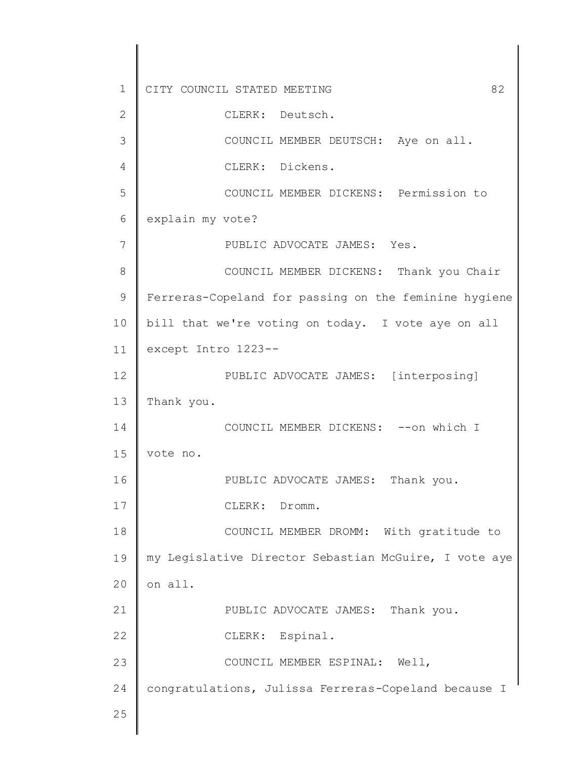1 2 3 4 5 6 7 8 9 10 11 12 13 14 15 16 17 18 19 20 21 22 23 24 25 CITY COUNCIL STATED MEETING 62 CLERK: Deutsch. COUNCIL MEMBER DEUTSCH: Aye on all. CLERK: Dickens. COUNCIL MEMBER DICKENS: Permission to explain my vote? PUBLIC ADVOCATE JAMES: Yes. COUNCIL MEMBER DICKENS: Thank you Chair Ferreras-Copeland for passing on the feminine hygiene bill that we're voting on today. I vote aye on all except Intro 1223-- PUBLIC ADVOCATE JAMES: [interposing] Thank you. COUNCIL MEMBER DICKENS: --on which I vote no. PUBLIC ADVOCATE JAMES: Thank you. CLERK: Dromm. COUNCIL MEMBER DROMM: With gratitude to my Legislative Director Sebastian McGuire, I vote aye on all. PUBLIC ADVOCATE JAMES: Thank you. CLERK: Espinal. COUNCIL MEMBER ESPINAL: Well, congratulations, Julissa Ferreras-Copeland because I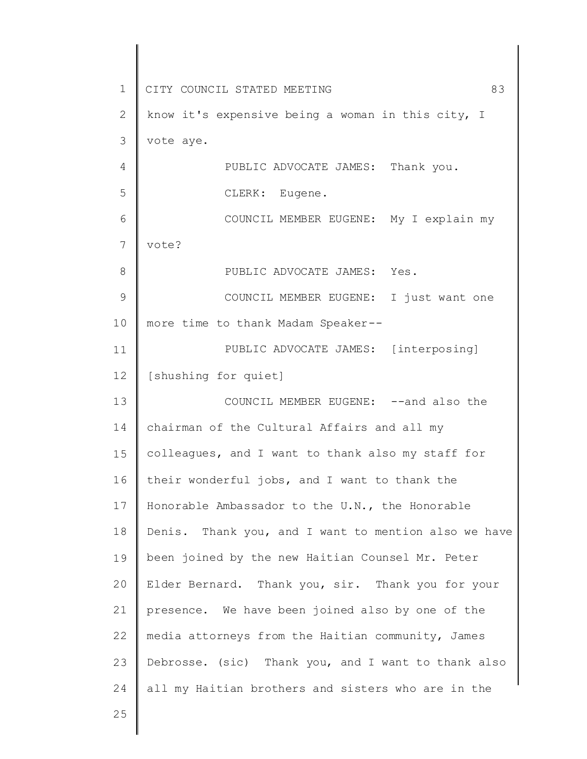1 2 3 4 5 6 7 8 9 10 11 12 13 14 15 16 17 18 19 20 21 22 23 24 25 CITY COUNCIL STATED MEETING 83 know it's expensive being a woman in this city, I vote aye. PUBLIC ADVOCATE JAMES: Thank you. CLERK: Eugene. COUNCIL MEMBER EUGENE: My I explain my vote? PUBLIC ADVOCATE JAMES: Yes. COUNCIL MEMBER EUGENE: I just want one more time to thank Madam Speaker-- PUBLIC ADVOCATE JAMES: [interposing] [shushing for quiet] COUNCIL MEMBER EUGENE: --and also the chairman of the Cultural Affairs and all my colleagues, and I want to thank also my staff for their wonderful jobs, and I want to thank the Honorable Ambassador to the U.N., the Honorable Denis. Thank you, and I want to mention also we have been joined by the new Haitian Counsel Mr. Peter Elder Bernard. Thank you, sir. Thank you for your presence. We have been joined also by one of the media attorneys from the Haitian community, James Debrosse. (sic) Thank you, and I want to thank also all my Haitian brothers and sisters who are in the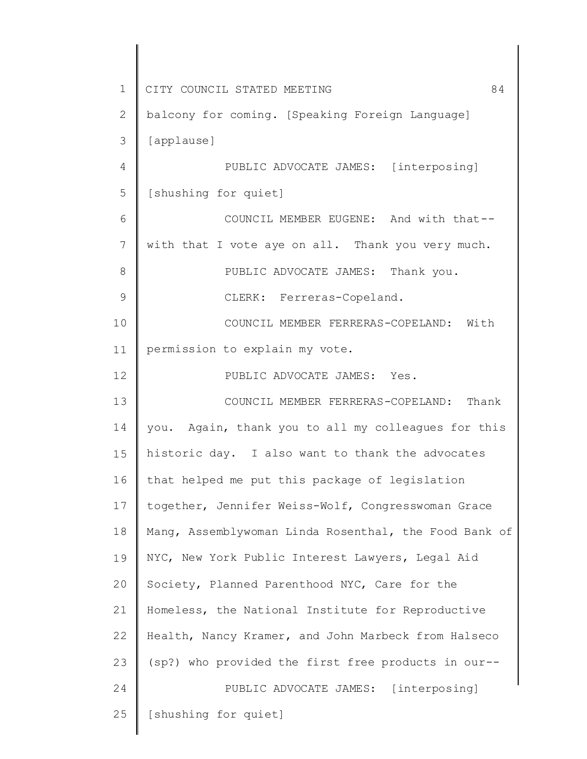1 2 3 4 5 6 7 8 9 10 11 12 13 14 15 16 17 18 19 20 21 22 23 24 25 CITY COUNCIL STATED MEETING 84 balcony for coming. [Speaking Foreign Language] [applause] PUBLIC ADVOCATE JAMES: [interposing] [shushing for quiet] COUNCIL MEMBER EUGENE: And with that- with that I vote aye on all. Thank you very much. PUBLIC ADVOCATE JAMES: Thank you. CLERK: Ferreras-Copeland. COUNCIL MEMBER FERRERAS-COPELAND: With permission to explain my vote. PUBLIC ADVOCATE JAMES: Yes. COUNCIL MEMBER FERRERAS-COPELAND: Thank you. Again, thank you to all my colleagues for this historic day. I also want to thank the advocates that helped me put this package of legislation together, Jennifer Weiss-Wolf, Congresswoman Grace Mang, Assemblywoman Linda Rosenthal, the Food Bank of NYC, New York Public Interest Lawyers, Legal Aid Society, Planned Parenthood NYC, Care for the Homeless, the National Institute for Reproductive Health, Nancy Kramer, and John Marbeck from Halseco (sp?) who provided the first free products in our-- PUBLIC ADVOCATE JAMES: [interposing] [shushing for quiet]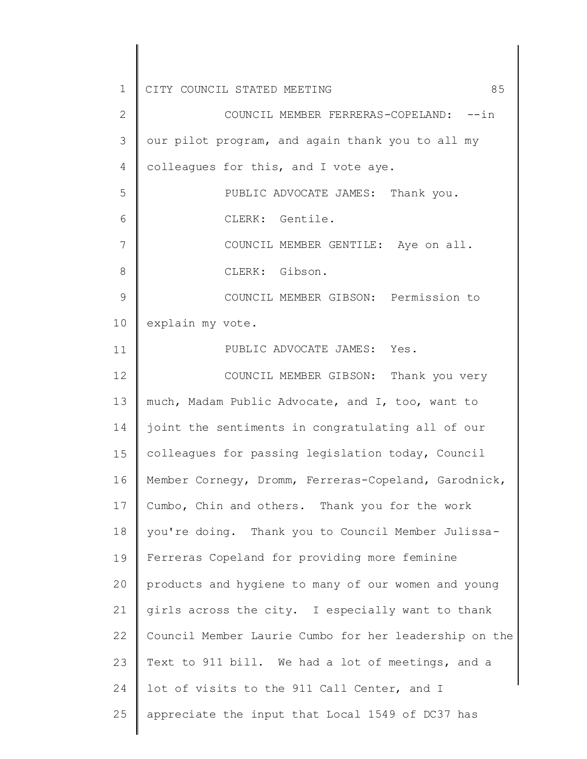1 2 3 4 5 6 7 8 9 10 11 12 13 14 15 16 17 18 19 20 21 22 23 24 25 CITY COUNCIL STATED MEETING 65 COUNCIL MEMBER FERRERAS-COPELAND: --in our pilot program, and again thank you to all my colleagues for this, and I vote aye. PUBLIC ADVOCATE JAMES: Thank you. CLERK: Gentile. COUNCIL MEMBER GENTILE: Aye on all. CLERK: Gibson. COUNCIL MEMBER GIBSON: Permission to explain my vote. PUBLIC ADVOCATE JAMES: Yes. COUNCIL MEMBER GIBSON: Thank you very much, Madam Public Advocate, and I, too, want to joint the sentiments in congratulating all of our colleagues for passing legislation today, Council Member Cornegy, Dromm, Ferreras-Copeland, Garodnick, Cumbo, Chin and others. Thank you for the work you're doing. Thank you to Council Member Julissa-Ferreras Copeland for providing more feminine products and hygiene to many of our women and young girls across the city. I especially want to thank Council Member Laurie Cumbo for her leadership on the Text to 911 bill. We had a lot of meetings, and a lot of visits to the 911 Call Center, and I appreciate the input that Local 1549 of DC37 has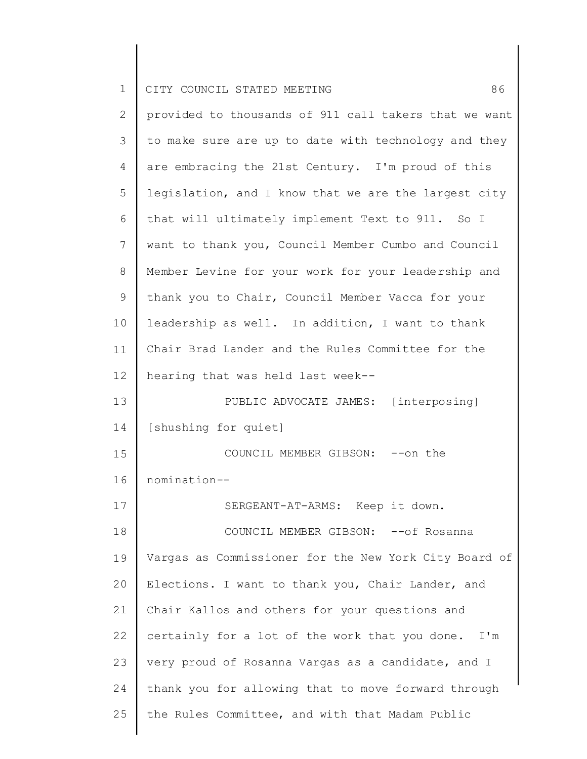| $\mathbf 1$ | 86<br>CITY COUNCIL STATED MEETING                     |
|-------------|-------------------------------------------------------|
| 2           | provided to thousands of 911 call takers that we want |
| 3           | to make sure are up to date with technology and they  |
| 4           | are embracing the 21st Century. I'm proud of this     |
| 5           | legislation, and I know that we are the largest city  |
| 6           | that will ultimately implement Text to 911. So I      |
| 7           | want to thank you, Council Member Cumbo and Council   |
| $8\,$       | Member Levine for your work for your leadership and   |
| 9           | thank you to Chair, Council Member Vacca for your     |
| 10          | leadership as well. In addition, I want to thank      |
| 11          | Chair Brad Lander and the Rules Committee for the     |
| 12          | hearing that was held last week--                     |
| 13          | PUBLIC ADVOCATE JAMES: [interposing]                  |
| 14          | [shushing for quiet]                                  |
| 15          | COUNCIL MEMBER GIBSON: -- on the                      |
| 16          | nomination--                                          |
| 17          | SERGEANT-AT-ARMS: Keep it down.                       |
| 18          | COUNCIL MEMBER GIBSON: -- of Rosanna                  |
| 19          | Vargas as Commissioner for the New York City Board of |
| 20          | Elections. I want to thank you, Chair Lander, and     |
| 21          | Chair Kallos and others for your questions and        |
| 22          | certainly for a lot of the work that you done. I'm    |
| 23          | very proud of Rosanna Vargas as a candidate, and I    |
| 24          | thank you for allowing that to move forward through   |
| 25          | the Rules Committee, and with that Madam Public       |
|             |                                                       |

 $\begin{array}{c} \hline \end{array}$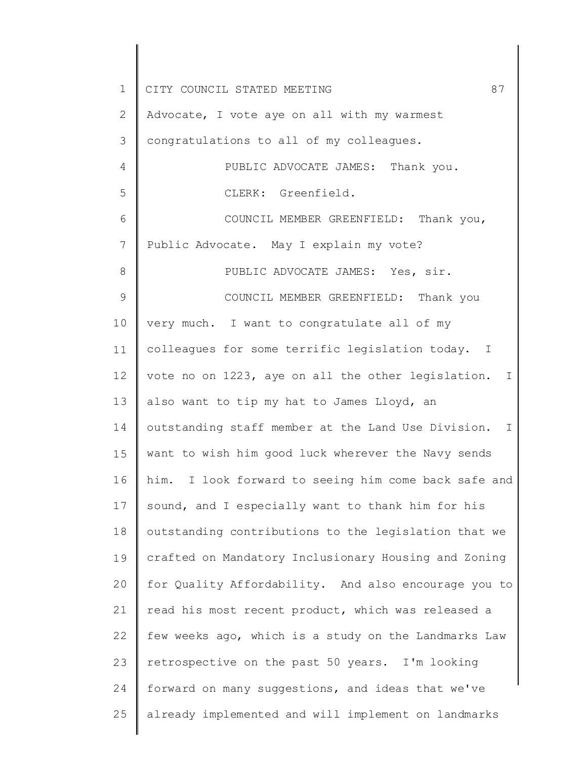1 2 3 4 5 6 7 8 9 10 11 12 13 14 15 16 17 18 19 20 21 22 23 24 25 CITY COUNCIL STATED MEETING 87 Advocate, I vote aye on all with my warmest congratulations to all of my colleagues. PUBLIC ADVOCATE JAMES: Thank you. CLERK: Greenfield. COUNCIL MEMBER GREENFIELD: Thank you, Public Advocate. May I explain my vote? PUBLIC ADVOCATE JAMES: Yes, sir. COUNCIL MEMBER GREENFIELD: Thank you very much. I want to congratulate all of my colleagues for some terrific legislation today. I vote no on 1223, aye on all the other legislation. I also want to tip my hat to James Lloyd, an outstanding staff member at the Land Use Division. I want to wish him good luck wherever the Navy sends him. I look forward to seeing him come back safe and sound, and I especially want to thank him for his outstanding contributions to the legislation that we crafted on Mandatory Inclusionary Housing and Zoning for Quality Affordability. And also encourage you to read his most recent product, which was released a few weeks ago, which is a study on the Landmarks Law retrospective on the past 50 years. I'm looking forward on many suggestions, and ideas that we've already implemented and will implement on landmarks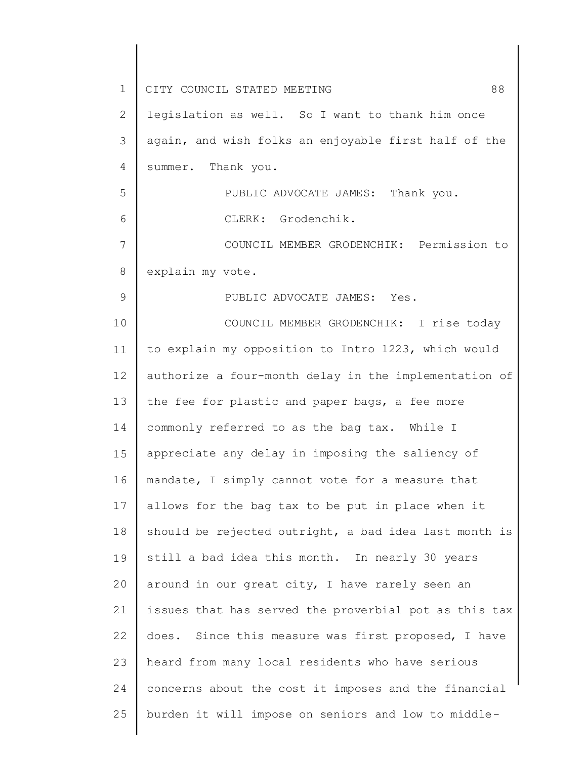| $\mathbf 1$    | CITY COUNCIL STATED MEETING<br>88                     |
|----------------|-------------------------------------------------------|
| 2              | legislation as well. So I want to thank him once      |
| 3              | again, and wish folks an enjoyable first half of the  |
| $\overline{4}$ | summer. Thank you.                                    |
| 5              | PUBLIC ADVOCATE JAMES: Thank you.                     |
| 6              | CLERK: Grodenchik.                                    |
| 7              | COUNCIL MEMBER GRODENCHIK: Permission to              |
| 8              | explain my vote.                                      |
| 9              | PUBLIC ADVOCATE JAMES: Yes.                           |
| 10             | COUNCIL MEMBER GRODENCHIK: I rise today               |
| 11             | to explain my opposition to Intro 1223, which would   |
| 12             | authorize a four-month delay in the implementation of |
| 13             | the fee for plastic and paper bags, a fee more        |
| 14             | commonly referred to as the bag tax. While I          |
| 15             | appreciate any delay in imposing the saliency of      |
| 16             | mandate, I simply cannot vote for a measure that      |
| 17             | allows for the bag tax to be put in place when it     |
| 18             | should be rejected outright, a bad idea last month is |
| 19             | still a bad idea this month. In nearly 30 years       |
| 20             | around in our great city, I have rarely seen an       |
| 21             | issues that has served the proverbial pot as this tax |
| 22             | does. Since this measure was first proposed, I have   |
| 23             | heard from many local residents who have serious      |
| 24             | concerns about the cost it imposes and the financial  |
| 25             | burden it will impose on seniors and low to middle-   |
|                |                                                       |

 $\begin{array}{c} \hline \end{array}$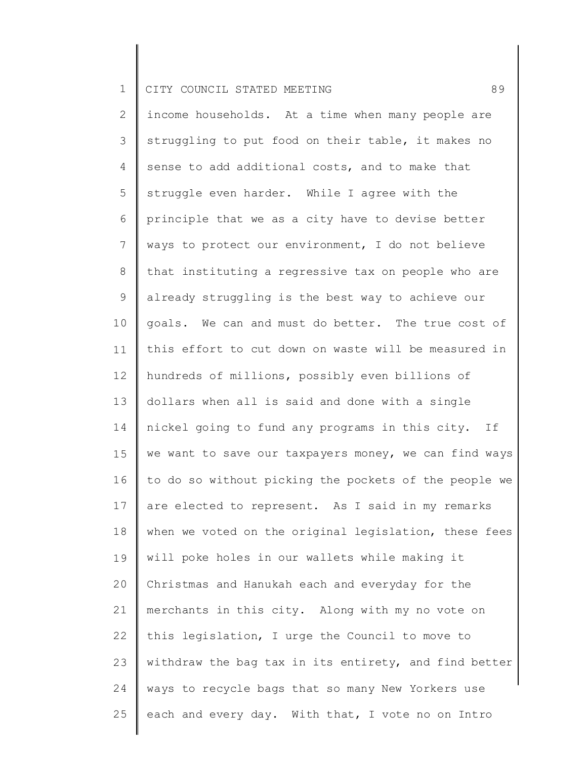2 3 4 5 6 7 8 9 10 11 12 13 14 15 16 17 18 19 20 21 22 23 24 25 income households. At a time when many people are struggling to put food on their table, it makes no sense to add additional costs, and to make that struggle even harder. While I agree with the principle that we as a city have to devise better ways to protect our environment, I do not believe that instituting a regressive tax on people who are already struggling is the best way to achieve our goals. We can and must do better. The true cost of this effort to cut down on waste will be measured in hundreds of millions, possibly even billions of dollars when all is said and done with a single nickel going to fund any programs in this city. If we want to save our taxpayers money, we can find ways to do so without picking the pockets of the people we are elected to represent. As I said in my remarks when we voted on the original legislation, these fees will poke holes in our wallets while making it Christmas and Hanukah each and everyday for the merchants in this city. Along with my no vote on this legislation, I urge the Council to move to withdraw the bag tax in its entirety, and find better ways to recycle bags that so many New Yorkers use each and every day. With that, I vote no on Intro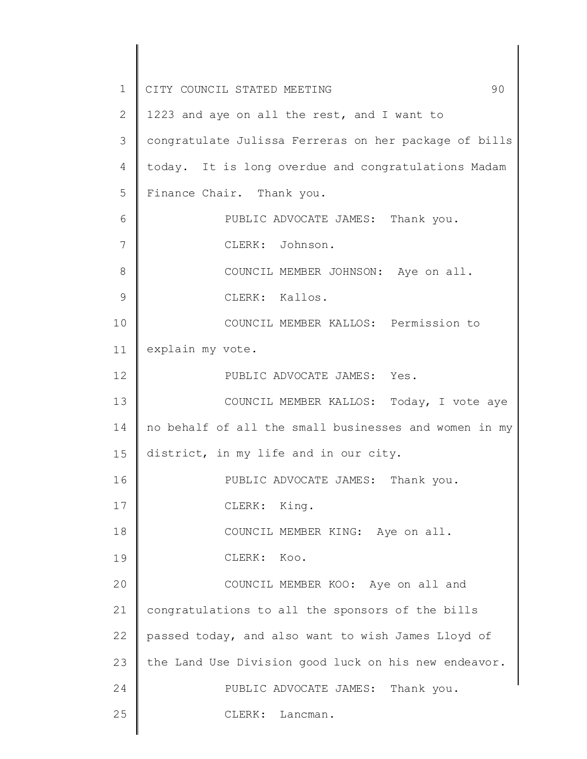1 2 3 4 5 6 7 8 9 10 11 12 13 14 15 16 17 18 19 20 21 22 23 24 25 CITY COUNCIL STATED MEETING 90 1223 and aye on all the rest, and I want to congratulate Julissa Ferreras on her package of bills today. It is long overdue and congratulations Madam Finance Chair. Thank you. PUBLIC ADVOCATE JAMES: Thank you. CLERK: Johnson. COUNCIL MEMBER JOHNSON: Aye on all. CLERK: Kallos. COUNCIL MEMBER KALLOS: Permission to explain my vote. PUBLIC ADVOCATE JAMES: Yes. COUNCIL MEMBER KALLOS: Today, I vote aye no behalf of all the small businesses and women in my district, in my life and in our city. PUBLIC ADVOCATE JAMES: Thank you. CLERK: King. COUNCIL MEMBER KING: Aye on all. CLERK: Koo. COUNCIL MEMBER KOO: Aye on all and congratulations to all the sponsors of the bills passed today, and also want to wish James Lloyd of the Land Use Division good luck on his new endeavor. PUBLIC ADVOCATE JAMES: Thank you. CLERK: Lancman.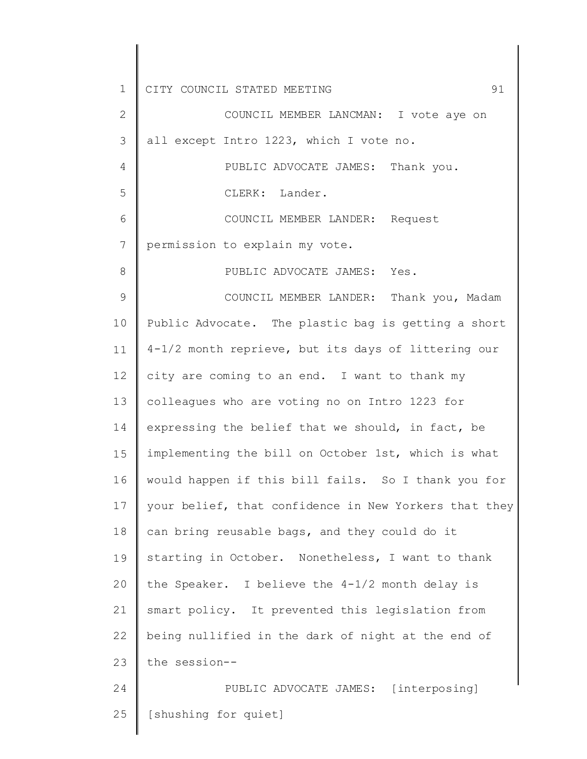1 2 3 4 5 6 7 8 9 10 11 12 13 14 15 16 17 18 19 20 21 22 23 24 25 CITY COUNCIL STATED MEETING 91 COUNCIL MEMBER LANCMAN: I vote aye on all except Intro 1223, which I vote no. PUBLIC ADVOCATE JAMES: Thank you. CLERK: Lander. COUNCIL MEMBER LANDER: Request permission to explain my vote. PUBLIC ADVOCATE JAMES: Yes. COUNCIL MEMBER LANDER: Thank you, Madam Public Advocate. The plastic bag is getting a short 4-1/2 month reprieve, but its days of littering our city are coming to an end. I want to thank my colleagues who are voting no on Intro 1223 for expressing the belief that we should, in fact, be implementing the bill on October 1st, which is what would happen if this bill fails. So I thank you for your belief, that confidence in New Yorkers that they can bring reusable bags, and they could do it starting in October. Nonetheless, I want to thank the Speaker. I believe the 4-1/2 month delay is smart policy. It prevented this legislation from being nullified in the dark of night at the end of the session-- PUBLIC ADVOCATE JAMES: [interposing] [shushing for quiet]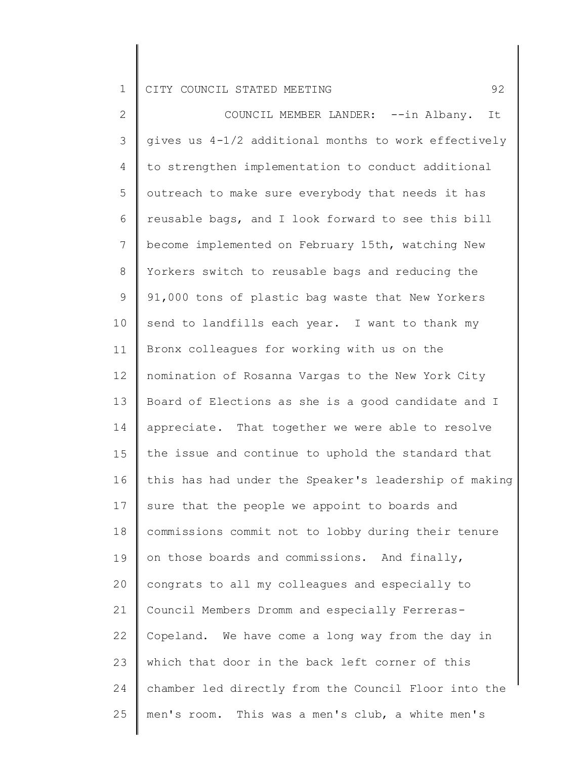2 3 4 5 6 7 8 9 10 11 12 13 14 15 16 17 18 19 20 21 22 23 24 25 COUNCIL MEMBER LANDER: --in Albany. It gives us 4-1/2 additional months to work effectively to strengthen implementation to conduct additional outreach to make sure everybody that needs it has reusable bags, and I look forward to see this bill become implemented on February 15th, watching New Yorkers switch to reusable bags and reducing the 91,000 tons of plastic bag waste that New Yorkers send to landfills each year. I want to thank my Bronx colleagues for working with us on the nomination of Rosanna Vargas to the New York City Board of Elections as she is a good candidate and I appreciate. That together we were able to resolve the issue and continue to uphold the standard that this has had under the Speaker's leadership of making sure that the people we appoint to boards and commissions commit not to lobby during their tenure on those boards and commissions. And finally, congrats to all my colleagues and especially to Council Members Dromm and especially Ferreras-Copeland. We have come a long way from the day in which that door in the back left corner of this chamber led directly from the Council Floor into the men's room. This was a men's club, a white men's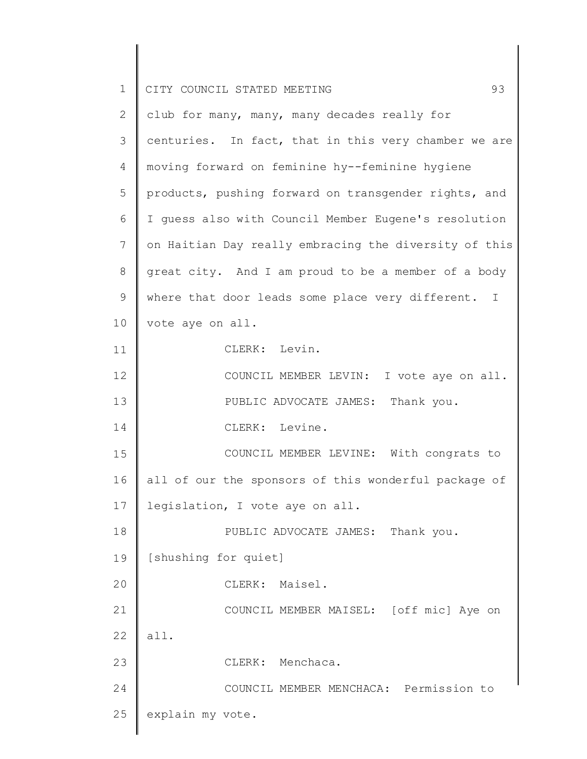| $\mathbf 1$  | 93<br>CITY COUNCIL STATED MEETING                     |
|--------------|-------------------------------------------------------|
| $\mathbf{2}$ | club for many, many, many decades really for          |
| 3            | centuries. In fact, that in this very chamber we are  |
| 4            | moving forward on feminine hy--feminine hygiene       |
| 5            | products, pushing forward on transgender rights, and  |
| 6            | I guess also with Council Member Eugene's resolution  |
| 7            | on Haitian Day really embracing the diversity of this |
| $8\,$        | great city. And I am proud to be a member of a body   |
| $\mathsf 9$  | where that door leads some place very different. I    |
| 10           | vote aye on all.                                      |
| 11           | CLERK: Levin.                                         |
| 12           | COUNCIL MEMBER LEVIN: I vote aye on all.              |
| 13           | PUBLIC ADVOCATE JAMES: Thank you.                     |
| 14           | CLERK: Levine.                                        |
| 15           | COUNCIL MEMBER LEVINE: With congrats to               |
| 16           | all of our the sponsors of this wonderful package of  |
| 17           | legislation, I vote aye on all.                       |
| 18           | PUBLIC ADVOCATE JAMES: Thank you.                     |
| 19           | [shushing for quiet]                                  |
| 20           | CLERK: Maisel.                                        |
| 21           | COUNCIL MEMBER MAISEL: [off mic] Aye on               |
| 22           | all.                                                  |
| 23           | CLERK: Menchaca.                                      |
| 24           | COUNCIL MEMBER MENCHACA: Permission to                |
| 25           | explain my vote.                                      |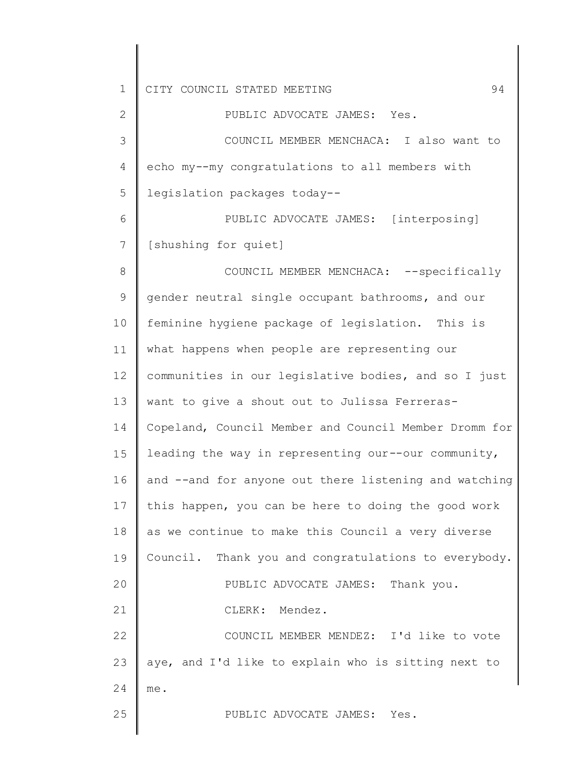2 3 4 5 6 7 8 9 10 11 12 13 14 15 16 17 18 19 20 21 22 23 24 25 PUBLIC ADVOCATE JAMES: Yes. COUNCIL MEMBER MENCHACA: I also want to echo my--my congratulations to all members with legislation packages today-- PUBLIC ADVOCATE JAMES: [interposing] [shushing for quiet] COUNCIL MEMBER MENCHACA: --specifically gender neutral single occupant bathrooms, and our feminine hygiene package of legislation. This is what happens when people are representing our communities in our legislative bodies, and so I just want to give a shout out to Julissa Ferreras-Copeland, Council Member and Council Member Dromm for leading the way in representing our--our community, and --and for anyone out there listening and watching this happen, you can be here to doing the good work as we continue to make this Council a very diverse Council. Thank you and congratulations to everybody. PUBLIC ADVOCATE JAMES: Thank you. CLERK: Mendez. COUNCIL MEMBER MENDEZ: I'd like to vote aye, and I'd like to explain who is sitting next to me. PUBLIC ADVOCATE JAMES: Yes.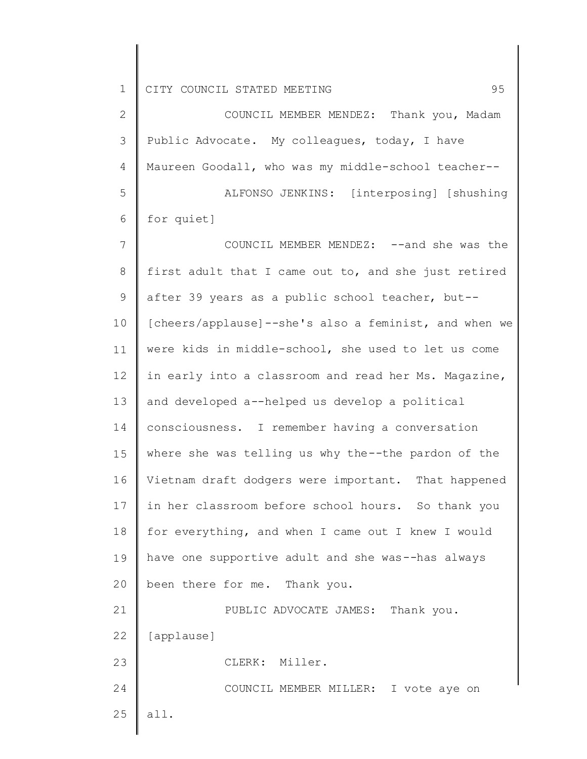2 3 4 5 COUNCIL MEMBER MENDEZ: Thank you, Madam Public Advocate. My colleagues, today, I have Maureen Goodall, who was my middle-school teacher-- ALFONSO JENKINS: [interposing] [shushing

6 for quiet]

7 8 9 10 11 12 13 14 15 16 17 18 19 20 21 22 COUNCIL MEMBER MENDEZ: --and she was the first adult that I came out to, and she just retired after 39 years as a public school teacher, but-- [cheers/applause]--she's also a feminist, and when we were kids in middle-school, she used to let us come in early into a classroom and read her Ms. Magazine, and developed a--helped us develop a political consciousness. I remember having a conversation where she was telling us why the--the pardon of the Vietnam draft dodgers were important. That happened in her classroom before school hours. So thank you for everything, and when I came out I knew I would have one supportive adult and she was--has always been there for me. Thank you. PUBLIC ADVOCATE JAMES: Thank you. [applause]

CLERK: Miller.

24 COUNCIL MEMBER MILLER: I vote aye on

25 all.

23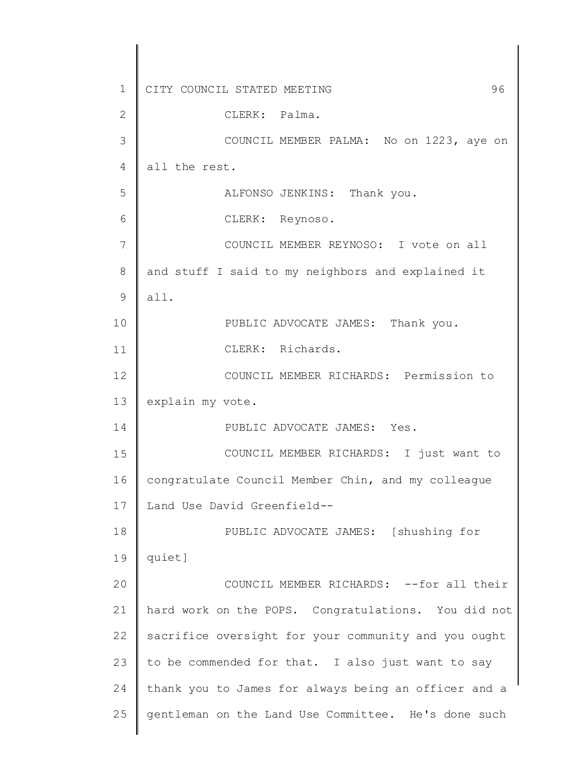1 2 3 4 5 6 7 8 9 10 11 12 13 14 15 16 17 18 19 20 21 22 23 24 25 CITY COUNCIL STATED MEETING 96 CLERK: Palma. COUNCIL MEMBER PALMA: No on 1223, aye on all the rest. ALFONSO JENKINS: Thank you. CLERK: Reynoso. COUNCIL MEMBER REYNOSO: I vote on all and stuff I said to my neighbors and explained it all. PUBLIC ADVOCATE JAMES: Thank you. CLERK: Richards. COUNCIL MEMBER RICHARDS: Permission to explain my vote. PUBLIC ADVOCATE JAMES: Yes. COUNCIL MEMBER RICHARDS: I just want to congratulate Council Member Chin, and my colleague Land Use David Greenfield-- PUBLIC ADVOCATE JAMES: [shushing for quiet] COUNCIL MEMBER RICHARDS: --for all their hard work on the POPS. Congratulations. You did not sacrifice oversight for your community and you ought to be commended for that. I also just want to say thank you to James for always being an officer and a gentleman on the Land Use Committee. He's done such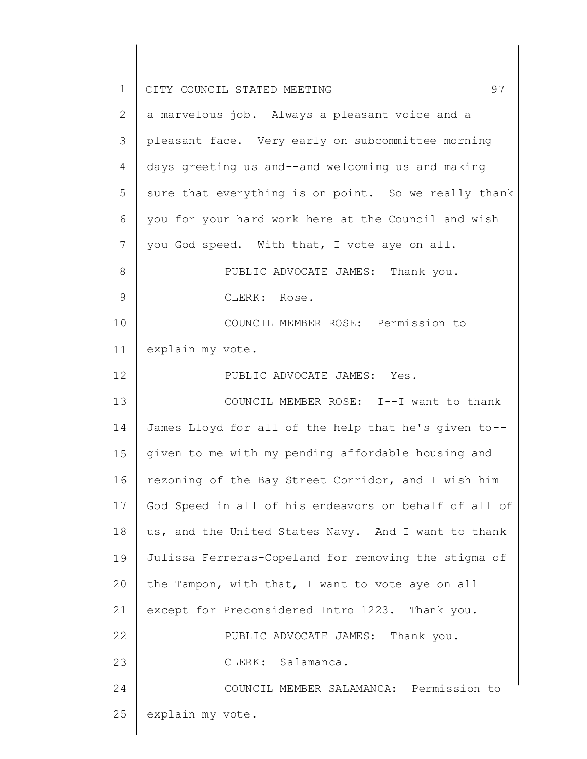| $\mathbf 1$    | 97<br>CITY COUNCIL STATED MEETING                     |
|----------------|-------------------------------------------------------|
| $\mathbf{2}$   | a marvelous job. Always a pleasant voice and a        |
| 3              | pleasant face. Very early on subcommittee morning     |
| $\overline{4}$ | days greeting us and--and welcoming us and making     |
| 5              | sure that everything is on point. So we really thank  |
| 6              | you for your hard work here at the Council and wish   |
| 7              | you God speed. With that, I vote aye on all.          |
| $\,8\,$        | PUBLIC ADVOCATE JAMES: Thank you.                     |
| 9              | CLERK: Rose.                                          |
| 10             | COUNCIL MEMBER ROSE: Permission to                    |
| 11             | explain my vote.                                      |
| 12             | PUBLIC ADVOCATE JAMES: Yes.                           |
| 13             | COUNCIL MEMBER ROSE: I--I want to thank               |
| 14             | James Lloyd for all of the help that he's given to--  |
| 15             | given to me with my pending affordable housing and    |
| 16             | rezoning of the Bay Street Corridor, and I wish him   |
| 17             | God Speed in all of his endeavors on behalf of all of |
| 18             | us, and the United States Navy. And I want to thank   |
| 19             | Julissa Ferreras-Copeland for removing the stigma of  |
| 20             | the Tampon, with that, I want to vote aye on all      |
| 21             | except for Preconsidered Intro 1223. Thank you.       |
| 22             | PUBLIC ADVOCATE JAMES: Thank you.                     |
| 23             | CLERK: Salamanca.                                     |
| 24             | COUNCIL MEMBER SALAMANCA: Permission to               |
| 25             | explain my vote.                                      |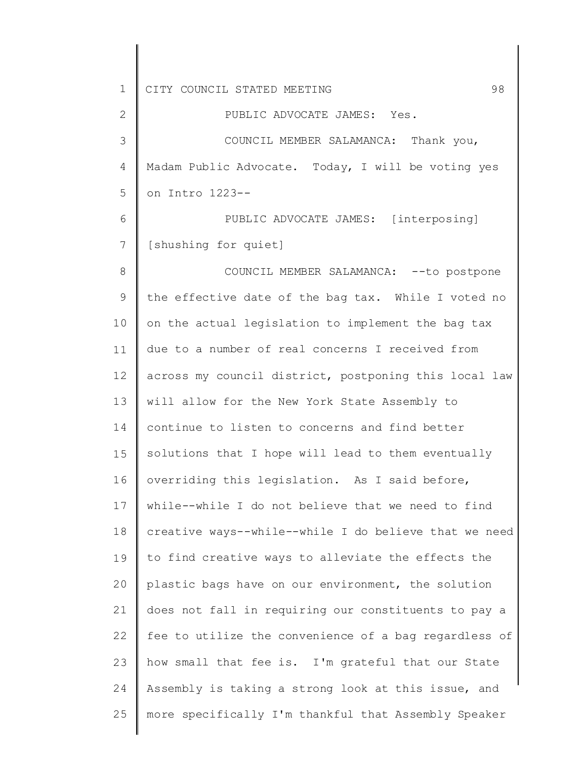1 2 3 4 5 6 7 8 9 10 11 12 13 14 15 16 17 18 19 20 21 22 23 24 25 CITY COUNCIL STATED MEETING 698 PUBLIC ADVOCATE JAMES: Yes. COUNCIL MEMBER SALAMANCA: Thank you, Madam Public Advocate. Today, I will be voting yes on Intro 1223-- PUBLIC ADVOCATE JAMES: [interposing] [shushing for quiet] COUNCIL MEMBER SALAMANCA: --to postpone the effective date of the bag tax. While I voted no on the actual legislation to implement the bag tax due to a number of real concerns I received from across my council district, postponing this local law will allow for the New York State Assembly to continue to listen to concerns and find better solutions that I hope will lead to them eventually overriding this legislation. As I said before, while--while I do not believe that we need to find creative ways--while--while I do believe that we need to find creative ways to alleviate the effects the plastic bags have on our environment, the solution does not fall in requiring our constituents to pay a fee to utilize the convenience of a bag regardless of how small that fee is. I'm grateful that our State Assembly is taking a strong look at this issue, and more specifically I'm thankful that Assembly Speaker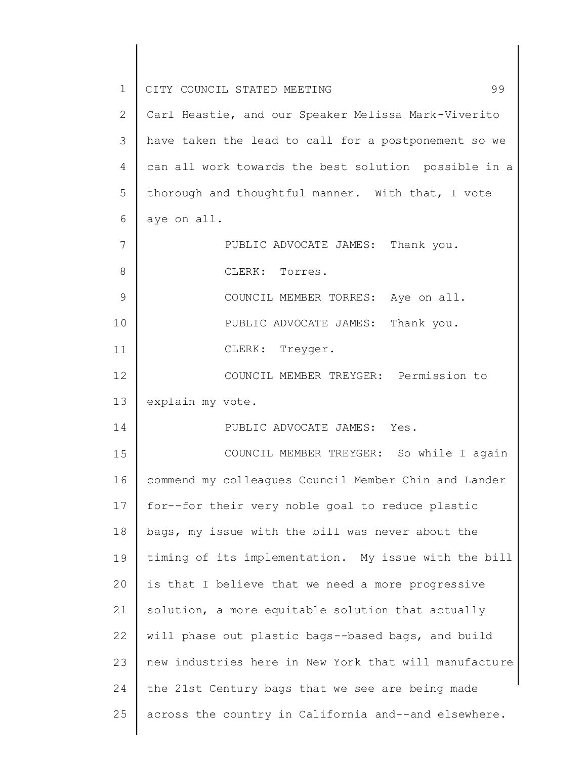| 1              | 99<br>CITY COUNCIL STATED MEETING                     |
|----------------|-------------------------------------------------------|
| 2              | Carl Heastie, and our Speaker Melissa Mark-Viverito   |
| 3              | have taken the lead to call for a postponement so we  |
| $\overline{4}$ | can all work towards the best solution possible in a  |
| 5              | thorough and thoughtful manner. With that, I vote     |
| 6              | aye on all.                                           |
| 7              | PUBLIC ADVOCATE JAMES: Thank you.                     |
| $8\,$          | CLERK: Torres.                                        |
| 9              | COUNCIL MEMBER TORRES: Aye on all.                    |
| 10             | PUBLIC ADVOCATE JAMES: Thank you.                     |
| 11             | CLERK: Treyger.                                       |
| 12             | COUNCIL MEMBER TREYGER: Permission to                 |
| 13             | explain my vote.                                      |
| 14             | PUBLIC ADVOCATE JAMES: Yes.                           |
| 15             | COUNCIL MEMBER TREYGER: So while I again              |
| 16             | commend my colleagues Council Member Chin and Lander  |
| 17             | for--for their very noble goal to reduce plastic      |
| 18             | bags, my issue with the bill was never about the      |
| 19             | timing of its implementation. My issue with the bill  |
| 20             | is that I believe that we need a more progressive     |
| 21             | solution, a more equitable solution that actually     |
| 22             | will phase out plastic bags--based bags, and build    |
| 23             | new industries here in New York that will manufacture |
| 24             | the 21st Century bags that we see are being made      |
| 25             | across the country in California and--and elsewhere.  |
|                |                                                       |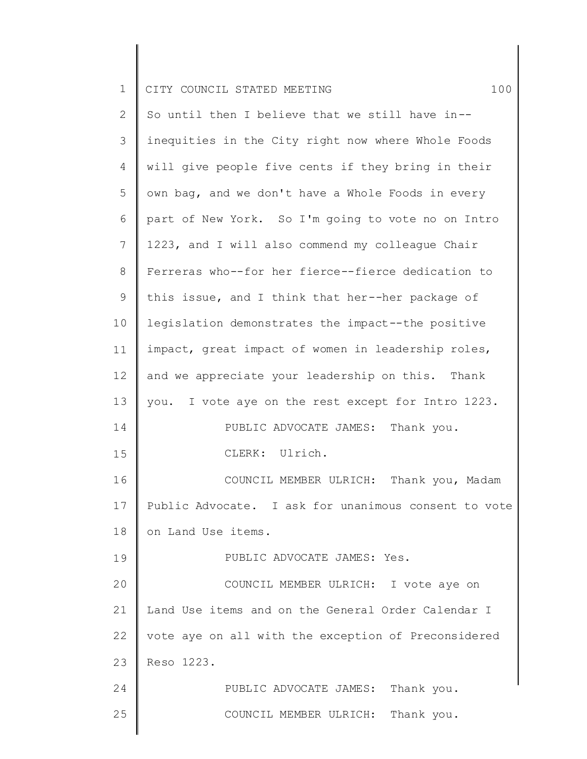|  |  | 1 CITY COUNCIL STATED MEETING |  |  |  |  |  |  |  |
|--|--|-------------------------------|--|--|--|--|--|--|--|
|--|--|-------------------------------|--|--|--|--|--|--|--|

2 3 4 5 6 7 8 9 10 11 12 13 14 15 16 17 18 19 20 21 22 23 24 25 So until then I believe that we still have in- inequities in the City right now where Whole Foods will give people five cents if they bring in their own bag, and we don't have a Whole Foods in every part of New York. So I'm going to vote no on Intro 1223, and I will also commend my colleague Chair Ferreras who--for her fierce--fierce dedication to this issue, and I think that her--her package of legislation demonstrates the impact--the positive impact, great impact of women in leadership roles, and we appreciate your leadership on this. Thank you. I vote aye on the rest except for Intro 1223. PUBLIC ADVOCATE JAMES: Thank you. CLERK: Ulrich. COUNCIL MEMBER ULRICH: Thank you, Madam Public Advocate. I ask for unanimous consent to vote on Land Use items. PUBLIC ADVOCATE JAMES: Yes. COUNCIL MEMBER ULRICH: I vote aye on Land Use items and on the General Order Calendar I vote aye on all with the exception of Preconsidered Reso 1223. PUBLIC ADVOCATE JAMES: Thank you. COUNCIL MEMBER ULRICH: Thank you.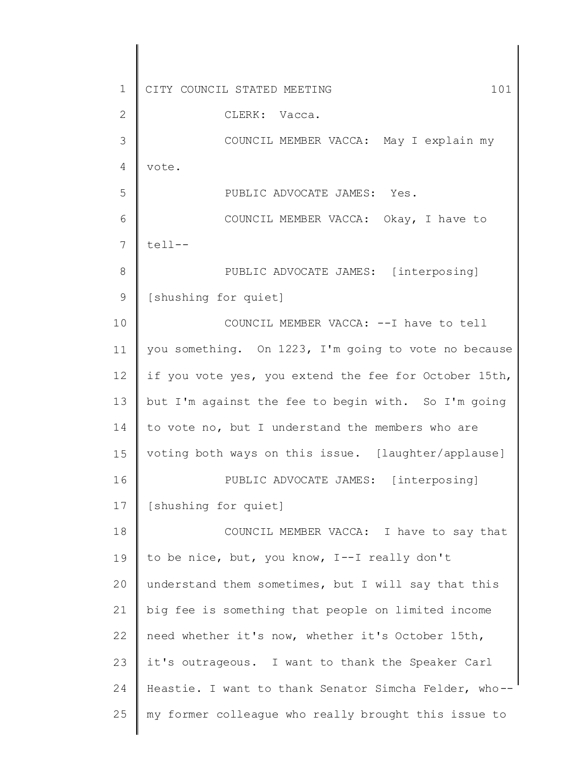1 2 3 4 5 6 7 8 9 10 11 12 13 14 15 16 17 18 19 20 21 22 23 24 25 CITY COUNCIL STATED MEETING 101 CLERK: Vacca. COUNCIL MEMBER VACCA: May I explain my vote. PUBLIC ADVOCATE JAMES: Yes. COUNCIL MEMBER VACCA: Okay, I have to tell-- PUBLIC ADVOCATE JAMES: [interposing] [shushing for quiet] COUNCIL MEMBER VACCA: --I have to tell you something. On 1223, I'm going to vote no because if you vote yes, you extend the fee for October 15th, but I'm against the fee to begin with. So I'm going to vote no, but I understand the members who are voting both ways on this issue. [laughter/applause] PUBLIC ADVOCATE JAMES: [interposing] [shushing for quiet] COUNCIL MEMBER VACCA: I have to say that to be nice, but, you know, I--I really don't understand them sometimes, but I will say that this big fee is something that people on limited income need whether it's now, whether it's October 15th, it's outrageous. I want to thank the Speaker Carl Heastie. I want to thank Senator Simcha Felder, who- my former colleague who really brought this issue to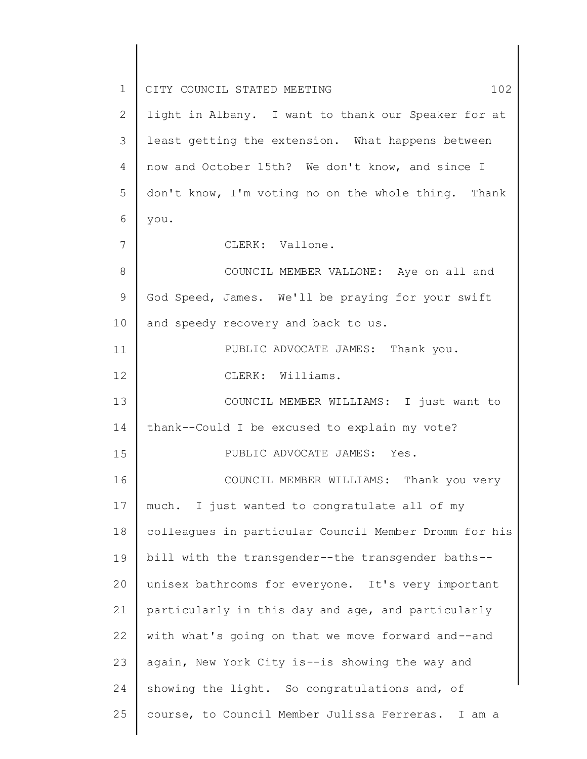| $\mathbf 1$  | CITY COUNCIL STATED MEETING<br>102                    |
|--------------|-------------------------------------------------------|
| $\mathbf{2}$ | light in Albany. I want to thank our Speaker for at   |
| 3            | least getting the extension. What happens between     |
| 4            | now and October 15th? We don't know, and since I      |
| 5            | don't know, I'm voting no on the whole thing. Thank   |
| 6            | you.                                                  |
| 7            | CLERK: Vallone.                                       |
| 8            | COUNCIL MEMBER VALLONE: Aye on all and                |
| 9            | God Speed, James. We'll be praying for your swift     |
| 10           | and speedy recovery and back to us.                   |
| 11           | PUBLIC ADVOCATE JAMES: Thank you.                     |
| 12           | CLERK: Williams.                                      |
| 13           | COUNCIL MEMBER WILLIAMS: I just want to               |
| 14           | thank--Could I be excused to explain my vote?         |
| 15           | PUBLIC ADVOCATE JAMES: Yes.                           |
| 16           | COUNCIL MEMBER WILLIAMS:<br>Thank you very            |
| 17           | much. I just wanted to congratulate all of my         |
| 18           | colleagues in particular Council Member Dromm for his |
| 19           | bill with the transgender--the transgender baths--    |
| 20           | unisex bathrooms for everyone. It's very important    |
| 21           | particularly in this day and age, and particularly    |
| 22           | with what's going on that we move forward and--and    |
| 23           | again, New York City is--is showing the way and       |
| 24           | showing the light. So congratulations and, of         |
| 25           | course, to Council Member Julissa Ferreras. I am a    |
|              |                                                       |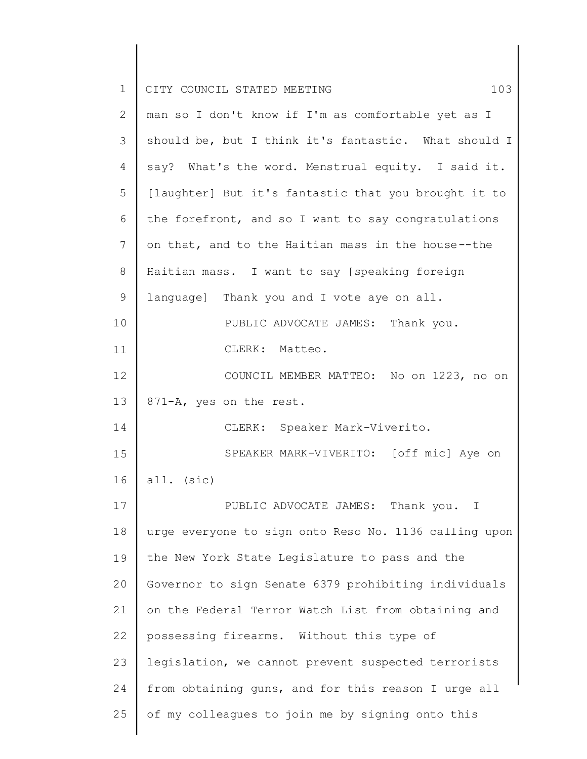| $\mathbf 1$ | 103<br>CITY COUNCIL STATED MEETING                    |
|-------------|-------------------------------------------------------|
| 2           | man so I don't know if I'm as comfortable yet as I    |
| 3           | should be, but I think it's fantastic. What should I  |
| 4           | say? What's the word. Menstrual equity. I said it.    |
| 5           | [laughter] But it's fantastic that you brought it to  |
| 6           | the forefront, and so I want to say congratulations   |
| 7           | on that, and to the Haitian mass in the house--the    |
| 8           | Haitian mass. I want to say [speaking foreign         |
| $\mathsf 9$ | language] Thank you and I vote aye on all.            |
| 10          | PUBLIC ADVOCATE JAMES: Thank you.                     |
| 11          | CLERK: Matteo.                                        |
| 12          | COUNCIL MEMBER MATTEO: No on 1223, no on              |
| 13          | 871-A, yes on the rest.                               |
| 14          | CLERK: Speaker Mark-Viverito.                         |
| 15          | SPEAKER MARK-VIVERITO: [off mic] Aye on               |
| 16          | all. (sic)                                            |
| 17          | PUBLIC ADVOCATE JAMES: Thank you. I                   |
| 18          | urge everyone to sign onto Reso No. 1136 calling upon |
| 19          | the New York State Legislature to pass and the        |
| 20          | Governor to sign Senate 6379 prohibiting individuals  |
| 21          | on the Federal Terror Watch List from obtaining and   |
| 22          | possessing firearms. Without this type of             |
| 23          | legislation, we cannot prevent suspected terrorists   |
| 24          | from obtaining guns, and for this reason I urge all   |
| 25          | of my colleagues to join me by signing onto this      |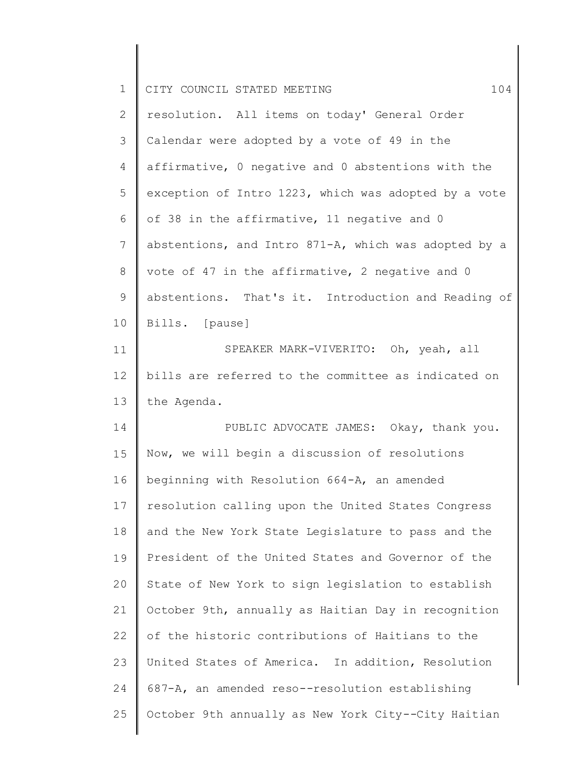| $\mathbf 1$    | CITY COUNCIL STATED MEETING<br>104                   |
|----------------|------------------------------------------------------|
| 2              | resolution. All items on today' General Order        |
| 3              | Calendar were adopted by a vote of 49 in the         |
| 4              | affirmative, 0 negative and 0 abstentions with the   |
| 5              | exception of Intro 1223, which was adopted by a vote |
| 6              | of 38 in the affirmative, 11 negative and 0          |
| $7\phantom{.}$ | abstentions, and Intro 871-A, which was adopted by a |
| 8              | vote of 47 in the affirmative, 2 negative and 0      |
| 9              | abstentions. That's it. Introduction and Reading of  |
| 10             | Bills. [pause]                                       |
| 11             | SPEAKER MARK-VIVERITO: Oh, yeah, all                 |
| 12             | bills are referred to the committee as indicated on  |
| 13             | the Agenda.                                          |
| 14             | PUBLIC ADVOCATE JAMES: Okay, thank you.              |
| 15             | Now, we will begin a discussion of resolutions       |
| 16             | beginning with Resolution 664-A, an amended          |
| 17             | resolution calling upon the United States Congress   |
| 18             | and the New York State Legislature to pass and the   |
| 19             | President of the United States and Governor of the   |
| 20             | State of New York to sign legislation to establish   |
| 21             | October 9th, annually as Haitian Day in recognition  |
| 22             | of the historic contributions of Haitians to the     |
| 23             | United States of America. In addition, Resolution    |
| 24             | 687-A, an amended reso--resolution establishing      |
| 25             | October 9th annually as New York City--City Haitian  |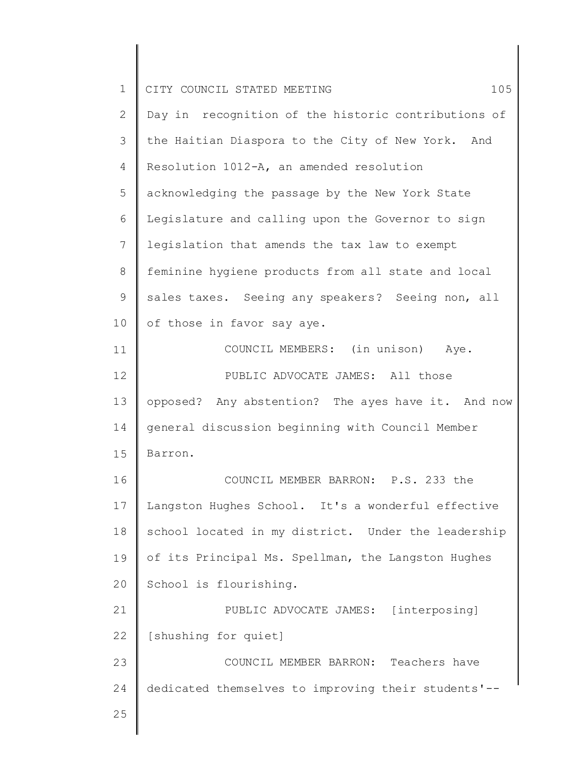| $\mathbf 1$<br>CITY COUNCIL STATED MEETING<br>$\mathbf{2}$<br>Day in recognition of the historic contributions of<br>3<br>the Haitian Diaspora to the City of New York. And<br>$\overline{4}$<br>Resolution 1012-A, an amended resolution<br>5<br>acknowledging the passage by the New York State<br>6<br>Legislature and calling upon the Governor to sign<br>7<br>legislation that amends the tax law to exempt<br>8<br>feminine hygiene products from all state and local<br>$\mathsf 9$<br>sales taxes. Seeing any speakers? Seeing non, all | 105 |
|--------------------------------------------------------------------------------------------------------------------------------------------------------------------------------------------------------------------------------------------------------------------------------------------------------------------------------------------------------------------------------------------------------------------------------------------------------------------------------------------------------------------------------------------------|-----|
|                                                                                                                                                                                                                                                                                                                                                                                                                                                                                                                                                  |     |
|                                                                                                                                                                                                                                                                                                                                                                                                                                                                                                                                                  |     |
|                                                                                                                                                                                                                                                                                                                                                                                                                                                                                                                                                  |     |
|                                                                                                                                                                                                                                                                                                                                                                                                                                                                                                                                                  |     |
|                                                                                                                                                                                                                                                                                                                                                                                                                                                                                                                                                  |     |
|                                                                                                                                                                                                                                                                                                                                                                                                                                                                                                                                                  |     |
|                                                                                                                                                                                                                                                                                                                                                                                                                                                                                                                                                  |     |
|                                                                                                                                                                                                                                                                                                                                                                                                                                                                                                                                                  |     |
|                                                                                                                                                                                                                                                                                                                                                                                                                                                                                                                                                  |     |
| 10<br>of those in favor say aye.                                                                                                                                                                                                                                                                                                                                                                                                                                                                                                                 |     |
| COUNCIL MEMBERS: (in unison) Aye.<br>11                                                                                                                                                                                                                                                                                                                                                                                                                                                                                                          |     |
| 12<br>PUBLIC ADVOCATE JAMES: All those                                                                                                                                                                                                                                                                                                                                                                                                                                                                                                           |     |
| 13<br>opposed? Any abstention? The ayes have it. And now                                                                                                                                                                                                                                                                                                                                                                                                                                                                                         |     |
| general discussion beginning with Council Member<br>14                                                                                                                                                                                                                                                                                                                                                                                                                                                                                           |     |
| 15<br>Barron.                                                                                                                                                                                                                                                                                                                                                                                                                                                                                                                                    |     |
| COUNCIL MEMBER BARRON: P.S. 233 the<br>16                                                                                                                                                                                                                                                                                                                                                                                                                                                                                                        |     |
| Langston Hughes School. It's a wonderful effective<br>17                                                                                                                                                                                                                                                                                                                                                                                                                                                                                         |     |
| 18<br>school located in my district. Under the leadership                                                                                                                                                                                                                                                                                                                                                                                                                                                                                        |     |
| of its Principal Ms. Spellman, the Langston Hughes<br>19                                                                                                                                                                                                                                                                                                                                                                                                                                                                                         |     |
| 20<br>School is flourishing.                                                                                                                                                                                                                                                                                                                                                                                                                                                                                                                     |     |
| 21<br>PUBLIC ADVOCATE JAMES: [interposing]                                                                                                                                                                                                                                                                                                                                                                                                                                                                                                       |     |
| 22<br>[shushing for quiet]                                                                                                                                                                                                                                                                                                                                                                                                                                                                                                                       |     |
| COUNCIL MEMBER BARRON: Teachers have<br>23                                                                                                                                                                                                                                                                                                                                                                                                                                                                                                       |     |
| 24<br>dedicated themselves to improving their students'--                                                                                                                                                                                                                                                                                                                                                                                                                                                                                        |     |
| 25                                                                                                                                                                                                                                                                                                                                                                                                                                                                                                                                               |     |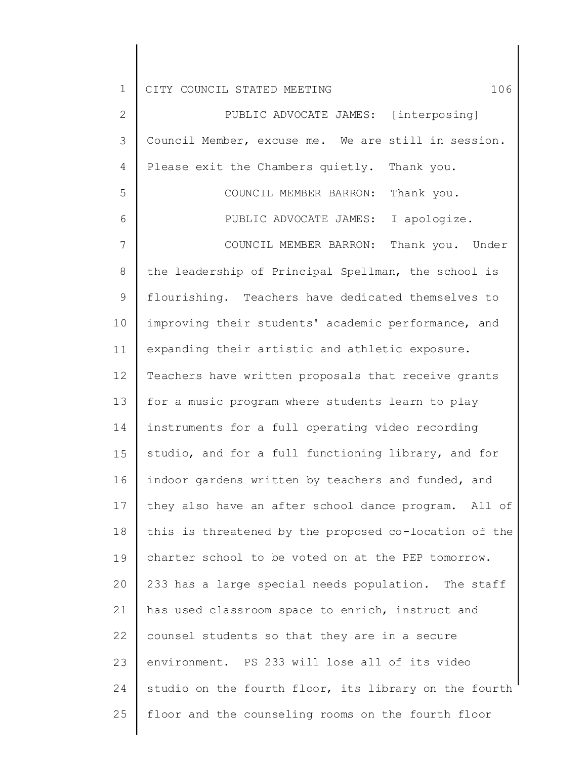2 3 4 5 6 7 8 9 10 11 12 13 14 15 16 17 18 19 20 21 22 23 24 25 PUBLIC ADVOCATE JAMES: [interposing] Council Member, excuse me. We are still in session. Please exit the Chambers quietly. Thank you. COUNCIL MEMBER BARRON: Thank you. PUBLIC ADVOCATE JAMES: I apologize. COUNCIL MEMBER BARRON: Thank you. Under the leadership of Principal Spellman, the school is flourishing. Teachers have dedicated themselves to improving their students' academic performance, and expanding their artistic and athletic exposure. Teachers have written proposals that receive grants for a music program where students learn to play instruments for a full operating video recording studio, and for a full functioning library, and for indoor gardens written by teachers and funded, and they also have an after school dance program. All of this is threatened by the proposed co-location of the charter school to be voted on at the PEP tomorrow. 233 has a large special needs population. The staff has used classroom space to enrich, instruct and counsel students so that they are in a secure environment. PS 233 will lose all of its video studio on the fourth floor, its library on the fourth floor and the counseling rooms on the fourth floor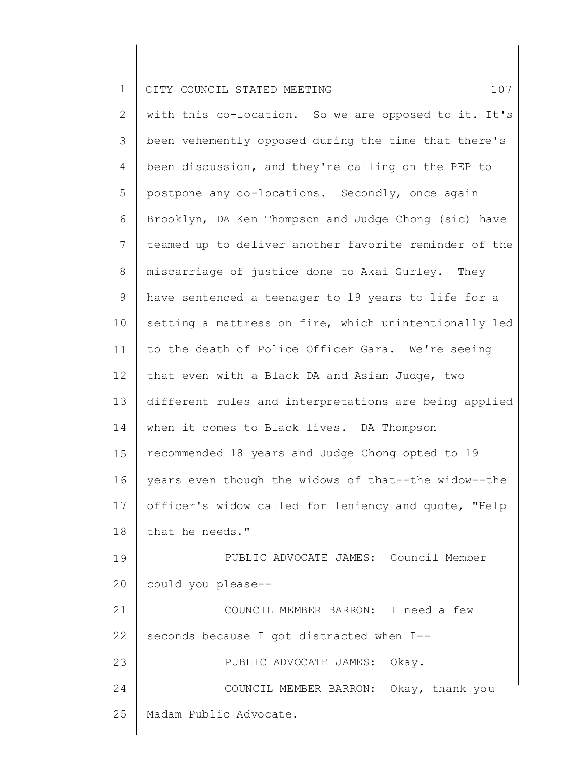2 3 4 5 6 7 8 9 10 11 12 13 14 15 16 17 18 19 20 21 22 23 24 25 with this co-location. So we are opposed to it. It's been vehemently opposed during the time that there's been discussion, and they're calling on the PEP to postpone any co-locations. Secondly, once again Brooklyn, DA Ken Thompson and Judge Chong (sic) have teamed up to deliver another favorite reminder of the miscarriage of justice done to Akai Gurley. They have sentenced a teenager to 19 years to life for a setting a mattress on fire, which unintentionally led to the death of Police Officer Gara. We're seeing that even with a Black DA and Asian Judge, two different rules and interpretations are being applied when it comes to Black lives. DA Thompson recommended 18 years and Judge Chong opted to 19 years even though the widows of that--the widow--the officer's widow called for leniency and quote, "Help that he needs." PUBLIC ADVOCATE JAMES: Council Member could you please-- COUNCIL MEMBER BARRON: I need a few seconds because I got distracted when I-- PUBLIC ADVOCATE JAMES: Okay. COUNCIL MEMBER BARRON: Okay, thank you Madam Public Advocate.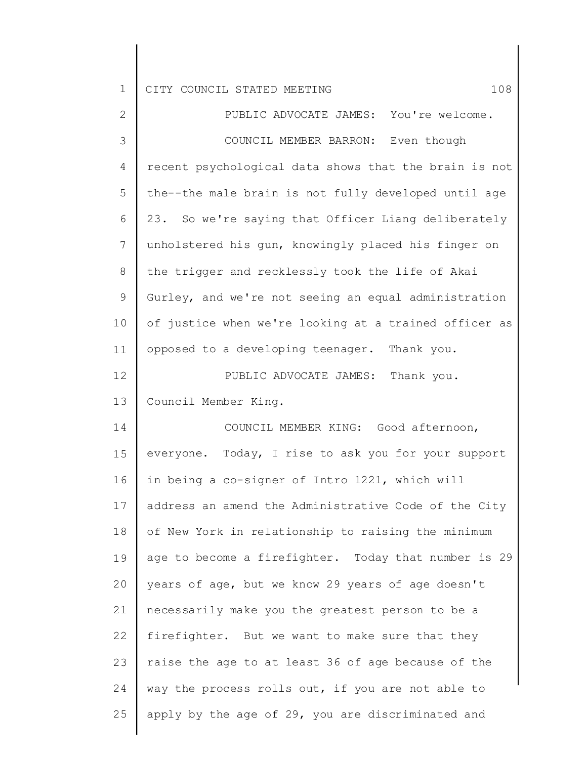| $\overline{2}$ | PUBLIC ADVOCATE JAMES: You're welcome.                |
|----------------|-------------------------------------------------------|
| 3              | COUNCIL MEMBER BARRON: Even though                    |
| $\overline{4}$ | recent psychological data shows that the brain is not |
| 5              | the--the male brain is not fully developed until age  |
| 6              | 23. So we're saying that Officer Liang deliberately   |
| $\overline{7}$ | unholstered his gun, knowingly placed his finger on   |
| 8              | the trigger and recklessly took the life of Akai      |
| $\mathsf 9$    | Gurley, and we're not seeing an equal administration  |
| 10             | of justice when we're looking at a trained officer as |
| 11             | opposed to a developing teenager. Thank you.          |
| 12             | PUBLIC ADVOCATE JAMES: Thank you.                     |
| 13             | Council Member King.                                  |
| 14             | COUNCIL MEMBER KING: Good afternoon,                  |
| 15             | everyone. Today, I rise to ask you for your support   |
| 16             | in being a co-signer of Intro 1221, which will        |
| 17             | address an amend the Administrative Code of the City  |
| 18             | of New York in relationship to raising the minimum    |
| 19             | age to become a firefighter. Today that number is 29  |
| 20             | years of age, but we know 29 years of age doesn't     |
| 21             | necessarily make you the greatest person to be a      |
| 22             | firefighter. But we want to make sure that they       |
| 23             | raise the age to at least 36 of age because of the    |
| 24             | way the process rolls out, if you are not able to     |
| 25             | apply by the age of 29, you are discriminated and     |
|                |                                                       |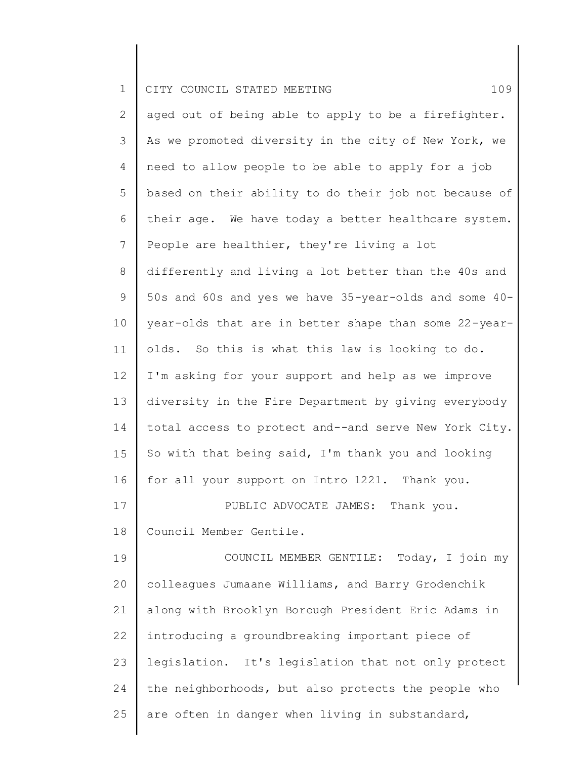| $\mathbf 1$    | 109<br>CITY COUNCIL STATED MEETING                    |
|----------------|-------------------------------------------------------|
| 2              | aged out of being able to apply to be a firefighter.  |
| 3              | As we promoted diversity in the city of New York, we  |
| 4              | need to allow people to be able to apply for a job    |
| 5              | based on their ability to do their job not because of |
| 6              | their age. We have today a better healthcare system.  |
| $\overline{7}$ | People are healthier, they're living a lot            |
| 8              | differently and living a lot better than the 40s and  |
| 9              | 50s and 60s and yes we have 35-year-olds and some 40- |
| 10             | year-olds that are in better shape than some 22-year- |
| 11             | olds. So this is what this law is looking to do.      |
| 12             | I'm asking for your support and help as we improve    |
| 13             | diversity in the Fire Department by giving everybody  |
| 14             | total access to protect and--and serve New York City. |
| 15             | So with that being said, I'm thank you and looking    |
| 16             | for all your support on Intro 1221. Thank you.        |
| 17             | PUBLIC ADVOCATE JAMES: Thank you.                     |
| 18             | Council Member Gentile.                               |
| 19             | COUNCIL MEMBER GENTILE: Today, I join my              |
| 20             | colleagues Jumaane Williams, and Barry Grodenchik     |
| 21             | along with Brooklyn Borough President Eric Adams in   |
| 22             | introducing a groundbreaking important piece of       |
| 23             | legislation. It's legislation that not only protect   |
| 24             | the neighborhoods, but also protects the people who   |
| 25             | are often in danger when living in substandard,       |
|                |                                                       |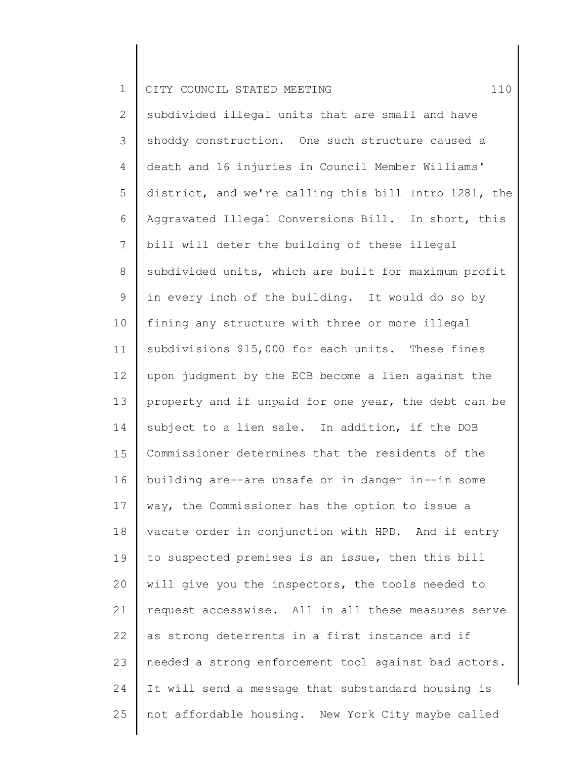1 CITY COUNCIL STATED MEETING 110

2 3 4 5 6 7 8 9 10 11 12 13 14 15 16 17 18 19 20 21 22 23 24 25 subdivided illegal units that are small and have shoddy construction. One such structure caused a death and 16 injuries in Council Member Williams' district, and we're calling this bill Intro 1281, the Aggravated Illegal Conversions Bill. In short, this bill will deter the building of these illegal subdivided units, which are built for maximum profit in every inch of the building. It would do so by fining any structure with three or more illegal subdivisions \$15,000 for each units. These fines upon judgment by the ECB become a lien against the property and if unpaid for one year, the debt can be subject to a lien sale. In addition, if the DOB Commissioner determines that the residents of the building are--are unsafe or in danger in--in some way, the Commissioner has the option to issue a vacate order in conjunction with HPD. And if entry to suspected premises is an issue, then this bill will give you the inspectors, the tools needed to request accesswise. All in all these measures serve as strong deterrents in a first instance and if needed a strong enforcement tool against bad actors. It will send a message that substandard housing is not affordable housing. New York City maybe called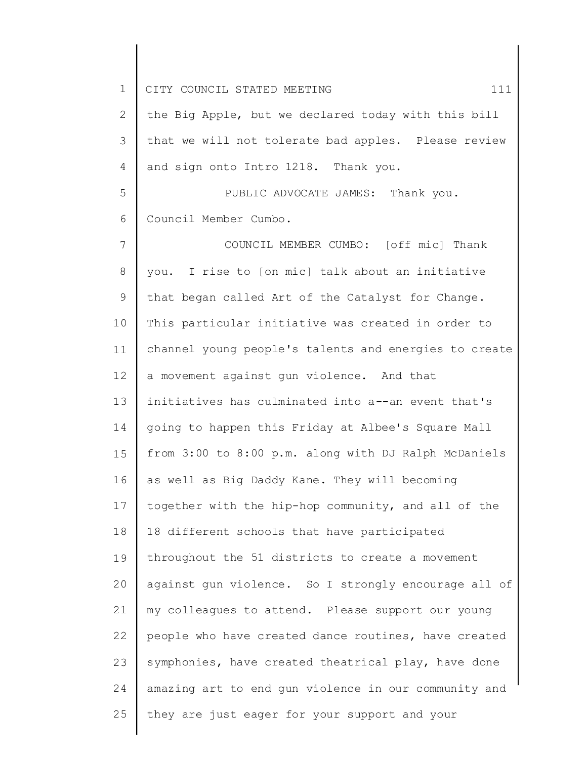1 2 3 4 5 6 7 8 9 10 11 12 13 14 15 16 17 18 19 20 21 22 23 24 25 CITY COUNCIL STATED MEETING 111 the Big Apple, but we declared today with this bill that we will not tolerate bad apples. Please review and sign onto Intro 1218. Thank you. PUBLIC ADVOCATE JAMES: Thank you. Council Member Cumbo. COUNCIL MEMBER CUMBO: [off mic] Thank you. I rise to [on mic] talk about an initiative that began called Art of the Catalyst for Change. This particular initiative was created in order to channel young people's talents and energies to create a movement against gun violence. And that initiatives has culminated into a--an event that's going to happen this Friday at Albee's Square Mall from 3:00 to 8:00 p.m. along with DJ Ralph McDaniels as well as Big Daddy Kane. They will becoming together with the hip-hop community, and all of the 18 different schools that have participated throughout the 51 districts to create a movement against gun violence. So I strongly encourage all of my colleagues to attend. Please support our young people who have created dance routines, have created symphonies, have created theatrical play, have done amazing art to end gun violence in our community and they are just eager for your support and your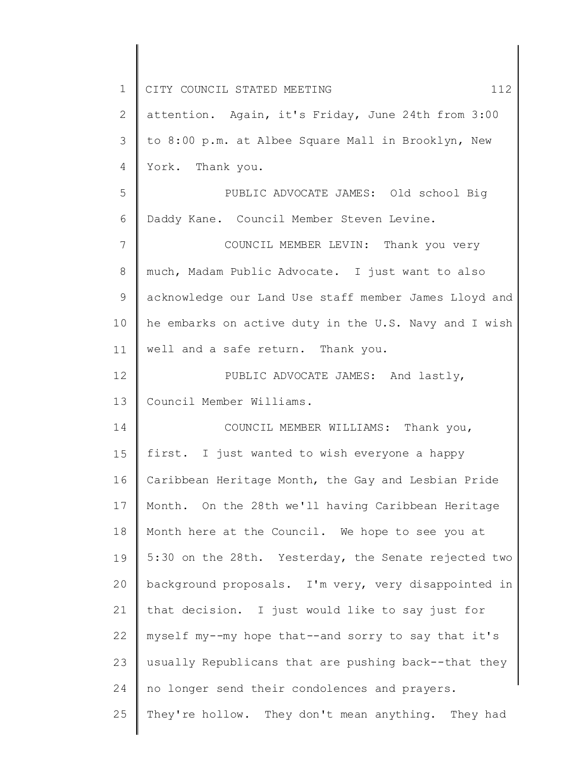| $\mathbf 1$     | CITY COUNCIL STATED MEETING<br>112                    |
|-----------------|-------------------------------------------------------|
| 2               | attention. Again, it's Friday, June 24th from 3:00    |
| 3               | to 8:00 p.m. at Albee Square Mall in Brooklyn, New    |
| 4               | York. Thank you.                                      |
| 5               | PUBLIC ADVOCATE JAMES: Old school Big                 |
| 6               | Daddy Kane. Council Member Steven Levine.             |
| $7\phantom{.0}$ | COUNCIL MEMBER LEVIN: Thank you very                  |
| 8               | much, Madam Public Advocate. I just want to also      |
| 9               | acknowledge our Land Use staff member James Lloyd and |
| 10              | he embarks on active duty in the U.S. Navy and I wish |
| 11              | well and a safe return. Thank you.                    |
| 12              | PUBLIC ADVOCATE JAMES: And lastly,                    |
| 13              | Council Member Williams.                              |
| 14              | COUNCIL MEMBER WILLIAMS: Thank you,                   |
| 15              | first. I just wanted to wish everyone a happy         |
| 16              | Caribbean Heritage Month, the Gay and Lesbian Pride   |
| 17              | Month. On the 28th we'll having Caribbean Heritage    |
| 18              | Month here at the Council. We hope to see you at      |
| 19              | 5:30 on the 28th. Yesterday, the Senate rejected two  |
| 20              | background proposals. I'm very, very disappointed in  |
| 21              | that decision. I just would like to say just for      |
| 22              | myself my--my hope that--and sorry to say that it's   |
| 23              | usually Republicans that are pushing back--that they  |
| 24              | no longer send their condolences and prayers.         |
| 25              | They're hollow. They don't mean anything. They had    |
|                 |                                                       |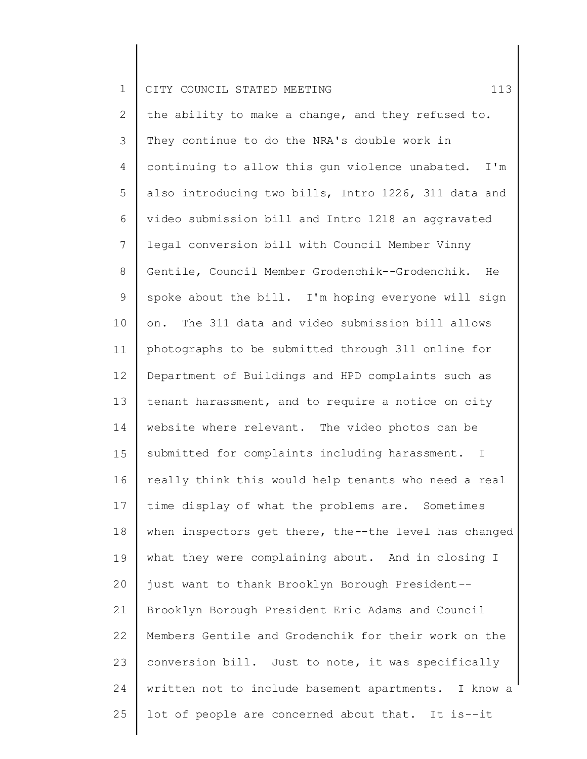| $\mathbf 1$    | 113<br>CITY COUNCIL STATED MEETING                    |
|----------------|-------------------------------------------------------|
| $\overline{2}$ | the ability to make a change, and they refused to.    |
| 3              | They continue to do the NRA's double work in          |
| 4              | continuing to allow this gun violence unabated. I'm   |
| 5              | also introducing two bills, Intro 1226, 311 data and  |
| 6              | video submission bill and Intro 1218 an aggravated    |
| $\overline{7}$ | legal conversion bill with Council Member Vinny       |
| 8              | Gentile, Council Member Grodenchik--Grodenchik.<br>He |
| 9              | spoke about the bill. I'm hoping everyone will sign   |
| 10             | on. The 311 data and video submission bill allows     |
| 11             | photographs to be submitted through 311 online for    |
| 12             | Department of Buildings and HPD complaints such as    |
| 13             | tenant harassment, and to require a notice on city    |
| 14             | website where relevant. The video photos can be       |
| 15             | submitted for complaints including harassment. I      |
| 16             | really think this would help tenants who need a real  |
| 17             | time display of what the problems are. Sometimes      |
| 18             | when inspectors get there, the--the level has changed |
| 19             | what they were complaining about. And in closing I    |
| 20             | just want to thank Brooklyn Borough President --      |
| 21             | Brooklyn Borough President Eric Adams and Council     |
| 22             | Members Gentile and Grodenchik for their work on the  |
| 23             | conversion bill. Just to note, it was specifically    |
| 24             | written not to include basement apartments. I know a  |
| 25             | lot of people are concerned about that. It is--it     |
|                |                                                       |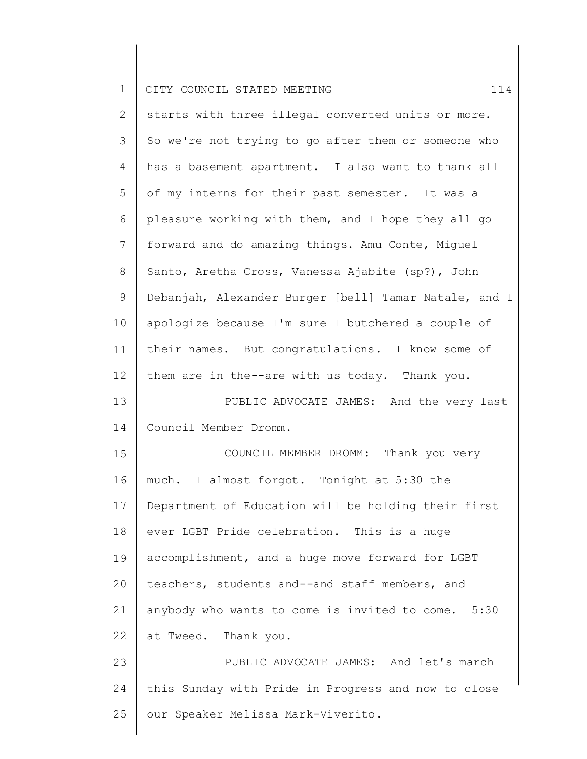| $\mathbf 1$    | CITY COUNCIL STATED MEETING<br>114                    |
|----------------|-------------------------------------------------------|
| $\overline{2}$ | starts with three illegal converted units or more.    |
| 3              | So we're not trying to go after them or someone who   |
| $\overline{4}$ | has a basement apartment. I also want to thank all    |
| 5              | of my interns for their past semester. It was a       |
| 6              | pleasure working with them, and I hope they all go    |
| $7\phantom{.}$ | forward and do amazing things. Amu Conte, Miguel      |
| $8\,$          | Santo, Aretha Cross, Vanessa Ajabite (sp?), John      |
| $\mathsf 9$    | Debanjah, Alexander Burger [bell] Tamar Natale, and I |
| 10             | apologize because I'm sure I butchered a couple of    |
| 11             | their names. But congratulations. I know some of      |
| 12             | them are in the--are with us today. Thank you.        |
| 13             | PUBLIC ADVOCATE JAMES: And the very last              |
| 14             | Council Member Dromm.                                 |
| 15             | COUNCIL MEMBER DROMM: Thank you very                  |
| 16             | much. I almost forgot. Tonight at 5:30 the            |
| 17             | Department of Education will be holding their first   |
| 18             | ever LGBT Pride celebration. This is a huge           |
| 19             | accomplishment, and a huge move forward for LGBT      |
| 20             | teachers, students and--and staff members, and        |
| 21             | anybody who wants to come is invited to come. 5:30    |
| 22             | at Tweed. Thank you.                                  |
| 23             | PUBLIC ADVOCATE JAMES: And let's march                |
| 24             | this Sunday with Pride in Progress and now to close   |
| 25             | our Speaker Melissa Mark-Viverito.                    |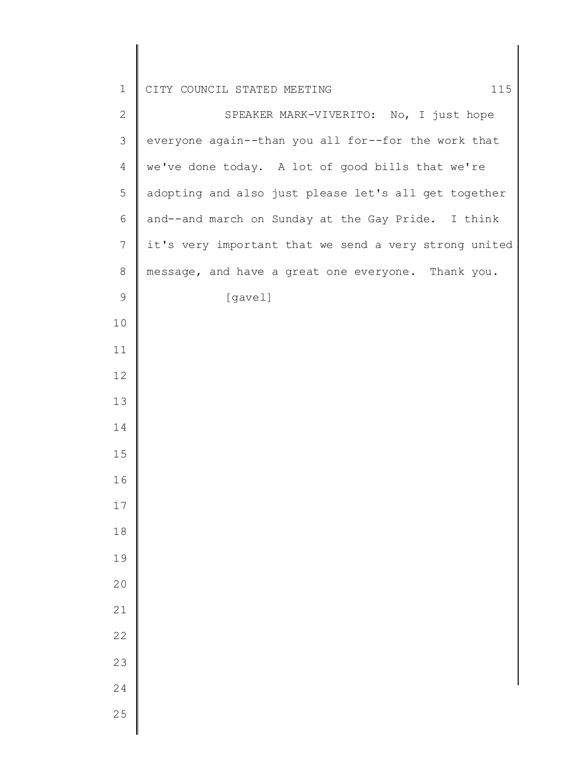CITY COUNCIL STATED MEETING 115

| $\mathbf{2}$ | SPEAKER MARK-VIVERITO: No, I just hope                |
|--------------|-------------------------------------------------------|
| 3            | everyone again--than you all for--for the work that   |
| 4            | we've done today. A lot of good bills that we're      |
| 5            | adopting and also just please let's all get together  |
| $\sqrt{6}$   | and--and march on Sunday at the Gay Pride. I think    |
| 7            | it's very important that we send a very strong united |
| $8\,$        | message, and have a great one everyone. Thank you.    |
| $\mathsf 9$  | [gavel]                                               |
| 10           |                                                       |
| 11           |                                                       |
| 12           |                                                       |
| 13           |                                                       |
| 14           |                                                       |
| 15           |                                                       |
| 16           |                                                       |
| 17           |                                                       |
| 18           |                                                       |
| 19           |                                                       |
| 20           |                                                       |
| 21           |                                                       |
| 22           |                                                       |
| 23           |                                                       |
| 24           |                                                       |
| 25           |                                                       |
|              |                                                       |